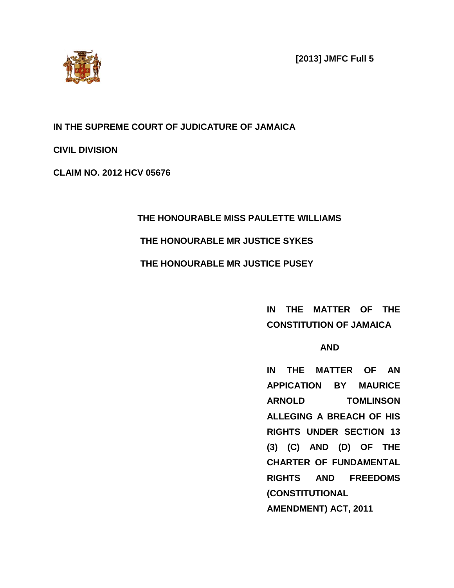**[2013] JMFC Full 5**



**IN THE SUPREME COURT OF JUDICATURE OF JAMAICA**

**CIVIL DIVISION**

**CLAIM NO. 2012 HCV 05676**

## **THE HONOURABLE MISS PAULETTE WILLIAMS**

## **THE HONOURABLE MR JUSTICE SYKES**

## **THE HONOURABLE MR JUSTICE PUSEY**

## **IN THE MATTER OF THE CONSTITUTION OF JAMAICA**

## **AND**

**IN THE MATTER OF AN APPICATION BY MAURICE ARNOLD TOMLINSON ALLEGING A BREACH OF HIS RIGHTS UNDER SECTION 13 (3) (C) AND (D) OF THE CHARTER OF FUNDAMENTAL RIGHTS AND FREEDOMS (CONSTITUTIONAL AMENDMENT) ACT, 2011**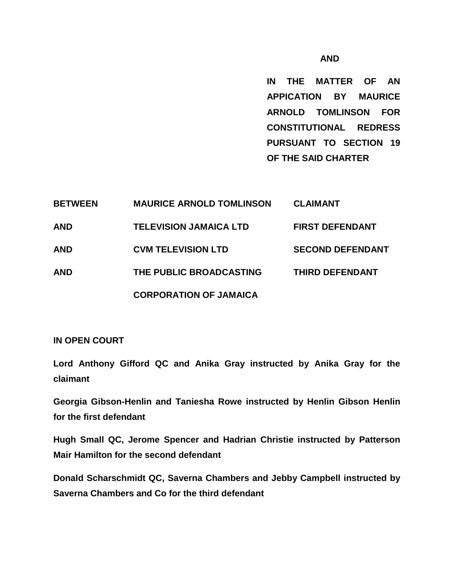#### **AND**

**IN THE MATTER OF AN APPICATION BY MAURICE ARNOLD TOMLINSON FOR CONSTITUTIONAL REDRESS PURSUANT TO SECTION 19 OF THE SAID CHARTER**

| <b>BETWEEN</b> | <b>MAURICE ARNOLD TOMLINSON</b> | <b>CLAIMANT</b>         |
|----------------|---------------------------------|-------------------------|
| <b>AND</b>     | <b>TELEVISION JAMAICA LTD</b>   | <b>FIRST DEFENDANT</b>  |
| <b>AND</b>     | <b>CVM TELEVISION LTD</b>       | <b>SECOND DEFENDANT</b> |
| <b>AND</b>     | THE PUBLIC BROADCASTING         | THIRD DEFENDANT         |
|                | <b>CORPORATION OF JAMAICA</b>   |                         |

#### **IN OPEN COURT**

**Lord Anthony Gifford QC and Anika Gray instructed by Anika Gray for the claimant**

**Georgia Gibson-Henlin and Taniesha Rowe instructed by Henlin Gibson Henlin for the first defendant**

**Hugh Small QC, Jerome Spencer and Hadrian Christie instructed by Patterson Mair Hamilton for the second defendant**

**Donald Scharschmidt QC, Saverna Chambers and Jebby Campbell instructed by Saverna Chambers and Co for the third defendant**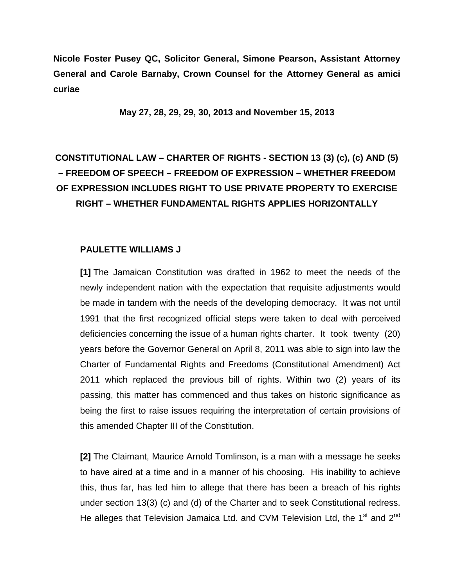**Nicole Foster Pusey QC, Solicitor General, Simone Pearson, Assistant Attorney General and Carole Barnaby, Crown Counsel for the Attorney General as amici curiae**

**May 27, 28, 29, 29, 30, 2013 and November 15, 2013**

# **CONSTITUTIONAL LAW – CHARTER OF RIGHTS - SECTION 13 (3) (c), (c) AND (5) – FREEDOM OF SPEECH – FREEDOM OF EXPRESSION – WHETHER FREEDOM OF EXPRESSION INCLUDES RIGHT TO USE PRIVATE PROPERTY TO EXERCISE RIGHT – WHETHER FUNDAMENTAL RIGHTS APPLIES HORIZONTALLY**

#### **PAULETTE WILLIAMS J**

**[1]** The Jamaican Constitution was drafted in 1962 to meet the needs of the newly independent nation with the expectation that requisite adjustments would be made in tandem with the needs of the developing democracy. It was not until 1991 that the first recognized official steps were taken to deal with perceived deficiencies concerning the issue of a human rights charter. It took twenty (20) years before the Governor General on April 8, 2011 was able to sign into law the Charter of Fundamental Rights and Freedoms (Constitutional Amendment) Act 2011 which replaced the previous bill of rights. Within two (2) years of its passing, this matter has commenced and thus takes on historic significance as being the first to raise issues requiring the interpretation of certain provisions of this amended Chapter III of the Constitution.

**[2]** The Claimant, Maurice Arnold Tomlinson, is a man with a message he seeks to have aired at a time and in a manner of his choosing. His inability to achieve this, thus far, has led him to allege that there has been a breach of his rights under section 13(3) (c) and (d) of the Charter and to seek Constitutional redress. He alleges that Television Jamaica Ltd. and CVM Television Ltd, the 1<sup>st</sup> and 2<sup>nd</sup>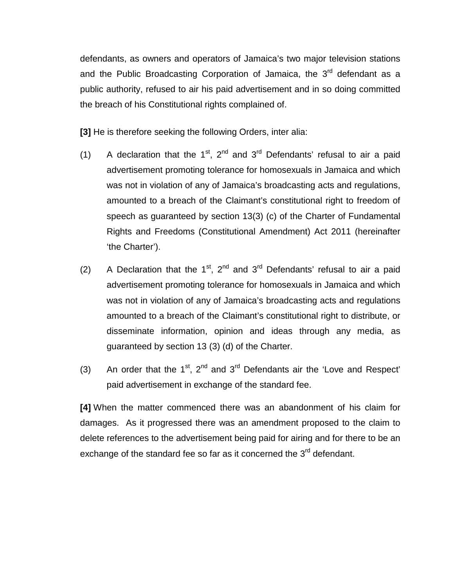defendants, as owners and operators of Jamaica's two major television stations and the Public Broadcasting Corporation of Jamaica, the  $3<sup>rd</sup>$  defendant as a public authority, refused to air his paid advertisement and in so doing committed the breach of his Constitutional rights complained of.

**[3]** He is therefore seeking the following Orders, inter alia:

- (1) A declaration that the  $1^{st}$ ,  $2^{nd}$  and  $3^{rd}$  Defendants' refusal to air a paid advertisement promoting tolerance for homosexuals in Jamaica and which was not in violation of any of Jamaica's broadcasting acts and regulations, amounted to a breach of the Claimant's constitutional right to freedom of speech as guaranteed by section 13(3) (c) of the Charter of Fundamental Rights and Freedoms (Constitutional Amendment) Act 2011 (hereinafter 'the Charter').
- (2) A Declaration that the  $1^{st}$ ,  $2^{nd}$  and  $3^{rd}$  Defendants' refusal to air a paid advertisement promoting tolerance for homosexuals in Jamaica and which was not in violation of any of Jamaica's broadcasting acts and regulations amounted to a breach of the Claimant's constitutional right to distribute, or disseminate information, opinion and ideas through any media, as guaranteed by section 13 (3) (d) of the Charter.
- (3) An order that the  $1^{st}$ ,  $2^{nd}$  and  $3^{rd}$  Defendants air the 'Love and Respect' paid advertisement in exchange of the standard fee.

**[4]** When the matter commenced there was an abandonment of his claim for damages. As it progressed there was an amendment proposed to the claim to delete references to the advertisement being paid for airing and for there to be an exchange of the standard fee so far as it concerned the  $3<sup>rd</sup>$  defendant.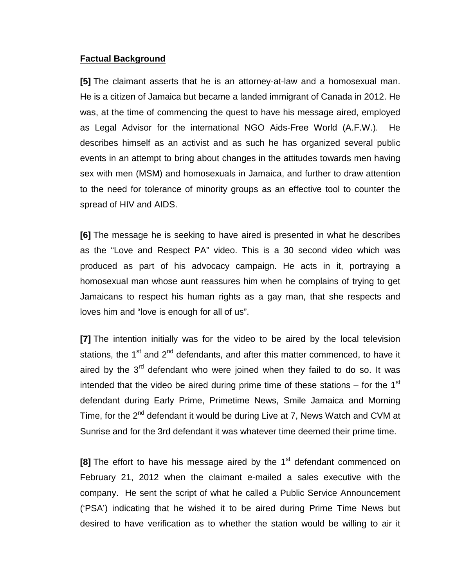#### **Factual Background**

**[5]** The claimant asserts that he is an attorney-at-law and a homosexual man. He is a citizen of Jamaica but became a landed immigrant of Canada in 2012. He was, at the time of commencing the quest to have his message aired, employed as Legal Advisor for the international NGO Aids-Free World (A.F.W.). He describes himself as an activist and as such he has organized several public events in an attempt to bring about changes in the attitudes towards men having sex with men (MSM) and homosexuals in Jamaica, and further to draw attention to the need for tolerance of minority groups as an effective tool to counter the spread of HIV and AIDS.

**[6]** The message he is seeking to have aired is presented in what he describes as the "Love and Respect PA" video. This is a 30 second video which was produced as part of his advocacy campaign. He acts in it, portraying a homosexual man whose aunt reassures him when he complains of trying to get Jamaicans to respect his human rights as a gay man, that she respects and loves him and "love is enough for all of us".

**[7]** The intention initially was for the video to be aired by the local television stations, the  $1<sup>st</sup>$  and  $2<sup>nd</sup>$  defendants, and after this matter commenced, to have it aired by the  $3<sup>rd</sup>$  defendant who were joined when they failed to do so. It was intended that the video be aired during prime time of these stations  $-$  for the 1<sup>st</sup> defendant during Early Prime, Primetime News, Smile Jamaica and Morning Time, for the  $2^{nd}$  defendant it would be during Live at 7, News Watch and CVM at Sunrise and for the 3rd defendant it was whatever time deemed their prime time.

**[8]** The effort to have his message aired by the 1<sup>st</sup> defendant commenced on February 21, 2012 when the claimant e-mailed a sales executive with the company. He sent the script of what he called a Public Service Announcement ('PSA') indicating that he wished it to be aired during Prime Time News but desired to have verification as to whether the station would be willing to air it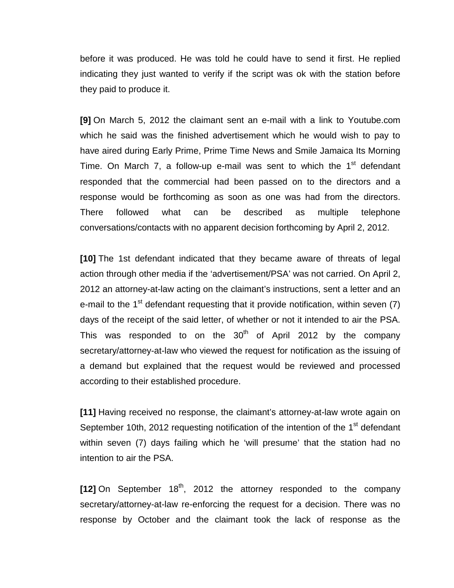before it was produced. He was told he could have to send it first. He replied indicating they just wanted to verify if the script was ok with the station before they paid to produce it.

**[9]** On March 5, 2012 the claimant sent an e-mail with a link to Youtube.com which he said was the finished advertisement which he would wish to pay to have aired during Early Prime, Prime Time News and Smile Jamaica Its Morning Time. On March 7, a follow-up e-mail was sent to which the  $1<sup>st</sup>$  defendant responded that the commercial had been passed on to the directors and a response would be forthcoming as soon as one was had from the directors. There followed what can be described as multiple telephone conversations/contacts with no apparent decision forthcoming by April 2, 2012.

**[10]** The 1st defendant indicated that they became aware of threats of legal action through other media if the 'advertisement/PSA' was not carried. On April 2, 2012 an attorney-at-law acting on the claimant's instructions, sent a letter and an e-mail to the  $1<sup>st</sup>$  defendant requesting that it provide notification, within seven (7) days of the receipt of the said letter, of whether or not it intended to air the PSA. This was responded to on the  $30<sup>th</sup>$  of April 2012 by the company secretary/attorney-at-law who viewed the request for notification as the issuing of a demand but explained that the request would be reviewed and processed according to their established procedure.

**[11]** Having received no response, the claimant's attorney-at-law wrote again on September 10th, 2012 requesting notification of the intention of the 1<sup>st</sup> defendant within seven (7) days failing which he 'will presume' that the station had no intention to air the PSA.

[12] On September 18<sup>th</sup>, 2012 the attorney responded to the company secretary/attorney-at-law re-enforcing the request for a decision. There was no response by October and the claimant took the lack of response as the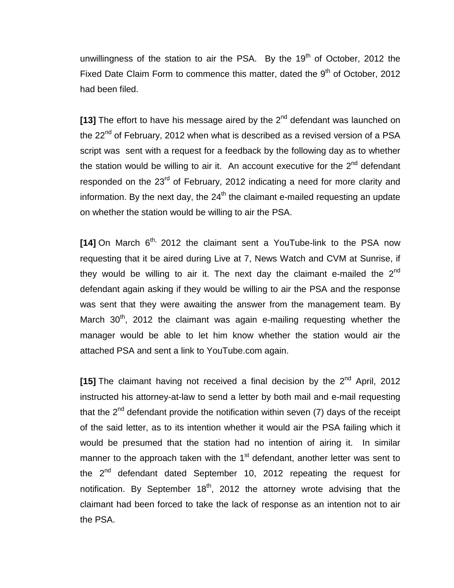unwillingness of the station to air the PSA. By the  $19<sup>th</sup>$  of October, 2012 the Fixed Date Claim Form to commence this matter, dated the  $9<sup>th</sup>$  of October, 2012 had been filed.

**[13]** The effort to have his message aired by the 2<sup>nd</sup> defendant was launched on the 22<sup>nd</sup> of February, 2012 when what is described as a revised version of a PSA script was sent with a request for a feedback by the following day as to whether the station would be willing to air it. An account executive for the  $2^{nd}$  defendant responded on the 23<sup>rd</sup> of February, 2012 indicating a need for more clarity and information. By the next day, the  $24<sup>th</sup>$  the claimant e-mailed requesting an update on whether the station would be willing to air the PSA.

**[14]** On March 6<sup>th,</sup> 2012 the claimant sent a YouTube-link to the PSA now requesting that it be aired during Live at 7, News Watch and CVM at Sunrise, if they would be willing to air it. The next day the claimant e-mailed the  $2^{nd}$ defendant again asking if they would be willing to air the PSA and the response was sent that they were awaiting the answer from the management team. By March  $30<sup>th</sup>$ , 2012 the claimant was again e-mailing requesting whether the manager would be able to let him know whether the station would air the attached PSA and sent a link to YouTube.com again.

[15] The claimant having not received a final decision by the 2<sup>nd</sup> April, 2012 instructed his attorney-at-law to send a letter by both mail and e-mail requesting that the  $2<sup>nd</sup>$  defendant provide the notification within seven (7) days of the receipt of the said letter, as to its intention whether it would air the PSA failing which it would be presumed that the station had no intention of airing it. In similar manner to the approach taken with the  $1<sup>st</sup>$  defendant, another letter was sent to the  $2^{nd}$  defendant dated September 10, 2012 repeating the request for notification. By September  $18<sup>th</sup>$ , 2012 the attorney wrote advising that the claimant had been forced to take the lack of response as an intention not to air the PSA.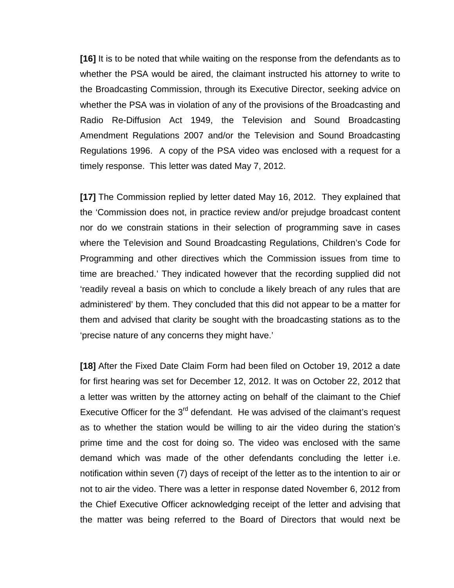**[16]** It is to be noted that while waiting on the response from the defendants as to whether the PSA would be aired, the claimant instructed his attorney to write to the Broadcasting Commission, through its Executive Director, seeking advice on whether the PSA was in violation of any of the provisions of the Broadcasting and Radio Re-Diffusion Act 1949, the Television and Sound Broadcasting Amendment Regulations 2007 and/or the Television and Sound Broadcasting Regulations 1996. A copy of the PSA video was enclosed with a request for a timely response. This letter was dated May 7, 2012.

**[17]** The Commission replied by letter dated May 16, 2012. They explained that the 'Commission does not, in practice review and/or prejudge broadcast content nor do we constrain stations in their selection of programming save in cases where the Television and Sound Broadcasting Regulations, Children's Code for Programming and other directives which the Commission issues from time to time are breached.' They indicated however that the recording supplied did not 'readily reveal a basis on which to conclude a likely breach of any rules that are administered' by them. They concluded that this did not appear to be a matter for them and advised that clarity be sought with the broadcasting stations as to the 'precise nature of any concerns they might have.'

**[18]** After the Fixed Date Claim Form had been filed on October 19, 2012 a date for first hearing was set for December 12, 2012. It was on October 22, 2012 that a letter was written by the attorney acting on behalf of the claimant to the Chief Executive Officer for the  $3<sup>rd</sup>$  defendant. He was advised of the claimant's request as to whether the station would be willing to air the video during the station's prime time and the cost for doing so. The video was enclosed with the same demand which was made of the other defendants concluding the letter i.e. notification within seven (7) days of receipt of the letter as to the intention to air or not to air the video. There was a letter in response dated November 6, 2012 from the Chief Executive Officer acknowledging receipt of the letter and advising that the matter was being referred to the Board of Directors that would next be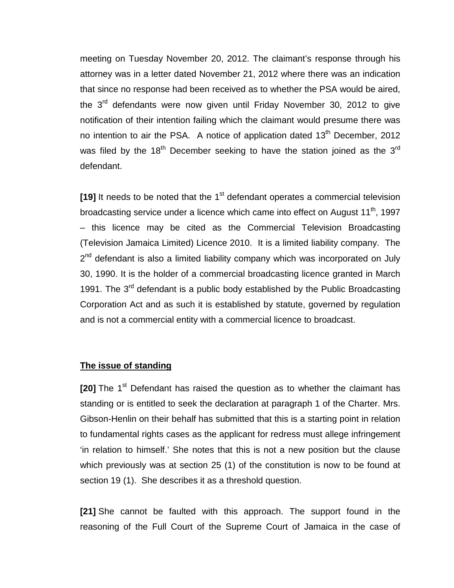meeting on Tuesday November 20, 2012. The claimant's response through his attorney was in a letter dated November 21, 2012 where there was an indication that since no response had been received as to whether the PSA would be aired, the 3<sup>rd</sup> defendants were now given until Friday November 30, 2012 to give notification of their intention failing which the claimant would presume there was no intention to air the PSA. A notice of application dated 13<sup>th</sup> December, 2012 was filed by the 18<sup>th</sup> December seeking to have the station joined as the 3<sup>rd</sup> defendant.

**[19]** It needs to be noted that the 1<sup>st</sup> defendant operates a commercial television broadcasting service under a licence which came into effect on August 11<sup>th</sup>, 1997 – this licence may be cited as the Commercial Television Broadcasting (Television Jamaica Limited) Licence 2010. It is a limited liability company. The 2<sup>nd</sup> defendant is also a limited liability company which was incorporated on July 30, 1990. It is the holder of a commercial broadcasting licence granted in March 1991. The  $3<sup>rd</sup>$  defendant is a public body established by the Public Broadcasting Corporation Act and as such it is established by statute, governed by regulation and is not a commercial entity with a commercial licence to broadcast.

#### **The issue of standing**

**[20]** The 1<sup>st</sup> Defendant has raised the question as to whether the claimant has standing or is entitled to seek the declaration at paragraph 1 of the Charter. Mrs. Gibson-Henlin on their behalf has submitted that this is a starting point in relation to fundamental rights cases as the applicant for redress must allege infringement 'in relation to himself.' She notes that this is not a new position but the clause which previously was at section 25 (1) of the constitution is now to be found at section 19 (1). She describes it as a threshold question.

**[21]** She cannot be faulted with this approach. The support found in the reasoning of the Full Court of the Supreme Court of Jamaica in the case of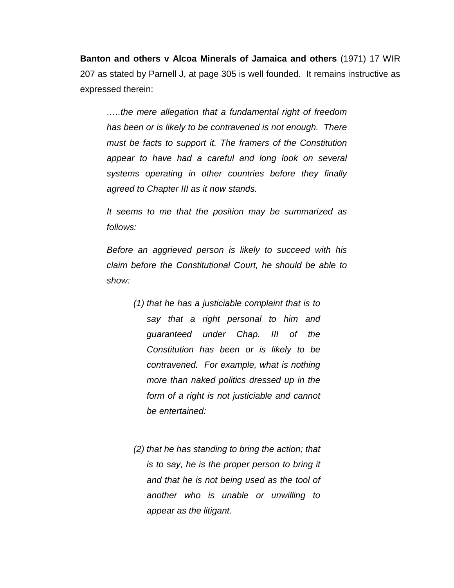**Banton and others v Alcoa Minerals of Jamaica and others** (1971) 17 WIR 207 as stated by Parnell J, at page 305 is well founded. It remains instructive as expressed therein:

*…..the mere allegation that a fundamental right of freedom has been or is likely to be contravened is not enough. There must be facts to support it. The framers of the Constitution appear to have had a careful and long look on several systems operating in other countries before they finally agreed to Chapter III as it now stands.*

*It seems to me that the position may be summarized as follows:*

*Before an aggrieved person is likely to succeed with his claim before the Constitutional Court, he should be able to show:*

- *(1) that he has a justiciable complaint that is to say that a right personal to him and guaranteed under Chap. III of the Constitution has been or is likely to be contravened. For example, what is nothing more than naked politics dressed up in the form of a right is not justiciable and cannot be entertained:*
- *(2) that he has standing to bring the action; that is to say, he is the proper person to bring it and that he is not being used as the tool of another who is unable or unwilling to appear as the litigant.*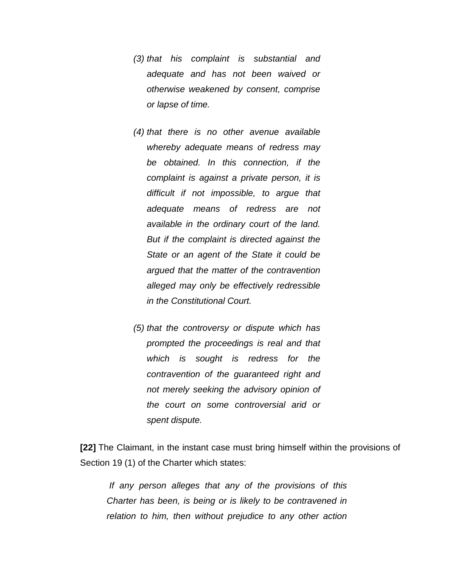- *(3) that his complaint is substantial and adequate and has not been waived or otherwise weakened by consent, comprise or lapse of time.*
- *(4) that there is no other avenue available whereby adequate means of redress may be obtained. In this connection, if the complaint is against a private person, it is difficult if not impossible, to argue that adequate means of redress are not available in the ordinary court of the land. But if the complaint is directed against the State or an agent of the State it could be argued that the matter of the contravention alleged may only be effectively redressible in the Constitutional Court.*
- *(5) that the controversy or dispute which has prompted the proceedings is real and that which is sought is redress for the contravention of the guaranteed right and not merely seeking the advisory opinion of the court on some controversial arid or spent dispute.*

**[22]** The Claimant, in the instant case must bring himself within the provisions of Section 19 (1) of the Charter which states:

*If any person alleges that any of the provisions of this Charter has been, is being or is likely to be contravened in relation to him, then without prejudice to any other action*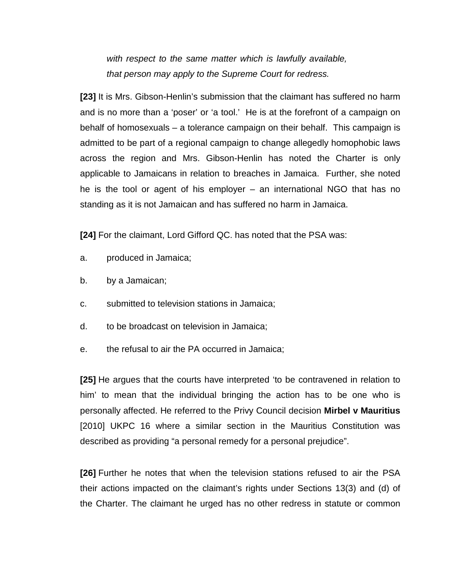*with respect to the same matter which is lawfully available, that person may apply to the Supreme Court for redress.*

**[23]** It is Mrs. Gibson-Henlin's submission that the claimant has suffered no harm and is no more than a 'poser' or 'a tool.' He is at the forefront of a campaign on behalf of homosexuals – a tolerance campaign on their behalf. This campaign is admitted to be part of a regional campaign to change allegedly homophobic laws across the region and Mrs. Gibson-Henlin has noted the Charter is only applicable to Jamaicans in relation to breaches in Jamaica. Further, she noted he is the tool or agent of his employer – an international NGO that has no standing as it is not Jamaican and has suffered no harm in Jamaica.

**[24]** For the claimant, Lord Gifford QC. has noted that the PSA was:

- a. produced in Jamaica;
- b. by a Jamaican;
- c. submitted to television stations in Jamaica;
- d. to be broadcast on television in Jamaica;
- e. the refusal to air the PA occurred in Jamaica;

**[25]** He argues that the courts have interpreted 'to be contravened in relation to him' to mean that the individual bringing the action has to be one who is personally affected. He referred to the Privy Council decision **Mirbel v Mauritius**  [2010] UKPC 16 where a similar section in the Mauritius Constitution was described as providing "a personal remedy for a personal prejudice".

**[26]** Further he notes that when the television stations refused to air the PSA their actions impacted on the claimant's rights under Sections 13(3) and (d) of the Charter. The claimant he urged has no other redress in statute or common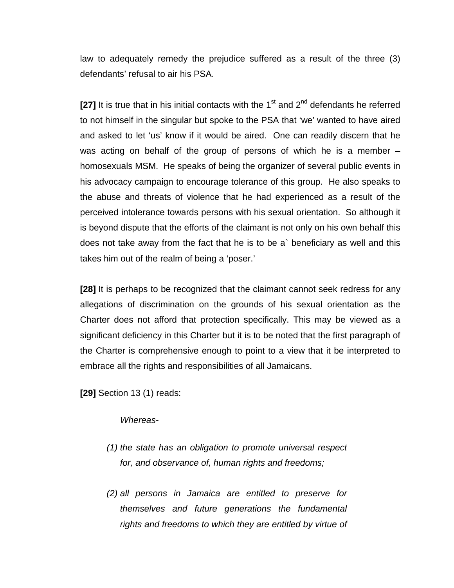law to adequately remedy the prejudice suffered as a result of the three (3) defendants' refusal to air his PSA.

**[27]** It is true that in his initial contacts with the  $1<sup>st</sup>$  and  $2<sup>nd</sup>$  defendants he referred to not himself in the singular but spoke to the PSA that 'we' wanted to have aired and asked to let 'us' know if it would be aired. One can readily discern that he was acting on behalf of the group of persons of which he is a member – homosexuals MSM. He speaks of being the organizer of several public events in his advocacy campaign to encourage tolerance of this group. He also speaks to the abuse and threats of violence that he had experienced as a result of the perceived intolerance towards persons with his sexual orientation. So although it is beyond dispute that the efforts of the claimant is not only on his own behalf this does not take away from the fact that he is to be a` beneficiary as well and this takes him out of the realm of being a 'poser.'

**[28]** It is perhaps to be recognized that the claimant cannot seek redress for any allegations of discrimination on the grounds of his sexual orientation as the Charter does not afford that protection specifically. This may be viewed as a significant deficiency in this Charter but it is to be noted that the first paragraph of the Charter is comprehensive enough to point to a view that it be interpreted to embrace all the rights and responsibilities of all Jamaicans.

**[29]** Section 13 (1) reads:

*Whereas-*

- *(1) the state has an obligation to promote universal respect for, and observance of, human rights and freedoms;*
- *(2) all persons in Jamaica are entitled to preserve for themselves and future generations the fundamental rights and freedoms to which they are entitled by virtue of*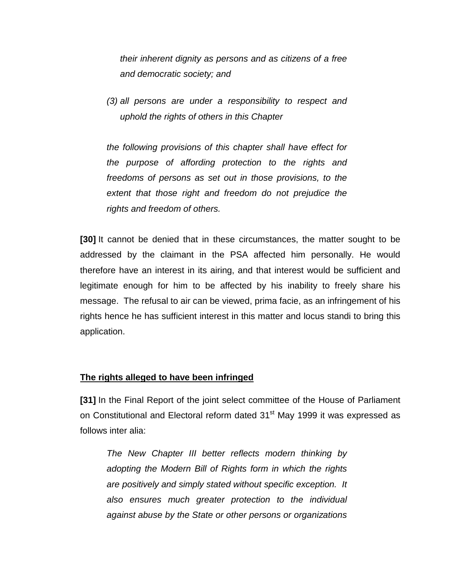*their inherent dignity as persons and as citizens of a free and democratic society; and*

*(3) all persons are under a responsibility to respect and uphold the rights of others in this Chapter*

*the following provisions of this chapter shall have effect for the purpose of affording protection to the rights and freedoms of persons as set out in those provisions, to the extent that those right and freedom do not prejudice the rights and freedom of others.*

**[30]** It cannot be denied that in these circumstances, the matter sought to be addressed by the claimant in the PSA affected him personally. He would therefore have an interest in its airing, and that interest would be sufficient and legitimate enough for him to be affected by his inability to freely share his message. The refusal to air can be viewed, prima facie, as an infringement of his rights hence he has sufficient interest in this matter and locus standi to bring this application.

### **The rights alleged to have been infringed**

**[31]** In the Final Report of the joint select committee of the House of Parliament on Constitutional and Electoral reform dated 31<sup>st</sup> May 1999 it was expressed as follows inter alia:

*The New Chapter III better reflects modern thinking by adopting the Modern Bill of Rights form in which the rights are positively and simply stated without specific exception. It also ensures much greater protection to the individual against abuse by the State or other persons or organizations*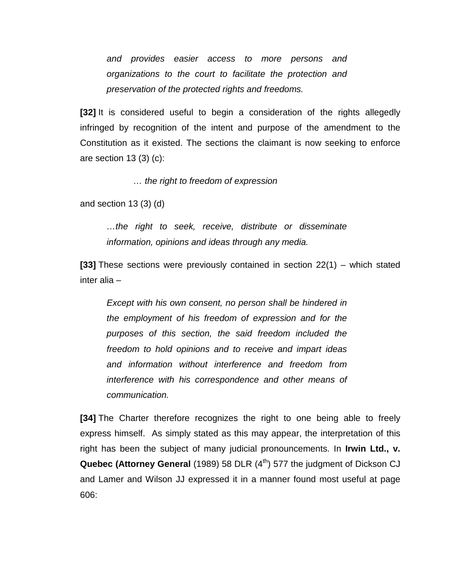*and provides easier access to more persons and organizations to the court to facilitate the protection and preservation of the protected rights and freedoms.*

**[32]** It is considered useful to begin a consideration of the rights allegedly infringed by recognition of the intent and purpose of the amendment to the Constitution as it existed. The sections the claimant is now seeking to enforce are section 13 (3) (c):

*… the right to freedom of expression*

and section 13 (3) (d)

*…the right to seek, receive, distribute or disseminate information, opinions and ideas through any media.*

**[33]** These sections were previously contained in section 22(1) – which stated inter alia –

*Except with his own consent, no person shall be hindered in the employment of his freedom of expression and for the purposes of this section, the said freedom included the freedom to hold opinions and to receive and impart ideas and information without interference and freedom from interference with his correspondence and other means of communication.*

**[34]** The Charter therefore recognizes the right to one being able to freely express himself. As simply stated as this may appear, the interpretation of this right has been the subject of many judicial pronouncements. In **Irwin Ltd., v. Quebec (Attorney General** (1989) 58 DLR (4<sup>th</sup>) 577 the judgment of Dickson CJ and Lamer and Wilson JJ expressed it in a manner found most useful at page 606: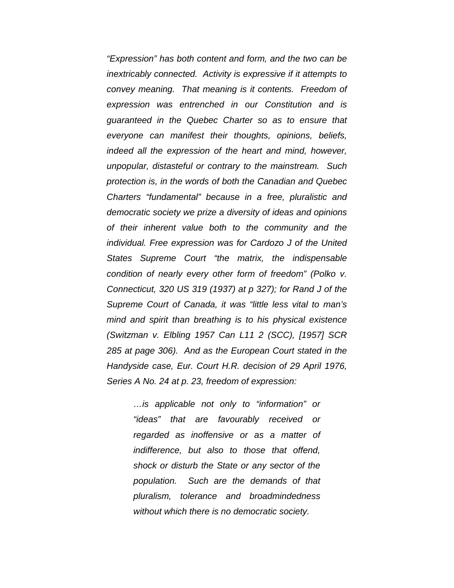*"Expression" has both content and form, and the two can be inextricably connected. Activity is expressive if it attempts to convey meaning. That meaning is it contents. Freedom of expression was entrenched in our Constitution and is guaranteed in the Quebec Charter so as to ensure that everyone can manifest their thoughts, opinions, beliefs, indeed all the expression of the heart and mind, however, unpopular, distasteful or contrary to the mainstream. Such protection is, in the words of both the Canadian and Quebec Charters "fundamental" because in a free, pluralistic and democratic society we prize a diversity of ideas and opinions of their inherent value both to the community and the individual. Free expression was for Cardozo J of the United States Supreme Court "the matrix, the indispensable condition of nearly every other form of freedom" (Polko v. Connecticut, 320 US 319 (1937) at p 327); for Rand J of the Supreme Court of Canada, it was "little less vital to man's mind and spirit than breathing is to his physical existence (Switzman v. Elbling 1957 Can L11 2 (SCC), [1957] SCR 285 at page 306). And as the European Court stated in the Handyside case, Eur. Court H.R. decision of 29 April 1976, Series A No. 24 at p. 23, freedom of expression:*

> *…is applicable not only to "information" or "ideas" that are favourably received or regarded as inoffensive or as a matter of indifference, but also to those that offend, shock or disturb the State or any sector of the population. Such are the demands of that pluralism, tolerance and broadmindedness without which there is no democratic society.*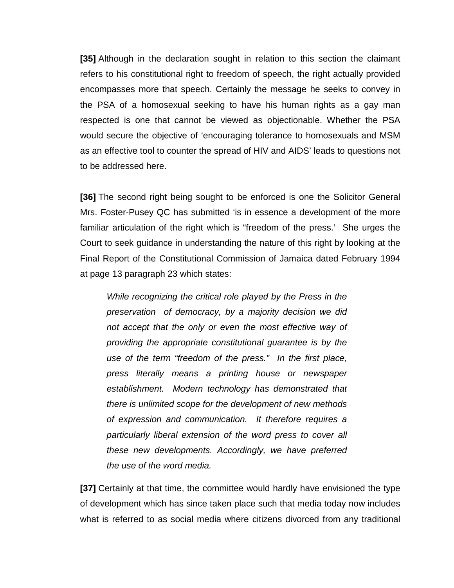**[35]** Although in the declaration sought in relation to this section the claimant refers to his constitutional right to freedom of speech, the right actually provided encompasses more that speech. Certainly the message he seeks to convey in the PSA of a homosexual seeking to have his human rights as a gay man respected is one that cannot be viewed as objectionable. Whether the PSA would secure the objective of 'encouraging tolerance to homosexuals and MSM as an effective tool to counter the spread of HIV and AIDS' leads to questions not to be addressed here.

**[36]** The second right being sought to be enforced is one the Solicitor General Mrs. Foster-Pusey QC has submitted 'is in essence a development of the more familiar articulation of the right which is "freedom of the press.' She urges the Court to seek guidance in understanding the nature of this right by looking at the Final Report of the Constitutional Commission of Jamaica dated February 1994 at page 13 paragraph 23 which states:

*While recognizing the critical role played by the Press in the preservation of democracy, by a majority decision we did not accept that the only or even the most effective way of providing the appropriate constitutional guarantee is by the use of the term "freedom of the press." In the first place, press literally means a printing house or newspaper establishment. Modern technology has demonstrated that there is unlimited scope for the development of new methods of expression and communication. It therefore requires a particularly liberal extension of the word press to cover all these new developments. Accordingly, we have preferred the use of the word media.*

**[37]** Certainly at that time, the committee would hardly have envisioned the type of development which has since taken place such that media today now includes what is referred to as social media where citizens divorced from any traditional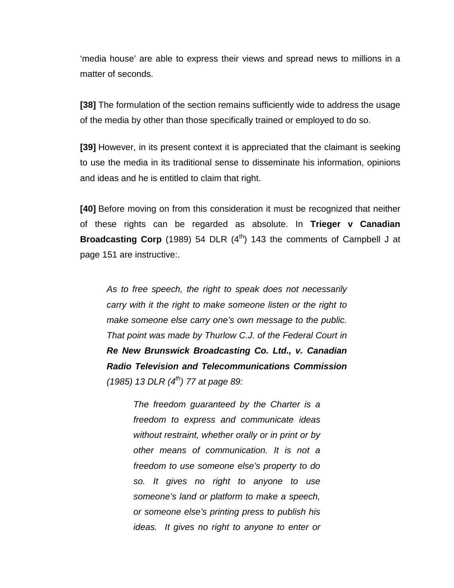'media house' are able to express their views and spread news to millions in a matter of seconds.

**[38]** The formulation of the section remains sufficiently wide to address the usage of the media by other than those specifically trained or employed to do so.

**[39]** However, in its present context it is appreciated that the claimant is seeking to use the media in its traditional sense to disseminate his information, opinions and ideas and he is entitled to claim that right.

**[40]** Before moving on from this consideration it must be recognized that neither of these rights can be regarded as absolute. In **Trieger v Canadian Broadcasting Corp** (1989) 54 DLR (4<sup>th</sup>) 143 the comments of Campbell J at page 151 are instructive:.

*As to free speech, the right to speak does not necessarily carry with it the right to make someone listen or the right to make someone else carry one's own message to the public. That point was made by Thurlow C.J. of the Federal Court in Re New Brunswick Broadcasting Co. Ltd., v. Canadian Radio Television and Telecommunications Commission (1985) 13 DLR (4th) 77 at page 89:*

> *The freedom guaranteed by the Charter is a freedom to express and communicate ideas without restraint, whether orally or in print or by other means of communication. It is not a freedom to use someone else's property to do so. It gives no right to anyone to use someone's land or platform to make a speech, or someone else's printing press to publish his ideas. It gives no right to anyone to enter or*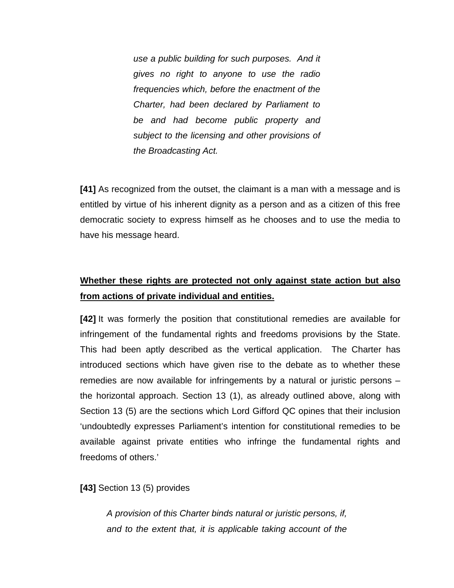*use a public building for such purposes. And it gives no right to anyone to use the radio frequencies which, before the enactment of the Charter, had been declared by Parliament to be and had become public property and subject to the licensing and other provisions of the Broadcasting Act.*

**[41]** As recognized from the outset, the claimant is a man with a message and is entitled by virtue of his inherent dignity as a person and as a citizen of this free democratic society to express himself as he chooses and to use the media to have his message heard.

## **Whether these rights are protected not only against state action but also from actions of private individual and entities.**

**[42]** It was formerly the position that constitutional remedies are available for infringement of the fundamental rights and freedoms provisions by the State. This had been aptly described as the vertical application. The Charter has introduced sections which have given rise to the debate as to whether these remedies are now available for infringements by a natural or juristic persons – the horizontal approach. Section 13 (1), as already outlined above, along with Section 13 (5) are the sections which Lord Gifford QC opines that their inclusion 'undoubtedly expresses Parliament's intention for constitutional remedies to be available against private entities who infringe the fundamental rights and freedoms of others.'

**[43]** Section 13 (5) provides

*A provision of this Charter binds natural or juristic persons, if, and to the extent that, it is applicable taking account of the*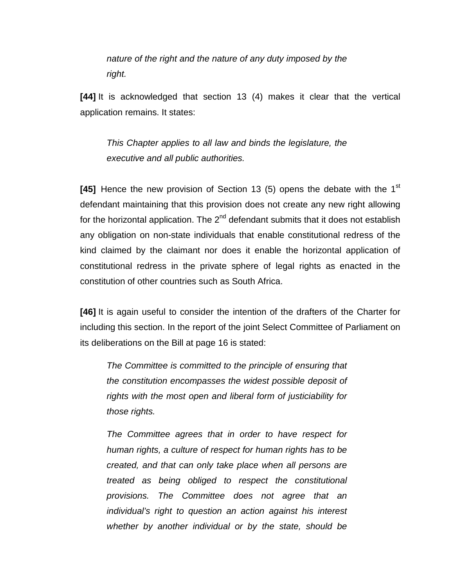*nature of the right and the nature of any duty imposed by the right.*

**[44]** It is acknowledged that section 13 (4) makes it clear that the vertical application remains. It states:

*This Chapter applies to all law and binds the legislature, the executive and all public authorities.* 

**[45]** Hence the new provision of Section 13 (5) opens the debate with the 1st defendant maintaining that this provision does not create any new right allowing for the horizontal application. The  $2^{nd}$  defendant submits that it does not establish any obligation on non-state individuals that enable constitutional redress of the kind claimed by the claimant nor does it enable the horizontal application of constitutional redress in the private sphere of legal rights as enacted in the constitution of other countries such as South Africa.

**[46]** It is again useful to consider the intention of the drafters of the Charter for including this section. In the report of the joint Select Committee of Parliament on its deliberations on the Bill at page 16 is stated:

*The Committee is committed to the principle of ensuring that the constitution encompasses the widest possible deposit of rights with the most open and liberal form of justiciability for those rights.*

*The Committee agrees that in order to have respect for human rights, a culture of respect for human rights has to be created, and that can only take place when all persons are treated as being obliged to respect the constitutional provisions. The Committee does not agree that an individual's right to question an action against his interest whether by another individual or by the state, should be*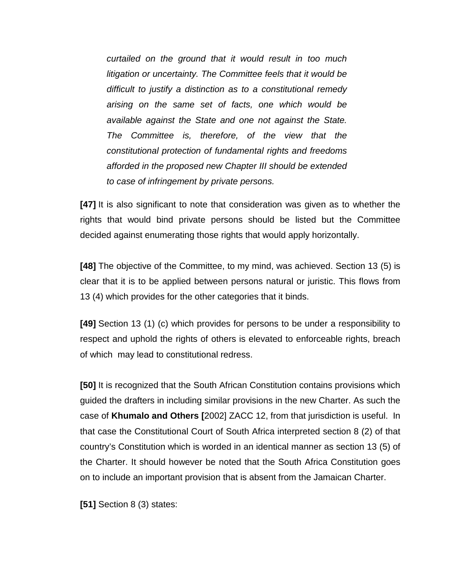*curtailed on the ground that it would result in too much litigation or uncertainty. The Committee feels that it would be difficult to justify a distinction as to a constitutional remedy arising on the same set of facts, one which would be available against the State and one not against the State. The Committee is, therefore, of the view that the constitutional protection of fundamental rights and freedoms afforded in the proposed new Chapter III should be extended to case of infringement by private persons.*

**[47]** It is also significant to note that consideration was given as to whether the rights that would bind private persons should be listed but the Committee decided against enumerating those rights that would apply horizontally.

**[48]** The objective of the Committee, to my mind, was achieved. Section 13 (5) is clear that it is to be applied between persons natural or juristic. This flows from 13 (4) which provides for the other categories that it binds.

**[49]** Section 13 (1) (c) which provides for persons to be under a responsibility to respect and uphold the rights of others is elevated to enforceable rights, breach of which may lead to constitutional redress.

**[50]** It is recognized that the South African Constitution contains provisions which guided the drafters in including similar provisions in the new Charter. As such the case of **Khumalo and Others [**2002] ZACC 12, from that jurisdiction is useful. In that case the Constitutional Court of South Africa interpreted section 8 (2) of that country's Constitution which is worded in an identical manner as section 13 (5) of the Charter. It should however be noted that the South Africa Constitution goes on to include an important provision that is absent from the Jamaican Charter.

**[51]** Section 8 (3) states: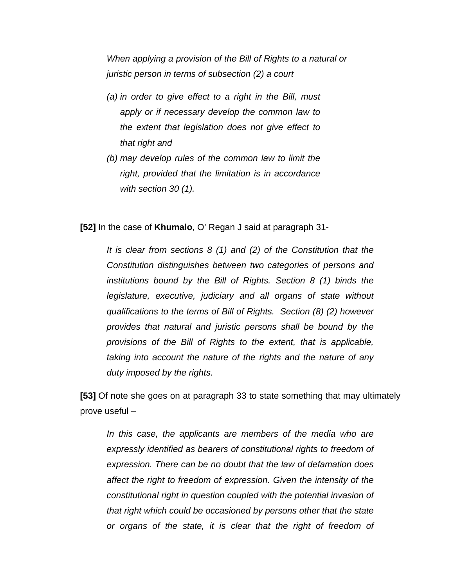*When applying a provision of the Bill of Rights to a natural or juristic person in terms of subsection (2) a court*

- *(a) in order to give effect to a right in the Bill, must apply or if necessary develop the common law to the extent that legislation does not give effect to that right and*
- *(b) may develop rules of the common law to limit the right, provided that the limitation is in accordance with section 30 (1).*

**[52]** In the case of **Khumalo**, O' Regan J said at paragraph 31-

*It is clear from sections 8 (1) and (2) of the Constitution that the Constitution distinguishes between two categories of persons and institutions bound by the Bill of Rights. Section 8 (1) binds the legislature, executive, judiciary and all organs of state without qualifications to the terms of Bill of Rights. Section (8) (2) however provides that natural and juristic persons shall be bound by the provisions of the Bill of Rights to the extent, that is applicable, taking into account the nature of the rights and the nature of any duty imposed by the rights.*

**[53]** Of note she goes on at paragraph 33 to state something that may ultimately prove useful –

*In this case, the applicants are members of the media who are expressly identified as bearers of constitutional rights to freedom of expression. There can be no doubt that the law of defamation does affect the right to freedom of expression. Given the intensity of the constitutional right in question coupled with the potential invasion of that right which could be occasioned by persons other that the state or organs of the state, it is clear that the right of freedom of*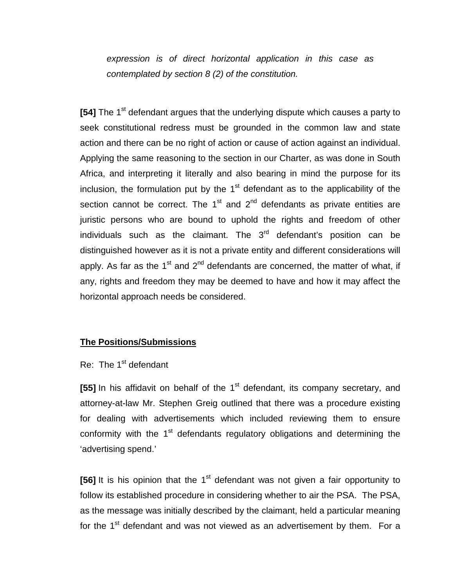*expression is of direct horizontal application in this case as contemplated by section 8 (2) of the constitution.*

**[54]** The 1<sup>st</sup> defendant argues that the underlying dispute which causes a party to seek constitutional redress must be grounded in the common law and state action and there can be no right of action or cause of action against an individual. Applying the same reasoning to the section in our Charter, as was done in South Africa, and interpreting it literally and also bearing in mind the purpose for its inclusion, the formulation put by the  $1<sup>st</sup>$  defendant as to the applicability of the section cannot be correct. The  $1<sup>st</sup>$  and  $2<sup>nd</sup>$  defendants as private entities are juristic persons who are bound to uphold the rights and freedom of other individuals such as the claimant. The  $3<sup>rd</sup>$  defendant's position can be distinguished however as it is not a private entity and different considerations will apply. As far as the  $1<sup>st</sup>$  and  $2<sup>nd</sup>$  defendants are concerned, the matter of what, if any, rights and freedom they may be deemed to have and how it may affect the horizontal approach needs be considered.

#### **The Positions/Submissions**

#### Re: The  $1<sup>st</sup>$  defendant

**[55]** In his affidavit on behalf of the 1<sup>st</sup> defendant, its company secretary, and attorney-at-law Mr. Stephen Greig outlined that there was a procedure existing for dealing with advertisements which included reviewing them to ensure conformity with the  $1<sup>st</sup>$  defendants regulatory obligations and determining the 'advertising spend.'

**[56]** It is his opinion that the 1<sup>st</sup> defendant was not given a fair opportunity to follow its established procedure in considering whether to air the PSA. The PSA, as the message was initially described by the claimant, held a particular meaning for the  $1<sup>st</sup>$  defendant and was not viewed as an advertisement by them. For a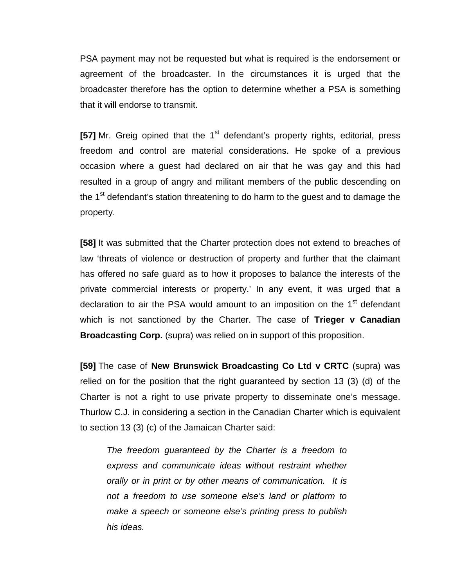PSA payment may not be requested but what is required is the endorsement or agreement of the broadcaster. In the circumstances it is urged that the broadcaster therefore has the option to determine whether a PSA is something that it will endorse to transmit.

[57] Mr. Greig opined that the 1<sup>st</sup> defendant's property rights, editorial, press freedom and control are material considerations. He spoke of a previous occasion where a guest had declared on air that he was gay and this had resulted in a group of angry and militant members of the public descending on the 1<sup>st</sup> defendant's station threatening to do harm to the quest and to damage the property.

**[58]** It was submitted that the Charter protection does not extend to breaches of law 'threats of violence or destruction of property and further that the claimant has offered no safe guard as to how it proposes to balance the interests of the private commercial interests or property.' In any event, it was urged that a declaration to air the PSA would amount to an imposition on the 1<sup>st</sup> defendant which is not sanctioned by the Charter. The case of **Trieger v Canadian Broadcasting Corp.** (supra) was relied on in support of this proposition.

**[59]** The case of **New Brunswick Broadcasting Co Ltd v CRTC** (supra) was relied on for the position that the right guaranteed by section 13 (3) (d) of the Charter is not a right to use private property to disseminate one's message. Thurlow C.J. in considering a section in the Canadian Charter which is equivalent to section 13 (3) (c) of the Jamaican Charter said:

*The freedom guaranteed by the Charter is a freedom to express and communicate ideas without restraint whether orally or in print or by other means of communication. It is not a freedom to use someone else's land or platform to make a speech or someone else's printing press to publish his ideas.*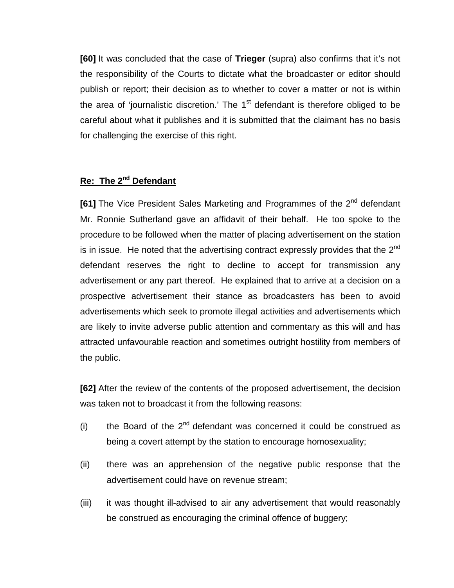**[60]** It was concluded that the case of **Trieger** (supra) also confirms that it's not the responsibility of the Courts to dictate what the broadcaster or editor should publish or report; their decision as to whether to cover a matter or not is within the area of 'journalistic discretion.' The  $1<sup>st</sup>$  defendant is therefore obliged to be careful about what it publishes and it is submitted that the claimant has no basis for challenging the exercise of this right.

### **Re: The 2nd Defendant**

**[61]** The Vice President Sales Marketing and Programmes of the 2<sup>nd</sup> defendant Mr. Ronnie Sutherland gave an affidavit of their behalf. He too spoke to the procedure to be followed when the matter of placing advertisement on the station is in issue. He noted that the advertising contract expressly provides that the  $2^{nd}$ defendant reserves the right to decline to accept for transmission any advertisement or any part thereof. He explained that to arrive at a decision on a prospective advertisement their stance as broadcasters has been to avoid advertisements which seek to promote illegal activities and advertisements which are likely to invite adverse public attention and commentary as this will and has attracted unfavourable reaction and sometimes outright hostility from members of the public.

**[62]** After the review of the contents of the proposed advertisement, the decision was taken not to broadcast it from the following reasons:

- (i) the Board of the  $2^{nd}$  defendant was concerned it could be construed as being a covert attempt by the station to encourage homosexuality;
- (ii) there was an apprehension of the negative public response that the advertisement could have on revenue stream;
- (iii) it was thought ill-advised to air any advertisement that would reasonably be construed as encouraging the criminal offence of buggery;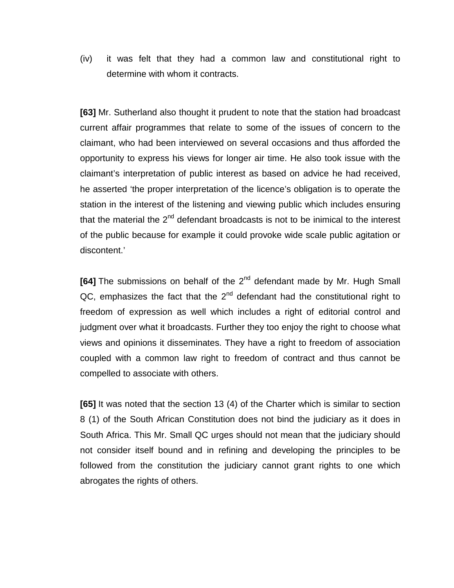(iv) it was felt that they had a common law and constitutional right to determine with whom it contracts.

**[63]** Mr. Sutherland also thought it prudent to note that the station had broadcast current affair programmes that relate to some of the issues of concern to the claimant, who had been interviewed on several occasions and thus afforded the opportunity to express his views for longer air time. He also took issue with the claimant's interpretation of public interest as based on advice he had received, he asserted 'the proper interpretation of the licence's obligation is to operate the station in the interest of the listening and viewing public which includes ensuring that the material the  $2^{nd}$  defendant broadcasts is not to be inimical to the interest of the public because for example it could provoke wide scale public agitation or discontent.'

[64] The submissions on behalf of the 2<sup>nd</sup> defendant made by Mr. Hugh Small  $QC$ , emphasizes the fact that the  $2<sup>nd</sup>$  defendant had the constitutional right to freedom of expression as well which includes a right of editorial control and judgment over what it broadcasts. Further they too enjoy the right to choose what views and opinions it disseminates. They have a right to freedom of association coupled with a common law right to freedom of contract and thus cannot be compelled to associate with others.

**[65]** It was noted that the section 13 (4) of the Charter which is similar to section 8 (1) of the South African Constitution does not bind the judiciary as it does in South Africa. This Mr. Small QC urges should not mean that the judiciary should not consider itself bound and in refining and developing the principles to be followed from the constitution the judiciary cannot grant rights to one which abrogates the rights of others.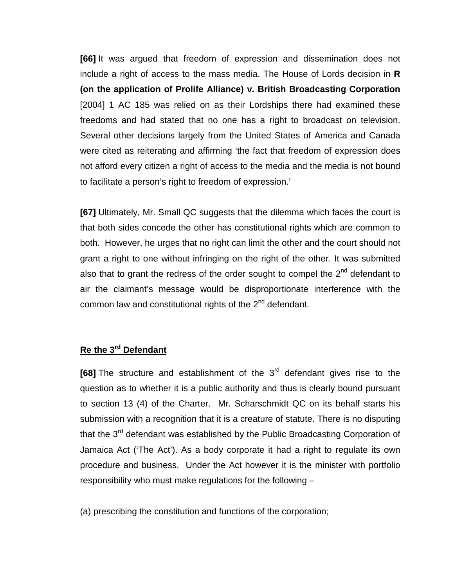**[66]** It was argued that freedom of expression and dissemination does not include a right of access to the mass media. The House of Lords decision in **R (on the application of Prolife Alliance) v. British Broadcasting Corporation**  [2004] 1 AC 185 was relied on as their Lordships there had examined these freedoms and had stated that no one has a right to broadcast on television. Several other decisions largely from the United States of America and Canada were cited as reiterating and affirming 'the fact that freedom of expression does not afford every citizen a right of access to the media and the media is not bound to facilitate a person's right to freedom of expression.'

**[67]** Ultimately, Mr. Small QC suggests that the dilemma which faces the court is that both sides concede the other has constitutional rights which are common to both. However, he urges that no right can limit the other and the court should not grant a right to one without infringing on the right of the other. It was submitted also that to grant the redress of the order sought to compel the  $2<sup>nd</sup>$  defendant to air the claimant's message would be disproportionate interference with the common law and constitutional rights of the 2<sup>nd</sup> defendant.

## **Re the 3rd Defendant**

**[68]** The structure and establishment of the 3<sup>rd</sup> defendant gives rise to the question as to whether it is a public authority and thus is clearly bound pursuant to section 13 (4) of the Charter. Mr. Scharschmidt QC on its behalf starts his submission with a recognition that it is a creature of statute. There is no disputing that the 3<sup>rd</sup> defendant was established by the Public Broadcasting Corporation of Jamaica Act ('The Act'). As a body corporate it had a right to regulate its own procedure and business. Under the Act however it is the minister with portfolio responsibility who must make regulations for the following –

(a) prescribing the constitution and functions of the corporation;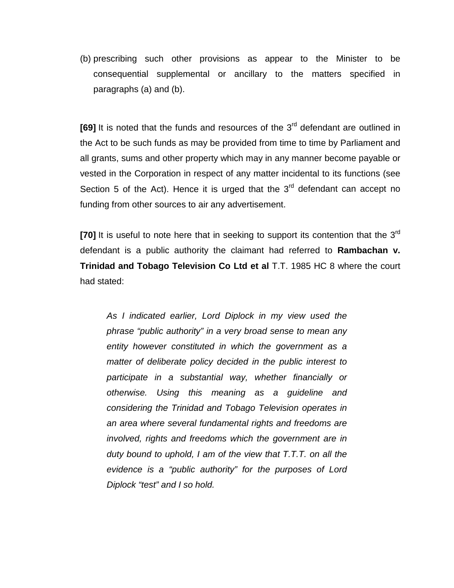(b) prescribing such other provisions as appear to the Minister to be consequential supplemental or ancillary to the matters specified in paragraphs (a) and (b).

**[69]** It is noted that the funds and resources of the 3<sup>rd</sup> defendant are outlined in the Act to be such funds as may be provided from time to time by Parliament and all grants, sums and other property which may in any manner become payable or vested in the Corporation in respect of any matter incidental to its functions (see Section 5 of the Act). Hence it is urged that the  $3<sup>rd</sup>$  defendant can accept no funding from other sources to air any advertisement.

**[70]** It is useful to note here that in seeking to support its contention that the 3<sup>rd</sup> defendant is a public authority the claimant had referred to **Rambachan v. Trinidad and Tobago Television Co Ltd et al** T.T. 1985 HC 8 where the court had stated:

*As I indicated earlier, Lord Diplock in my view used the phrase "public authority" in a very broad sense to mean any entity however constituted in which the government as a matter of deliberate policy decided in the public interest to participate in a substantial way, whether financially or otherwise. Using this meaning as a guideline and considering the Trinidad and Tobago Television operates in an area where several fundamental rights and freedoms are involved, rights and freedoms which the government are in duty bound to uphold, I am of the view that T.T.T. on all the evidence is a "public authority" for the purposes of Lord Diplock "test" and I so hold.*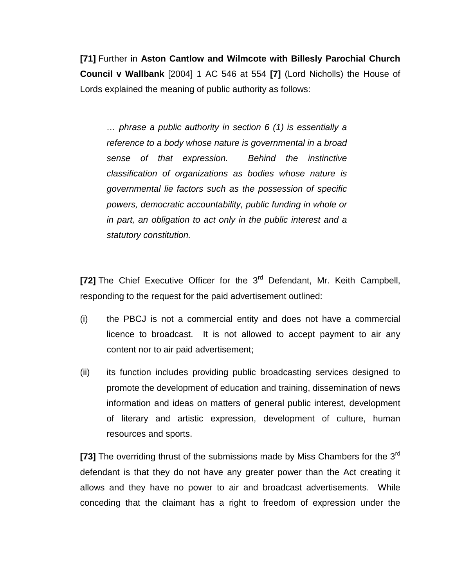**[71]** Further in **Aston Cantlow and Wilmcote with Billesly Parochial Church Council v Wallbank** [2004] 1 AC 546 at 554 **[7]** (Lord Nicholls) the House of Lords explained the meaning of public authority as follows:

*… phrase a public authority in section 6 (1) is essentially a reference to a body whose nature is governmental in a broad sense of that expression. Behind the instinctive classification of organizations as bodies whose nature is governmental lie factors such as the possession of specific powers, democratic accountability, public funding in whole or in part, an obligation to act only in the public interest and a statutory constitution.*

**[72]** The Chief Executive Officer for the 3<sup>rd</sup> Defendant, Mr. Keith Campbell, responding to the request for the paid advertisement outlined:

- (i) the PBCJ is not a commercial entity and does not have a commercial licence to broadcast. It is not allowed to accept payment to air any content nor to air paid advertisement;
- (ii) its function includes providing public broadcasting services designed to promote the development of education and training, dissemination of news information and ideas on matters of general public interest, development of literary and artistic expression, development of culture, human resources and sports.

**[73]** The overriding thrust of the submissions made by Miss Chambers for the 3rd defendant is that they do not have any greater power than the Act creating it allows and they have no power to air and broadcast advertisements. While conceding that the claimant has a right to freedom of expression under the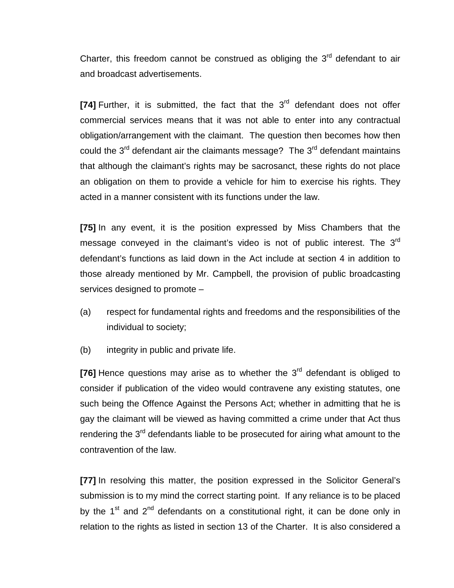Charter, this freedom cannot be construed as obliging the  $3<sup>rd</sup>$  defendant to air and broadcast advertisements.

**[74]** Further, it is submitted, the fact that the 3<sup>rd</sup> defendant does not offer commercial services means that it was not able to enter into any contractual obligation/arrangement with the claimant. The question then becomes how then could the  $3<sup>rd</sup>$  defendant air the claimants message? The  $3<sup>rd</sup>$  defendant maintains that although the claimant's rights may be sacrosanct, these rights do not place an obligation on them to provide a vehicle for him to exercise his rights. They acted in a manner consistent with its functions under the law.

**[75]** In any event, it is the position expressed by Miss Chambers that the message conveyed in the claimant's video is not of public interest. The  $3<sup>rd</sup>$ defendant's functions as laid down in the Act include at section 4 in addition to those already mentioned by Mr. Campbell, the provision of public broadcasting services designed to promote –

- (a) respect for fundamental rights and freedoms and the responsibilities of the individual to society;
- (b) integrity in public and private life.

**[76]** Hence questions may arise as to whether the 3<sup>rd</sup> defendant is obliged to consider if publication of the video would contravene any existing statutes, one such being the Offence Against the Persons Act; whether in admitting that he is gay the claimant will be viewed as having committed a crime under that Act thus rendering the 3<sup>rd</sup> defendants liable to be prosecuted for airing what amount to the contravention of the law.

**[77]** In resolving this matter, the position expressed in the Solicitor General's submission is to my mind the correct starting point. If any reliance is to be placed by the  $1^{st}$  and  $2^{nd}$  defendants on a constitutional right, it can be done only in relation to the rights as listed in section 13 of the Charter. It is also considered a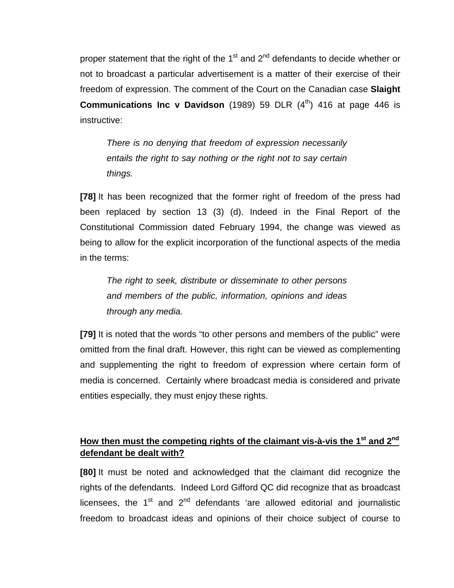proper statement that the right of the 1<sup>st</sup> and  $2<sup>nd</sup>$  defendants to decide whether or not to broadcast a particular advertisement is a matter of their exercise of their freedom of expression. The comment of the Court on the Canadian case **Slaight Communications Inc v Davidson** (1989) 59 DLR (4<sup>th</sup>) 416 at page 446 is instructive:

*There is no denying that freedom of expression necessarily entails the right to say nothing or the right not to say certain things.*

**[78]** It has been recognized that the former right of freedom of the press had been replaced by section 13 (3) (d). Indeed in the Final Report of the Constitutional Commission dated February 1994, the change was viewed as being to allow for the explicit incorporation of the functional aspects of the media in the terms:

*The right to seek, distribute or disseminate to other persons and members of the public, information, opinions and ideas through any media.*

**[79]** It is noted that the words "to other persons and members of the public" were omitted from the final draft. However, this right can be viewed as complementing and supplementing the right to freedom of expression where certain form of media is concerned. Certainly where broadcast media is considered and private entities especially, they must enjoy these rights.

## **How then must the competing rights of the claimant vis-à-vis the 1st and 2nd defendant be dealt with?**

**[80]** It must be noted and acknowledged that the claimant did recognize the rights of the defendants. Indeed Lord Gifford QC did recognize that as broadcast licensees, the  $1<sup>st</sup>$  and  $2<sup>nd</sup>$  defendants 'are allowed editorial and journalistic freedom to broadcast ideas and opinions of their choice subject of course to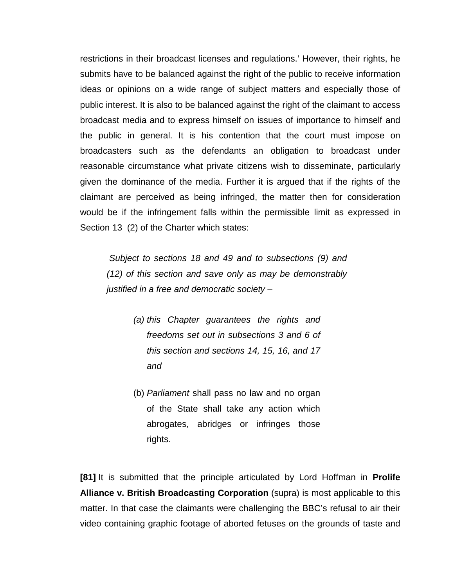restrictions in their broadcast licenses and regulations.' However, their rights, he submits have to be balanced against the right of the public to receive information ideas or opinions on a wide range of subject matters and especially those of public interest. It is also to be balanced against the right of the claimant to access broadcast media and to express himself on issues of importance to himself and the public in general. It is his contention that the court must impose on broadcasters such as the defendants an obligation to broadcast under reasonable circumstance what private citizens wish to disseminate, particularly given the dominance of the media. Further it is argued that if the rights of the claimant are perceived as being infringed, the matter then for consideration would be if the infringement falls within the permissible limit as expressed in Section 13 (2) of the Charter which states:

*Subject to sections 18 and 49 and to subsections (9) and (12) of this section and save only as may be demonstrably justified in a free and democratic society –*

- *(a) this Chapter guarantees the rights and freedoms set out in subsections 3 and 6 of this section and sections 14, 15, 16, and 17 and*
- (b) *Parliament* shall pass no law and no organ of the State shall take any action which abrogates, abridges or infringes those rights.

**[81]** It is submitted that the principle articulated by Lord Hoffman in **Prolife Alliance v. British Broadcasting Corporation** (supra) is most applicable to this matter. In that case the claimants were challenging the BBC's refusal to air their video containing graphic footage of aborted fetuses on the grounds of taste and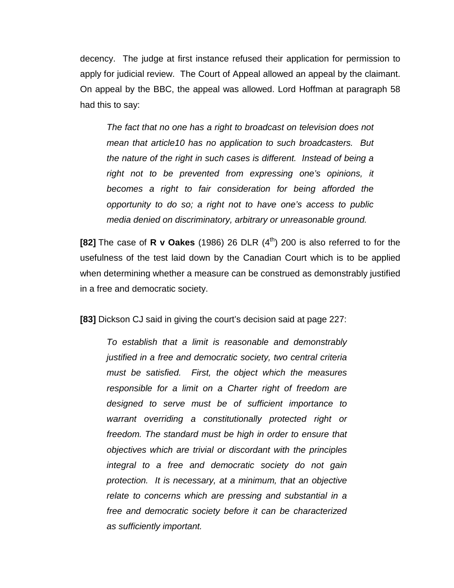decency. The judge at first instance refused their application for permission to apply for judicial review. The Court of Appeal allowed an appeal by the claimant. On appeal by the BBC, the appeal was allowed. Lord Hoffman at paragraph 58 had this to say:

*The fact that no one has a right to broadcast on television does not mean that article10 has no application to such broadcasters. But the nature of the right in such cases is different. Instead of being a right not to be prevented from expressing one's opinions, it becomes a right to fair consideration for being afforded the opportunity to do so; a right not to have one's access to public media denied on discriminatory, arbitrary or unreasonable ground.*

**[82]** The case of **R v Oakes** (1986) 26 DLR  $(4^{th})$  200 is also referred to for the usefulness of the test laid down by the Canadian Court which is to be applied when determining whether a measure can be construed as demonstrably justified in a free and democratic society.

**[83]** Dickson CJ said in giving the court's decision said at page 227:

*To establish that a limit is reasonable and demonstrably justified in a free and democratic society, two central criteria must be satisfied. First, the object which the measures responsible for a limit on a Charter right of freedom are designed to serve must be of sufficient importance to warrant overriding a constitutionally protected right or freedom. The standard must be high in order to ensure that objectives which are trivial or discordant with the principles integral to a free and democratic society do not gain protection. It is necessary, at a minimum, that an objective relate to concerns which are pressing and substantial in a free and democratic society before it can be characterized as sufficiently important.*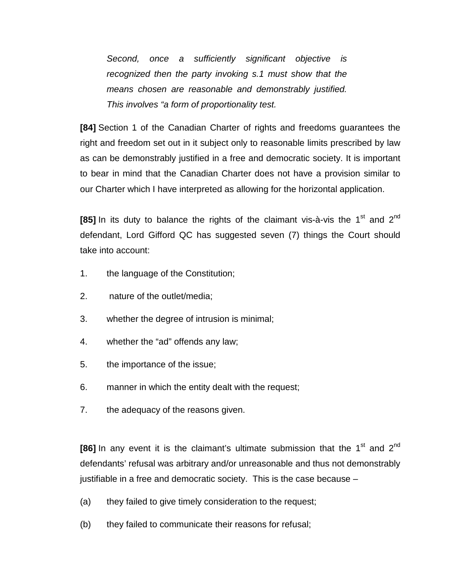*Second, once a sufficiently significant objective is recognized then the party invoking s.1 must show that the means chosen are reasonable and demonstrably justified. This involves "a form of proportionality test.*

**[84]** Section 1 of the Canadian Charter of rights and freedoms guarantees the right and freedom set out in it subject only to reasonable limits prescribed by law as can be demonstrably justified in a free and democratic society. It is important to bear in mind that the Canadian Charter does not have a provision similar to our Charter which I have interpreted as allowing for the horizontal application.

**[85]** In its duty to balance the rights of the claimant vis-à-vis the 1<sup>st</sup> and 2<sup>nd</sup> defendant, Lord Gifford QC has suggested seven (7) things the Court should take into account:

- 1. the language of the Constitution;
- 2. nature of the outlet/media;
- 3. whether the degree of intrusion is minimal;
- 4. whether the "ad" offends any law;
- 5. the importance of the issue;
- 6. manner in which the entity dealt with the request;
- 7. the adequacy of the reasons given.

**[86]** In any event it is the claimant's ultimate submission that the 1<sup>st</sup> and 2<sup>nd</sup> defendants' refusal was arbitrary and/or unreasonable and thus not demonstrably justifiable in a free and democratic society. This is the case because –

- (a) they failed to give timely consideration to the request;
- (b) they failed to communicate their reasons for refusal;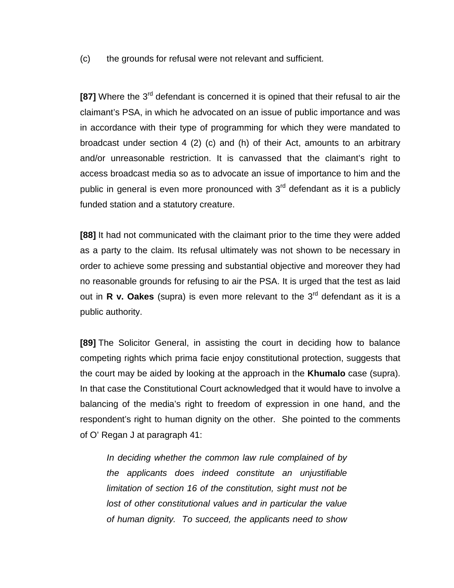(c) the grounds for refusal were not relevant and sufficient.

**[87]** Where the 3<sup>rd</sup> defendant is concerned it is opined that their refusal to air the claimant's PSA, in which he advocated on an issue of public importance and was in accordance with their type of programming for which they were mandated to broadcast under section 4 (2) (c) and (h) of their Act, amounts to an arbitrary and/or unreasonable restriction. It is canvassed that the claimant's right to access broadcast media so as to advocate an issue of importance to him and the public in general is even more pronounced with  $3<sup>rd</sup>$  defendant as it is a publicly funded station and a statutory creature.

**[88]** It had not communicated with the claimant prior to the time they were added as a party to the claim. Its refusal ultimately was not shown to be necessary in order to achieve some pressing and substantial objective and moreover they had no reasonable grounds for refusing to air the PSA. It is urged that the test as laid out in **R v. Oakes** (supra) is even more relevant to the 3<sup>rd</sup> defendant as it is a public authority.

**[89]** The Solicitor General, in assisting the court in deciding how to balance competing rights which prima facie enjoy constitutional protection, suggests that the court may be aided by looking at the approach in the **Khumalo** case (supra). In that case the Constitutional Court acknowledged that it would have to involve a balancing of the media's right to freedom of expression in one hand, and the respondent's right to human dignity on the other. She pointed to the comments of O' Regan J at paragraph 41:

*In deciding whether the common law rule complained of by the applicants does indeed constitute an unjustifiable limitation of section 16 of the constitution, sight must not be lost of other constitutional values and in particular the value of human dignity. To succeed, the applicants need to show*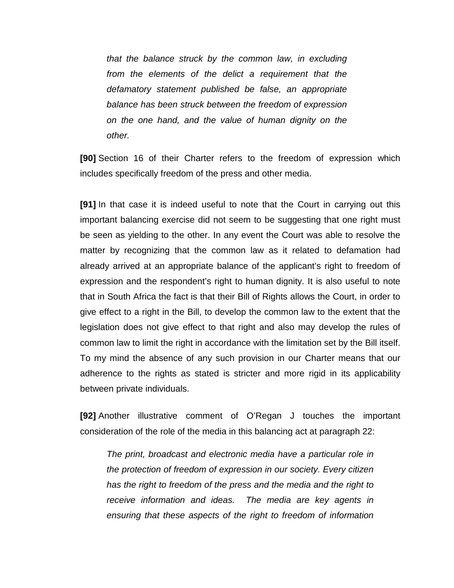*that the balance struck by the common law, in excluding from the elements of the delict a requirement that the defamatory statement published be false, an appropriate balance has been struck between the freedom of expression on the one hand, and the value of human dignity on the other.*

**[90]** Section 16 of their Charter refers to the freedom of expression which includes specifically freedom of the press and other media.

**[91]** In that case it is indeed useful to note that the Court in carrying out this important balancing exercise did not seem to be suggesting that one right must be seen as yielding to the other. In any event the Court was able to resolve the matter by recognizing that the common law as it related to defamation had already arrived at an appropriate balance of the applicant's right to freedom of expression and the respondent's right to human dignity. It is also useful to note that in South Africa the fact is that their Bill of Rights allows the Court, in order to give effect to a right in the Bill, to develop the common law to the extent that the legislation does not give effect to that right and also may develop the rules of common law to limit the right in accordance with the limitation set by the Bill itself. To my mind the absence of any such provision in our Charter means that our adherence to the rights as stated is stricter and more rigid in its applicability between private individuals.

**[92]** Another illustrative comment of O'Regan J touches the important consideration of the role of the media in this balancing act at paragraph 22:

*The print, broadcast and electronic media have a particular role in the protection of freedom of expression in our society. Every citizen has the right to freedom of the press and the media and the right to receive information and ideas. The media are key agents in ensuring that these aspects of the right to freedom of information*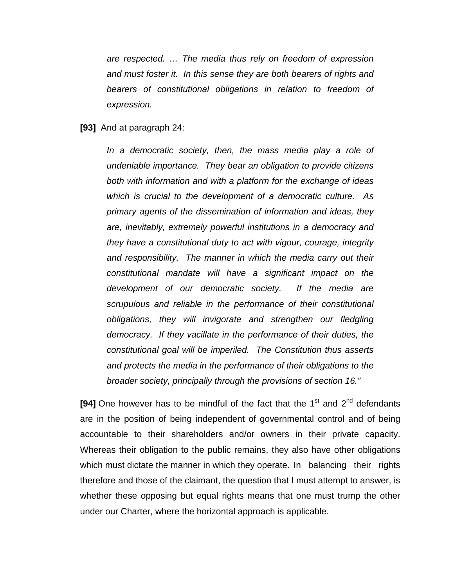*are respected. … The media thus rely on freedom of expression and must foster it. In this sense they are both bearers of rights and bearers of constitutional obligations in relation to freedom of expression.*

#### **[93]** And at paragraph 24:

*In a democratic society, then, the mass media play a role of undeniable importance. They bear an obligation to provide citizens both with information and with a platform for the exchange of ideas which is crucial to the development of a democratic culture. As primary agents of the dissemination of information and ideas, they are, inevitably, extremely powerful institutions in a democracy and they have a constitutional duty to act with vigour, courage, integrity and responsibility. The manner in which the media carry out their constitutional mandate will have a significant impact on the development of our democratic society. If the media are scrupulous and reliable in the performance of their constitutional obligations, they will invigorate and strengthen our fledgling democracy. If they vacillate in the performance of their duties, the constitutional goal will be imperiled. The Constitution thus asserts and protects the media in the performance of their obligations to the broader society, principally through the provisions of section 16."*

**[94]** One however has to be mindful of the fact that the  $1<sup>st</sup>$  and  $2<sup>nd</sup>$  defendants are in the position of being independent of governmental control and of being accountable to their shareholders and/or owners in their private capacity. Whereas their obligation to the public remains, they also have other obligations which must dictate the manner in which they operate. In balancing their rights therefore and those of the claimant, the question that I must attempt to answer, is whether these opposing but equal rights means that one must trump the other under our Charter, where the horizontal approach is applicable.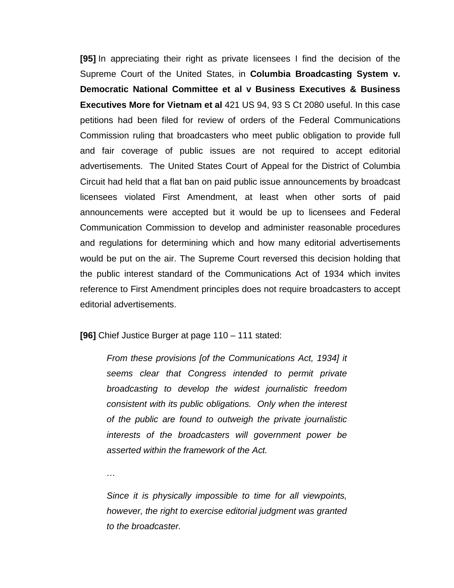**[95]** In appreciating their right as private licensees I find the decision of the Supreme Court of the United States, in **Columbia Broadcasting System v. Democratic National Committee et al v Business Executives & Business Executives More for Vietnam et al** 421 US 94, 93 S Ct 2080 useful. In this case petitions had been filed for review of orders of the Federal Communications Commission ruling that broadcasters who meet public obligation to provide full and fair coverage of public issues are not required to accept editorial advertisements. The United States Court of Appeal for the District of Columbia Circuit had held that a flat ban on paid public issue announcements by broadcast licensees violated First Amendment, at least when other sorts of paid announcements were accepted but it would be up to licensees and Federal Communication Commission to develop and administer reasonable procedures and regulations for determining which and how many editorial advertisements would be put on the air. The Supreme Court reversed this decision holding that the public interest standard of the Communications Act of 1934 which invites reference to First Amendment principles does not require broadcasters to accept editorial advertisements.

**[96]** Chief Justice Burger at page 110 – 111 stated:

*From these provisions [of the Communications Act, 1934] it seems clear that Congress intended to permit private broadcasting to develop the widest journalistic freedom consistent with its public obligations. Only when the interest of the public are found to outweigh the private journalistic interests of the broadcasters will government power be asserted within the framework of the Act.*

*…*

*Since it is physically impossible to time for all viewpoints, however, the right to exercise editorial judgment was granted to the broadcaster.*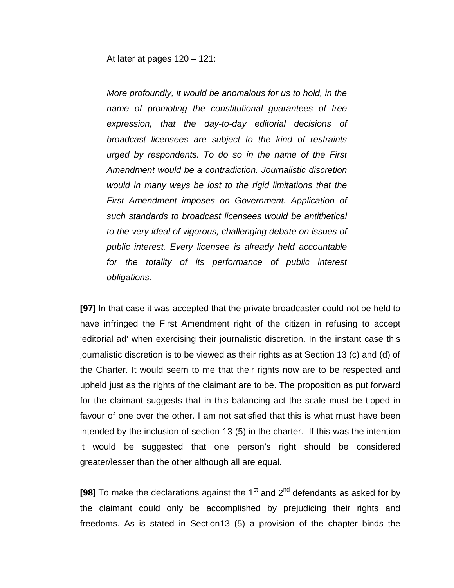At later at pages 120 – 121:

*More profoundly, it would be anomalous for us to hold, in the name of promoting the constitutional guarantees of free expression, that the day-to-day editorial decisions of broadcast licensees are subject to the kind of restraints urged by respondents. To do so in the name of the First Amendment would be a contradiction. Journalistic discretion would in many ways be lost to the rigid limitations that the First Amendment imposes on Government. Application of such standards to broadcast licensees would be antithetical to the very ideal of vigorous, challenging debate on issues of public interest. Every licensee is already held accountable*  for the totality of its performance of public interest *obligations.*

**[97]** In that case it was accepted that the private broadcaster could not be held to have infringed the First Amendment right of the citizen in refusing to accept 'editorial ad' when exercising their journalistic discretion. In the instant case this journalistic discretion is to be viewed as their rights as at Section 13 (c) and (d) of the Charter. It would seem to me that their rights now are to be respected and upheld just as the rights of the claimant are to be. The proposition as put forward for the claimant suggests that in this balancing act the scale must be tipped in favour of one over the other. I am not satisfied that this is what must have been intended by the inclusion of section 13 (5) in the charter. If this was the intention it would be suggested that one person's right should be considered greater/lesser than the other although all are equal.

**[98]** To make the declarations against the  $1<sup>st</sup>$  and  $2<sup>nd</sup>$  defendants as asked for by the claimant could only be accomplished by prejudicing their rights and freedoms. As is stated in Section13 (5) a provision of the chapter binds the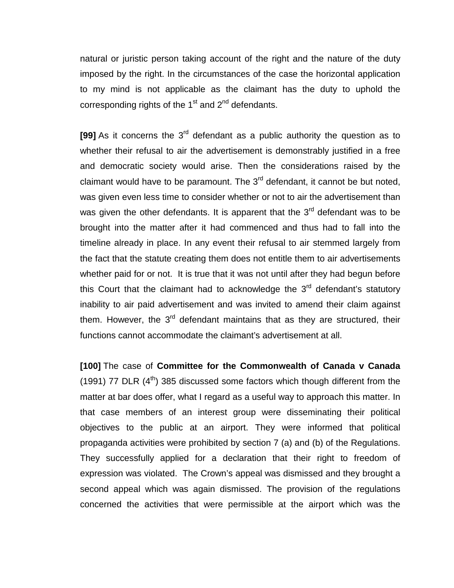natural or juristic person taking account of the right and the nature of the duty imposed by the right. In the circumstances of the case the horizontal application to my mind is not applicable as the claimant has the duty to uphold the corresponding rights of the  $1<sup>st</sup>$  and  $2<sup>nd</sup>$  defendants.

**[99]** As it concerns the 3<sup>rd</sup> defendant as a public authority the question as to whether their refusal to air the advertisement is demonstrably justified in a free and democratic society would arise. Then the considerations raised by the claimant would have to be paramount. The  $3<sup>rd</sup>$  defendant, it cannot be but noted, was given even less time to consider whether or not to air the advertisement than was given the other defendants. It is apparent that the  $3<sup>rd</sup>$  defendant was to be brought into the matter after it had commenced and thus had to fall into the timeline already in place. In any event their refusal to air stemmed largely from the fact that the statute creating them does not entitle them to air advertisements whether paid for or not. It is true that it was not until after they had begun before this Court that the claimant had to acknowledge the  $3<sup>rd</sup>$  defendant's statutory inability to air paid advertisement and was invited to amend their claim against them. However, the  $3<sup>rd</sup>$  defendant maintains that as they are structured, their functions cannot accommodate the claimant's advertisement at all.

**[100]** The case of **Committee for the Commonwealth of Canada v Canada** (1991) 77 DLR  $(4<sup>th</sup>)$  385 discussed some factors which though different from the matter at bar does offer, what I regard as a useful way to approach this matter. In that case members of an interest group were disseminating their political objectives to the public at an airport. They were informed that political propaganda activities were prohibited by section 7 (a) and (b) of the Regulations. They successfully applied for a declaration that their right to freedom of expression was violated. The Crown's appeal was dismissed and they brought a second appeal which was again dismissed. The provision of the regulations concerned the activities that were permissible at the airport which was the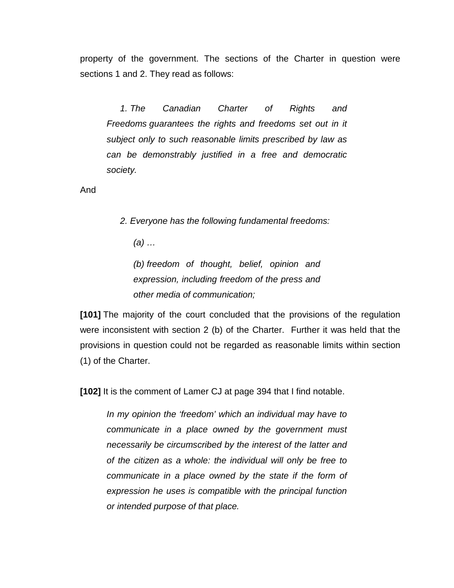property of the government. The sections of the Charter in question were sections 1 and 2. They read as follows:

*1. The Canadian Charter of Rights and Freedoms guarantees the rights and freedoms set out in it subject only to such reasonable limits prescribed by law as can be demonstrably justified in a free and democratic society.*

And

*2. Everyone has the following fundamental freedoms:*

*(a) …*

*(b) freedom of thought, belief, opinion and expression, including freedom of the press and other media of communication;*

**[101]** The majority of the court concluded that the provisions of the regulation were inconsistent with section 2 (b) of the Charter. Further it was held that the provisions in question could not be regarded as reasonable limits within section (1) of the Charter.

**[102]** It is the comment of Lamer CJ at page 394 that I find notable.

*In my opinion the 'freedom' which an individual may have to communicate in a place owned by the government must necessarily be circumscribed by the interest of the latter and of the citizen as a whole: the individual will only be free to communicate in a place owned by the state if the form of expression he uses is compatible with the principal function or intended purpose of that place.*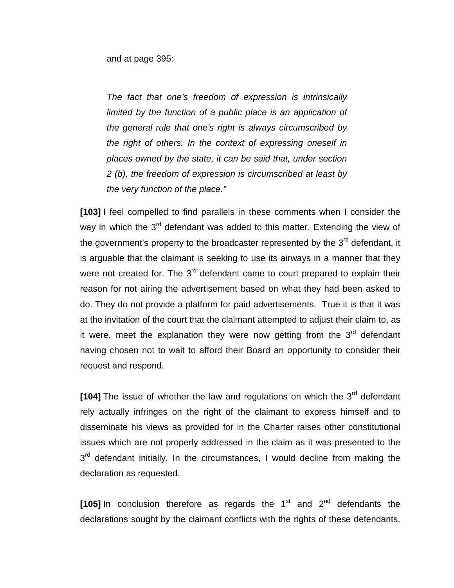and at page 395:

*The fact that one's freedom of expression is intrinsically limited by the function of a public place is an application of the general rule that one's right is always circumscribed by the right of others. In the context of expressing oneself in places owned by the state, it can be said that, under section 2 (b), the freedom of expression is circumscribed at least by the very function of the place."*

**[103]** I feel compelled to find parallels in these comments when I consider the way in which the  $3<sup>rd</sup>$  defendant was added to this matter. Extending the view of the government's property to the broadcaster represented by the  $3<sup>rd</sup>$  defendant, it is arguable that the claimant is seeking to use its airways in a manner that they were not created for. The  $3<sup>rd</sup>$  defendant came to court prepared to explain their reason for not airing the advertisement based on what they had been asked to do. They do not provide a platform for paid advertisements. True it is that it was at the invitation of the court that the claimant attempted to adjust their claim to, as it were, meet the explanation they were now getting from the  $3<sup>rd</sup>$  defendant having chosen not to wait to afford their Board an opportunity to consider their request and respond.

[104] The issue of whether the law and regulations on which the 3<sup>rd</sup> defendant rely actually infringes on the right of the claimant to express himself and to disseminate his views as provided for in the Charter raises other constitutional issues which are not properly addressed in the claim as it was presented to the  $3<sup>rd</sup>$  defendant initially. In the circumstances, I would decline from making the declaration as requested.

**[105]** In conclusion therefore as regards the  $1<sup>st</sup>$  and  $2<sup>nd</sup>$  defendants the declarations sought by the claimant conflicts with the rights of these defendants.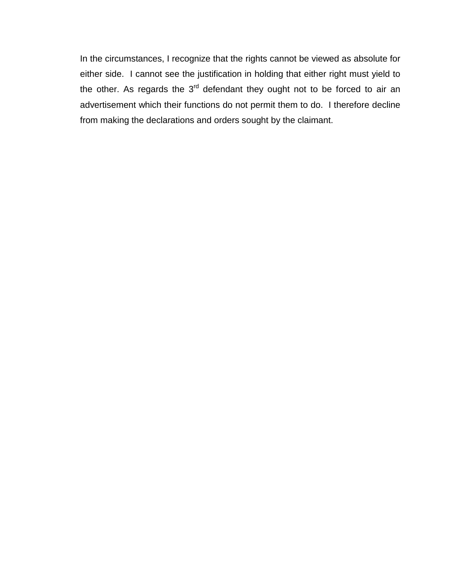In the circumstances, I recognize that the rights cannot be viewed as absolute for either side. I cannot see the justification in holding that either right must yield to the other. As regards the  $3<sup>rd</sup>$  defendant they ought not to be forced to air an advertisement which their functions do not permit them to do. I therefore decline from making the declarations and orders sought by the claimant.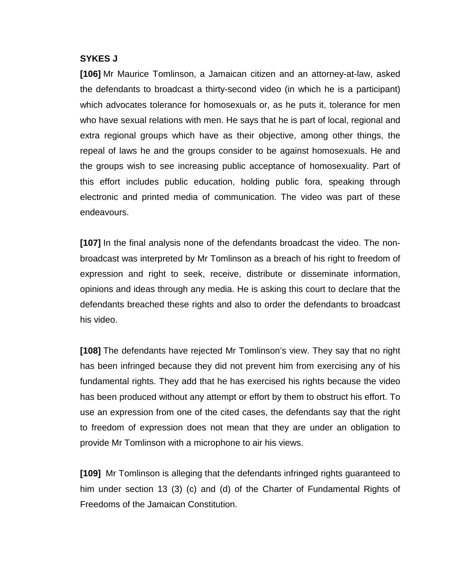## **SYKES J**

**[106]** Mr Maurice Tomlinson, a Jamaican citizen and an attorney-at-law, asked the defendants to broadcast a thirty-second video (in which he is a participant) which advocates tolerance for homosexuals or, as he puts it, tolerance for men who have sexual relations with men. He says that he is part of local, regional and extra regional groups which have as their objective, among other things, the repeal of laws he and the groups consider to be against homosexuals. He and the groups wish to see increasing public acceptance of homosexuality. Part of this effort includes public education, holding public fora, speaking through electronic and printed media of communication. The video was part of these endeavours.

**[107]** In the final analysis none of the defendants broadcast the video. The nonbroadcast was interpreted by Mr Tomlinson as a breach of his right to freedom of expression and right to seek, receive, distribute or disseminate information, opinions and ideas through any media. He is asking this court to declare that the defendants breached these rights and also to order the defendants to broadcast his video.

**[108]** The defendants have rejected Mr Tomlinson's view. They say that no right has been infringed because they did not prevent him from exercising any of his fundamental rights. They add that he has exercised his rights because the video has been produced without any attempt or effort by them to obstruct his effort. To use an expression from one of the cited cases, the defendants say that the right to freedom of expression does not mean that they are under an obligation to provide Mr Tomlinson with a microphone to air his views.

**[109]** Mr Tomlinson is alleging that the defendants infringed rights guaranteed to him under section 13 (3) (c) and (d) of the Charter of Fundamental Rights of Freedoms of the Jamaican Constitution.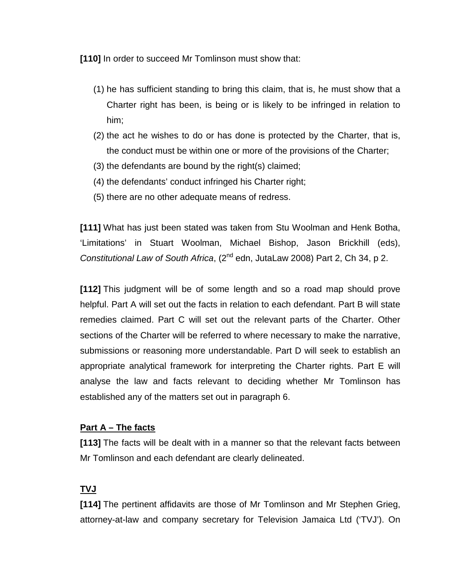**[110]** In order to succeed Mr Tomlinson must show that:

- (1) he has sufficient standing to bring this claim, that is, he must show that a Charter right has been, is being or is likely to be infringed in relation to him;
- (2) the act he wishes to do or has done is protected by the Charter, that is, the conduct must be within one or more of the provisions of the Charter;
- (3) the defendants are bound by the right(s) claimed;
- (4) the defendants' conduct infringed his Charter right;
- (5) there are no other adequate means of redress.

**[111]** What has just been stated was taken from Stu Woolman and Henk Botha, 'Limitations' in Stuart Woolman, Michael Bishop, Jason Brickhill (eds), *Constitutional Law of South Africa*, (2nd edn, JutaLaw 2008) Part 2, Ch 34, p 2.

**[112]** This judgment will be of some length and so a road map should prove helpful. Part A will set out the facts in relation to each defendant. Part B will state remedies claimed. Part C will set out the relevant parts of the Charter. Other sections of the Charter will be referred to where necessary to make the narrative, submissions or reasoning more understandable. Part D will seek to establish an appropriate analytical framework for interpreting the Charter rights. Part E will analyse the law and facts relevant to deciding whether Mr Tomlinson has established any of the matters set out in paragraph 6.

## **Part A – The facts**

**[113]** The facts will be dealt with in a manner so that the relevant facts between Mr Tomlinson and each defendant are clearly delineated.

# **TVJ**

**[114]** The pertinent affidavits are those of Mr Tomlinson and Mr Stephen Grieg, attorney-at-law and company secretary for Television Jamaica Ltd ('TVJ'). On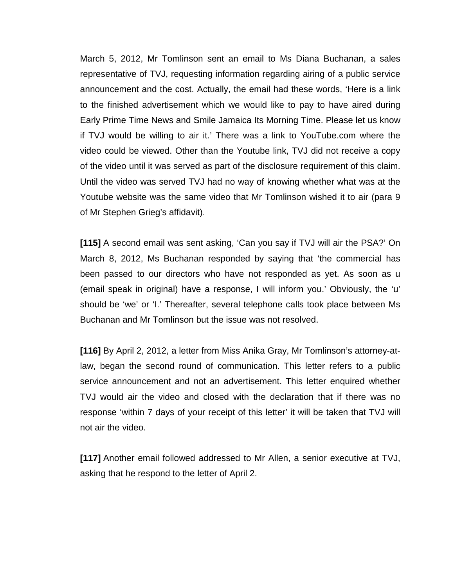March 5, 2012, Mr Tomlinson sent an email to Ms Diana Buchanan, a sales representative of TVJ, requesting information regarding airing of a public service announcement and the cost. Actually, the email had these words, 'Here is a link to the finished advertisement which we would like to pay to have aired during Early Prime Time News and Smile Jamaica Its Morning Time. Please let us know if TVJ would be willing to air it.' There was a link to YouTube.com where the video could be viewed. Other than the Youtube link, TVJ did not receive a copy of the video until it was served as part of the disclosure requirement of this claim. Until the video was served TVJ had no way of knowing whether what was at the Youtube website was the same video that Mr Tomlinson wished it to air (para 9 of Mr Stephen Grieg's affidavit).

**[115]** A second email was sent asking, 'Can you say if TVJ will air the PSA?' On March 8, 2012, Ms Buchanan responded by saying that 'the commercial has been passed to our directors who have not responded as yet. As soon as u (email speak in original) have a response, I will inform you.' Obviously, the 'u' should be 'we' or 'I.' Thereafter, several telephone calls took place between Ms Buchanan and Mr Tomlinson but the issue was not resolved.

**[116]** By April 2, 2012, a letter from Miss Anika Gray, Mr Tomlinson's attorney-atlaw, began the second round of communication. This letter refers to a public service announcement and not an advertisement. This letter enquired whether TVJ would air the video and closed with the declaration that if there was no response 'within 7 days of your receipt of this letter' it will be taken that TVJ will not air the video.

**[117]** Another email followed addressed to Mr Allen, a senior executive at TVJ, asking that he respond to the letter of April 2.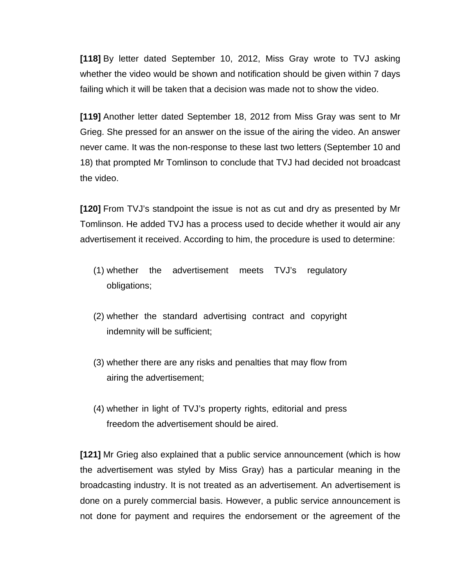**[118]** By letter dated September 10, 2012, Miss Gray wrote to TVJ asking whether the video would be shown and notification should be given within 7 days failing which it will be taken that a decision was made not to show the video.

**[119]** Another letter dated September 18, 2012 from Miss Gray was sent to Mr Grieg. She pressed for an answer on the issue of the airing the video. An answer never came. It was the non-response to these last two letters (September 10 and 18) that prompted Mr Tomlinson to conclude that TVJ had decided not broadcast the video.

**[120]** From TVJ's standpoint the issue is not as cut and dry as presented by Mr Tomlinson. He added TVJ has a process used to decide whether it would air any advertisement it received. According to him, the procedure is used to determine:

- (1) whether the advertisement meets TVJ's regulatory obligations;
- (2) whether the standard advertising contract and copyright indemnity will be sufficient;
- (3) whether there are any risks and penalties that may flow from airing the advertisement;
- (4) whether in light of TVJ's property rights, editorial and press freedom the advertisement should be aired.

**[121]** Mr Grieg also explained that a public service announcement (which is how the advertisement was styled by Miss Gray) has a particular meaning in the broadcasting industry. It is not treated as an advertisement. An advertisement is done on a purely commercial basis. However, a public service announcement is not done for payment and requires the endorsement or the agreement of the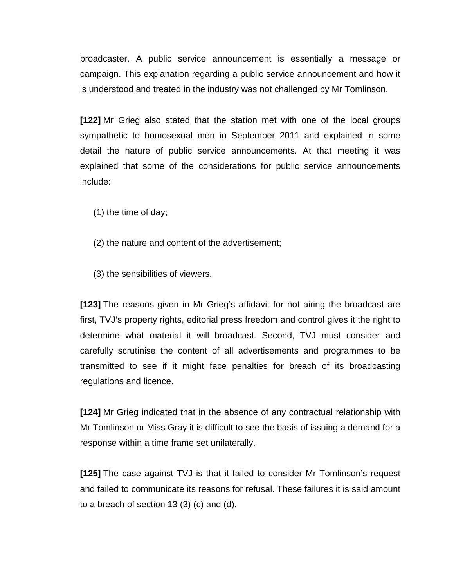broadcaster. A public service announcement is essentially a message or campaign. This explanation regarding a public service announcement and how it is understood and treated in the industry was not challenged by Mr Tomlinson.

**[122]** Mr Grieg also stated that the station met with one of the local groups sympathetic to homosexual men in September 2011 and explained in some detail the nature of public service announcements. At that meeting it was explained that some of the considerations for public service announcements include:

- (1) the time of day;
- (2) the nature and content of the advertisement;
- (3) the sensibilities of viewers.

**[123]** The reasons given in Mr Grieg's affidavit for not airing the broadcast are first, TVJ's property rights, editorial press freedom and control gives it the right to determine what material it will broadcast. Second, TVJ must consider and carefully scrutinise the content of all advertisements and programmes to be transmitted to see if it might face penalties for breach of its broadcasting regulations and licence.

**[124]** Mr Grieg indicated that in the absence of any contractual relationship with Mr Tomlinson or Miss Gray it is difficult to see the basis of issuing a demand for a response within a time frame set unilaterally.

**[125]** The case against TVJ is that it failed to consider Mr Tomlinson's request and failed to communicate its reasons for refusal. These failures it is said amount to a breach of section 13 (3) (c) and (d).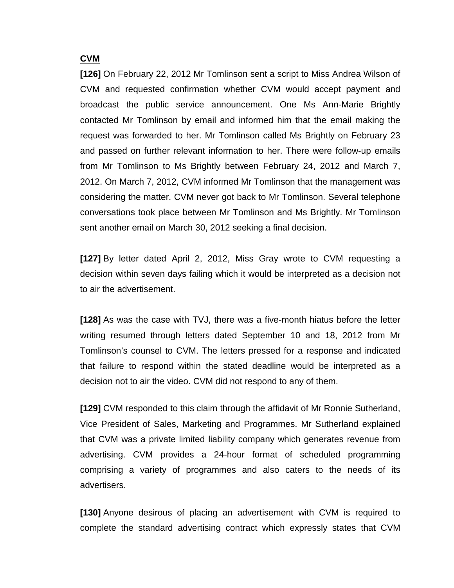## **CVM**

**[126]** On February 22, 2012 Mr Tomlinson sent a script to Miss Andrea Wilson of CVM and requested confirmation whether CVM would accept payment and broadcast the public service announcement. One Ms Ann-Marie Brightly contacted Mr Tomlinson by email and informed him that the email making the request was forwarded to her. Mr Tomlinson called Ms Brightly on February 23 and passed on further relevant information to her. There were follow-up emails from Mr Tomlinson to Ms Brightly between February 24, 2012 and March 7, 2012. On March 7, 2012, CVM informed Mr Tomlinson that the management was considering the matter. CVM never got back to Mr Tomlinson. Several telephone conversations took place between Mr Tomlinson and Ms Brightly. Mr Tomlinson sent another email on March 30, 2012 seeking a final decision.

**[127]** By letter dated April 2, 2012, Miss Gray wrote to CVM requesting a decision within seven days failing which it would be interpreted as a decision not to air the advertisement.

**[128]** As was the case with TVJ, there was a five-month hiatus before the letter writing resumed through letters dated September 10 and 18, 2012 from Mr Tomlinson's counsel to CVM. The letters pressed for a response and indicated that failure to respond within the stated deadline would be interpreted as a decision not to air the video. CVM did not respond to any of them.

**[129]** CVM responded to this claim through the affidavit of Mr Ronnie Sutherland, Vice President of Sales, Marketing and Programmes. Mr Sutherland explained that CVM was a private limited liability company which generates revenue from advertising. CVM provides a 24-hour format of scheduled programming comprising a variety of programmes and also caters to the needs of its advertisers.

**[130]** Anyone desirous of placing an advertisement with CVM is required to complete the standard advertising contract which expressly states that CVM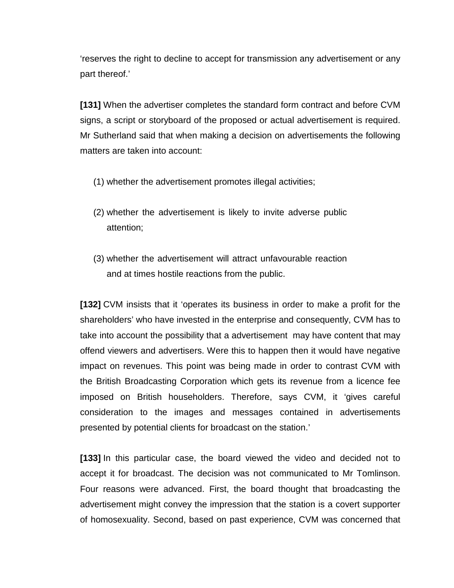'reserves the right to decline to accept for transmission any advertisement or any part thereof.'

**[131]** When the advertiser completes the standard form contract and before CVM signs, a script or storyboard of the proposed or actual advertisement is required. Mr Sutherland said that when making a decision on advertisements the following matters are taken into account:

- (1) whether the advertisement promotes illegal activities;
- (2) whether the advertisement is likely to invite adverse public attention;
- (3) whether the advertisement will attract unfavourable reaction and at times hostile reactions from the public.

**[132]** CVM insists that it 'operates its business in order to make a profit for the shareholders' who have invested in the enterprise and consequently, CVM has to take into account the possibility that a advertisement may have content that may offend viewers and advertisers. Were this to happen then it would have negative impact on revenues. This point was being made in order to contrast CVM with the British Broadcasting Corporation which gets its revenue from a licence fee imposed on British householders. Therefore, says CVM, it 'gives careful consideration to the images and messages contained in advertisements presented by potential clients for broadcast on the station.'

**[133]** In this particular case, the board viewed the video and decided not to accept it for broadcast. The decision was not communicated to Mr Tomlinson. Four reasons were advanced. First, the board thought that broadcasting the advertisement might convey the impression that the station is a covert supporter of homosexuality. Second, based on past experience, CVM was concerned that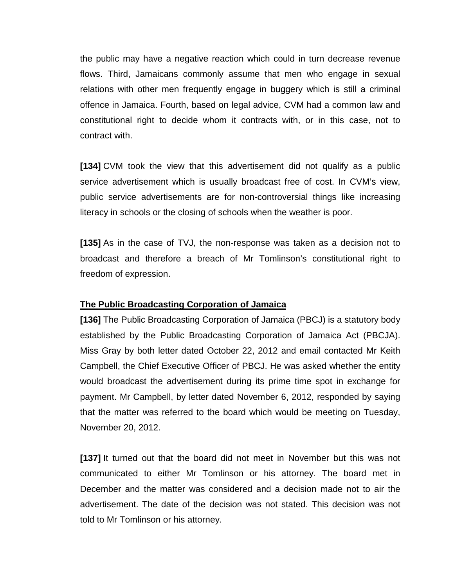the public may have a negative reaction which could in turn decrease revenue flows. Third, Jamaicans commonly assume that men who engage in sexual relations with other men frequently engage in buggery which is still a criminal offence in Jamaica. Fourth, based on legal advice, CVM had a common law and constitutional right to decide whom it contracts with, or in this case, not to contract with.

**[134]** CVM took the view that this advertisement did not qualify as a public service advertisement which is usually broadcast free of cost. In CVM's view, public service advertisements are for non-controversial things like increasing literacy in schools or the closing of schools when the weather is poor.

**[135]** As in the case of TVJ, the non-response was taken as a decision not to broadcast and therefore a breach of Mr Tomlinson's constitutional right to freedom of expression.

## **The Public Broadcasting Corporation of Jamaica**

**[136]** The Public Broadcasting Corporation of Jamaica (PBCJ) is a statutory body established by the Public Broadcasting Corporation of Jamaica Act (PBCJA). Miss Gray by both letter dated October 22, 2012 and email contacted Mr Keith Campbell, the Chief Executive Officer of PBCJ. He was asked whether the entity would broadcast the advertisement during its prime time spot in exchange for payment. Mr Campbell, by letter dated November 6, 2012, responded by saying that the matter was referred to the board which would be meeting on Tuesday, November 20, 2012.

**[137]** It turned out that the board did not meet in November but this was not communicated to either Mr Tomlinson or his attorney. The board met in December and the matter was considered and a decision made not to air the advertisement. The date of the decision was not stated. This decision was not told to Mr Tomlinson or his attorney.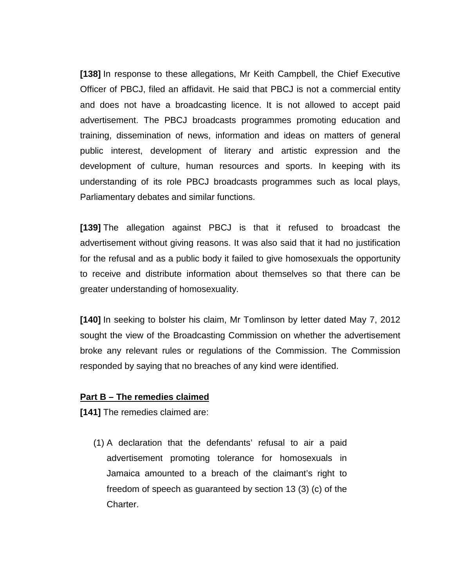**[138]** In response to these allegations, Mr Keith Campbell, the Chief Executive Officer of PBCJ, filed an affidavit. He said that PBCJ is not a commercial entity and does not have a broadcasting licence. It is not allowed to accept paid advertisement. The PBCJ broadcasts programmes promoting education and training, dissemination of news, information and ideas on matters of general public interest, development of literary and artistic expression and the development of culture, human resources and sports. In keeping with its understanding of its role PBCJ broadcasts programmes such as local plays, Parliamentary debates and similar functions.

**[139]** The allegation against PBCJ is that it refused to broadcast the advertisement without giving reasons. It was also said that it had no justification for the refusal and as a public body it failed to give homosexuals the opportunity to receive and distribute information about themselves so that there can be greater understanding of homosexuality.

**[140]** In seeking to bolster his claim, Mr Tomlinson by letter dated May 7, 2012 sought the view of the Broadcasting Commission on whether the advertisement broke any relevant rules or regulations of the Commission. The Commission responded by saying that no breaches of any kind were identified.

### **Part B – The remedies claimed**

**[141]** The remedies claimed are:

(1) A declaration that the defendants' refusal to air a paid advertisement promoting tolerance for homosexuals in Jamaica amounted to a breach of the claimant's right to freedom of speech as guaranteed by section 13 (3) (c) of the Charter.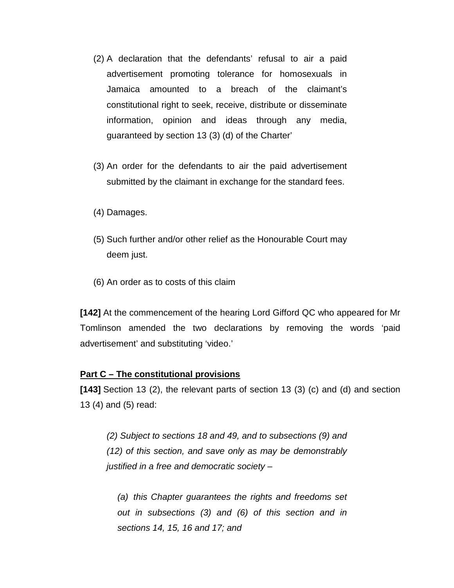- (2) A declaration that the defendants' refusal to air a paid advertisement promoting tolerance for homosexuals in Jamaica amounted to a breach of the claimant's constitutional right to seek, receive, distribute or disseminate information, opinion and ideas through any media, guaranteed by section 13 (3) (d) of the Charter'
- (3) An order for the defendants to air the paid advertisement submitted by the claimant in exchange for the standard fees.
- (4) Damages.
- (5) Such further and/or other relief as the Honourable Court may deem just.
- (6) An order as to costs of this claim

**[142]** At the commencement of the hearing Lord Gifford QC who appeared for Mr Tomlinson amended the two declarations by removing the words 'paid advertisement' and substituting 'video.'

#### **Part C – The constitutional provisions**

**[143]** Section 13 (2), the relevant parts of section 13 (3) (c) and (d) and section 13 (4) and (5) read:

*(2) Subject to sections 18 and 49, and to subsections (9) and (12) of this section, and save only as may be demonstrably justified in a free and democratic society –*

*(a) this Chapter guarantees the rights and freedoms set out in subsections (3) and (6) of this section and in sections 14, 15, 16 and 17; and*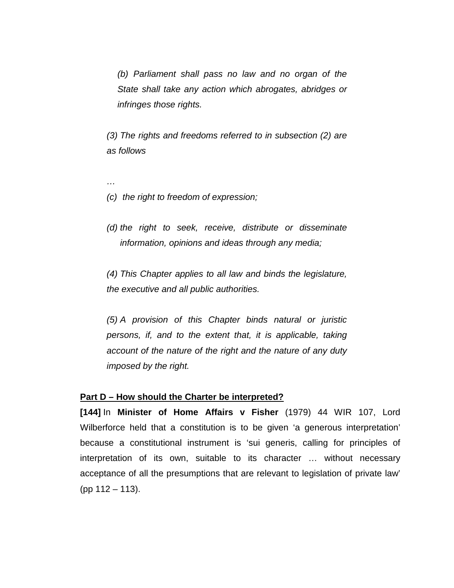*(b) Parliament shall pass no law and no organ of the State shall take any action which abrogates, abridges or infringes those rights.*

*(3) The rights and freedoms referred to in subsection (2) are as follows*

*(c) the right to freedom of expression;*

*…*

*(d) the right to seek, receive, distribute or disseminate information, opinions and ideas through any media;*

*(4) This Chapter applies to all law and binds the legislature, the executive and all public authorities.*

*(5) A provision of this Chapter binds natural or juristic persons, if, and to the extent that, it is applicable, taking account of the nature of the right and the nature of any duty imposed by the right.*

### **Part D – How should the Charter be interpreted?**

**[144]** In **Minister of Home Affairs v Fisher** (1979) 44 WIR 107, Lord Wilberforce held that a constitution is to be given 'a generous interpretation' because a constitutional instrument is 'sui generis, calling for principles of interpretation of its own, suitable to its character … without necessary acceptance of all the presumptions that are relevant to legislation of private law' (pp 112 – 113).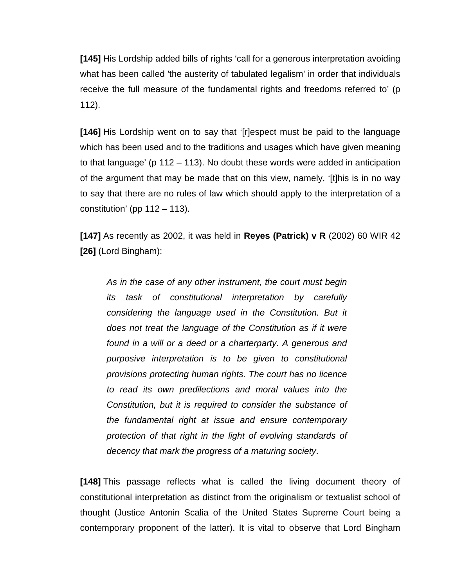**[145]** His Lordship added bills of rights 'call for a generous interpretation avoiding what has been called 'the austerity of tabulated legalism' in order that individuals receive the full measure of the fundamental rights and freedoms referred to' (p 112).

**[146]** His Lordship went on to say that '[r]espect must be paid to the language which has been used and to the traditions and usages which have given meaning to that language' (p 112 – 113). No doubt these words were added in anticipation of the argument that may be made that on this view, namely, '[t]his is in no way to say that there are no rules of law which should apply to the interpretation of a constitution' (pp  $112 - 113$ ).

**[147]** As recently as 2002, it was held in **Reyes (Patrick) v R** (2002) 60 WIR 42 **[26]** (Lord Bingham):

*As in the case of any other instrument, the court must begin its task of constitutional interpretation by carefully considering the language used in the Constitution. But it does not treat the language of the Constitution as if it were found in a will or a deed or a charterparty. A generous and purposive interpretation is to be given to constitutional provisions protecting human rights. The court has no licence to read its own predilections and moral values into the Constitution, but it is required to consider the substance of the fundamental right at issue and ensure contemporary protection of that right in the light of evolving standards of decency that mark the progress of a maturing society*.

**[148]** This passage reflects what is called the living document theory of constitutional interpretation as distinct from the originalism or textualist school of thought (Justice Antonin Scalia of the United States Supreme Court being a contemporary proponent of the latter). It is vital to observe that Lord Bingham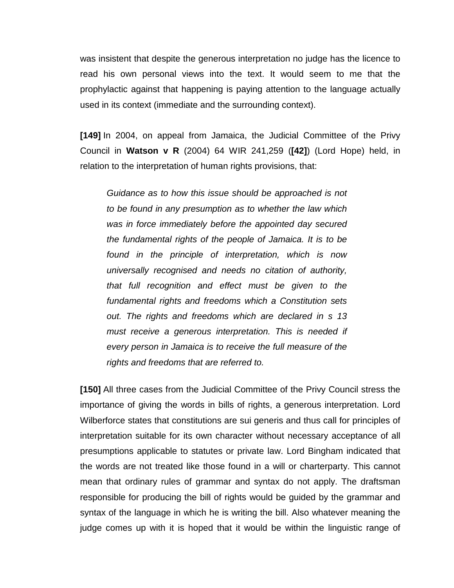was insistent that despite the generous interpretation no judge has the licence to read his own personal views into the text. It would seem to me that the prophylactic against that happening is paying attention to the language actually used in its context (immediate and the surrounding context).

**[149]** In 2004, on appeal from Jamaica, the Judicial Committee of the Privy Council in **Watson v R** (2004) 64 WIR 241,259 (**[42]**) (Lord Hope) held, in relation to the interpretation of human rights provisions, that:

*Guidance as to how this issue should be approached is not to be found in any presumption as to whether the law which was in force immediately before the appointed day secured the fundamental rights of the people of Jamaica. It is to be found in the principle of interpretation, which is now universally recognised and needs no citation of authority, that full recognition and effect must be given to the fundamental rights and freedoms which a Constitution sets out. The rights and freedoms which are declared in s 13 must receive a generous interpretation. This is needed if every person in Jamaica is to receive the full measure of the rights and freedoms that are referred to.*

**[150]** All three cases from the Judicial Committee of the Privy Council stress the importance of giving the words in bills of rights, a generous interpretation. Lord Wilberforce states that constitutions are sui generis and thus call for principles of interpretation suitable for its own character without necessary acceptance of all presumptions applicable to statutes or private law. Lord Bingham indicated that the words are not treated like those found in a will or charterparty. This cannot mean that ordinary rules of grammar and syntax do not apply. The draftsman responsible for producing the bill of rights would be guided by the grammar and syntax of the language in which he is writing the bill. Also whatever meaning the judge comes up with it is hoped that it would be within the linguistic range of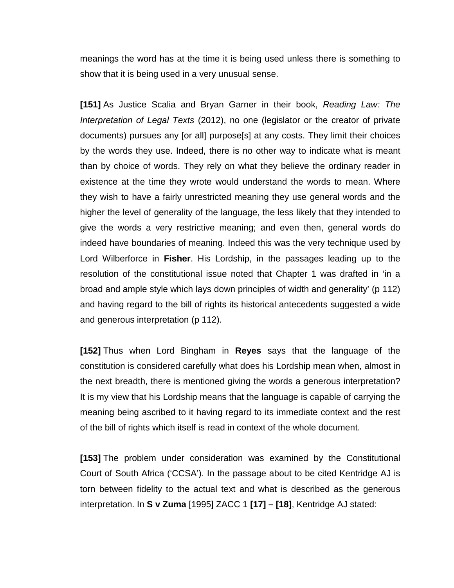meanings the word has at the time it is being used unless there is something to show that it is being used in a very unusual sense.

**[151]** As Justice Scalia and Bryan Garner in their book, *Reading Law: The Interpretation of Legal Texts* (2012), no one (legislator or the creator of private documents) pursues any [or all] purpose[s] at any costs. They limit their choices by the words they use. Indeed, there is no other way to indicate what is meant than by choice of words. They rely on what they believe the ordinary reader in existence at the time they wrote would understand the words to mean. Where they wish to have a fairly unrestricted meaning they use general words and the higher the level of generality of the language, the less likely that they intended to give the words a very restrictive meaning; and even then, general words do indeed have boundaries of meaning. Indeed this was the very technique used by Lord Wilberforce in **Fisher**. His Lordship, in the passages leading up to the resolution of the constitutional issue noted that Chapter 1 was drafted in 'in a broad and ample style which lays down principles of width and generality' (p 112) and having regard to the bill of rights its historical antecedents suggested a wide and generous interpretation (p 112).

**[152]** Thus when Lord Bingham in **Reyes** says that the language of the constitution is considered carefully what does his Lordship mean when, almost in the next breadth, there is mentioned giving the words a generous interpretation? It is my view that his Lordship means that the language is capable of carrying the meaning being ascribed to it having regard to its immediate context and the rest of the bill of rights which itself is read in context of the whole document.

**[153]** The problem under consideration was examined by the Constitutional Court of South Africa ('CCSA'). In the passage about to be cited Kentridge AJ is torn between fidelity to the actual text and what is described as the generous interpretation. In **S v Zuma** [1995] ZACC 1 **[17] – [18]**, Kentridge AJ stated: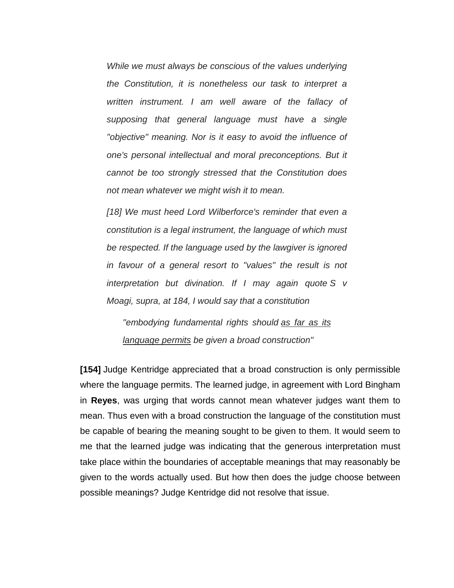*While we must always be conscious of the values underlying the Constitution, it is nonetheless our task to interpret a written instrument. I am well aware of the fallacy of supposing that general language must have a single "objective" meaning. Nor is it easy to avoid the influence of one's personal intellectual and moral preconceptions. But it cannot be too strongly stressed that the Constitution does not mean whatever we might wish it to mean.*

*[18] We must heed Lord Wilberforce's reminder that even a constitution is a legal instrument, the language of which must be respected. If the language used by the lawgiver is ignored in favour of a general resort to "values" the result is not interpretation but divination. If I may again quote S v Moagi, supra, at 184, I would say that a constitution*

*"embodying fundamental rights should as far as its language permits be given a broad construction"*

**[154]** Judge Kentridge appreciated that a broad construction is only permissible where the language permits. The learned judge, in agreement with Lord Bingham in **Reyes**, was urging that words cannot mean whatever judges want them to mean. Thus even with a broad construction the language of the constitution must be capable of bearing the meaning sought to be given to them. It would seem to me that the learned judge was indicating that the generous interpretation must take place within the boundaries of acceptable meanings that may reasonably be given to the words actually used. But how then does the judge choose between possible meanings? Judge Kentridge did not resolve that issue.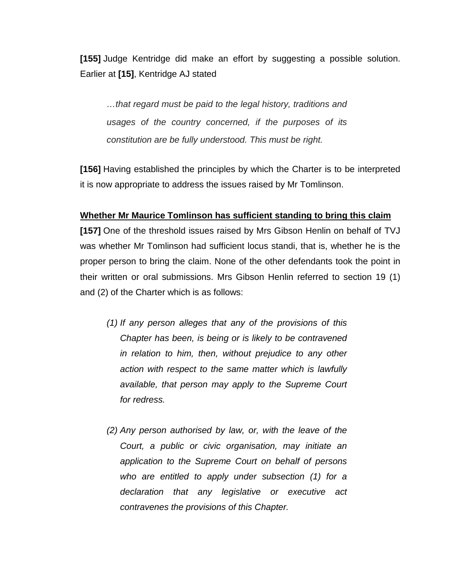**[155]** Judge Kentridge did make an effort by suggesting a possible solution. Earlier at **[15]**, Kentridge AJ stated

*…that regard must be paid to the legal history, traditions and usages of the country concerned, if the purposes of its constitution are be fully understood. This must be right.* 

**[156]** Having established the principles by which the Charter is to be interpreted it is now appropriate to address the issues raised by Mr Tomlinson.

## **Whether Mr Maurice Tomlinson has sufficient standing to bring this claim**

**[157]** One of the threshold issues raised by Mrs Gibson Henlin on behalf of TVJ was whether Mr Tomlinson had sufficient locus standi, that is, whether he is the proper person to bring the claim. None of the other defendants took the point in their written or oral submissions. Mrs Gibson Henlin referred to section 19 (1) and (2) of the Charter which is as follows:

- *(1) If any person alleges that any of the provisions of this Chapter has been, is being or is likely to be contravened in relation to him, then, without prejudice to any other action with respect to the same matter which is lawfully available, that person may apply to the Supreme Court for redress.*
- *(2) Any person authorised by law, or, with the leave of the Court, a public or civic organisation, may initiate an application to the Supreme Court on behalf of persons who are entitled to apply under subsection (1) for a declaration that any legislative or executive act contravenes the provisions of this Chapter.*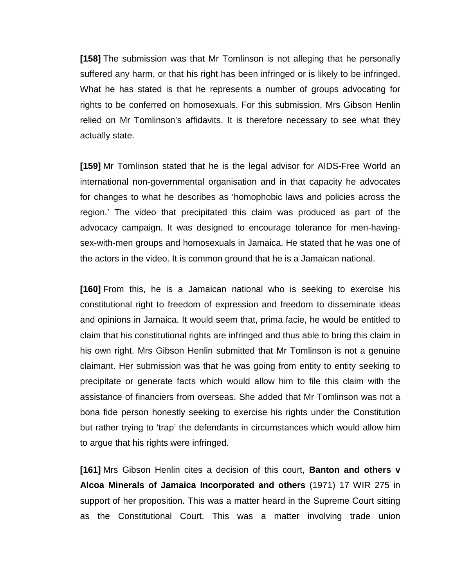**[158]** The submission was that Mr Tomlinson is not alleging that he personally suffered any harm, or that his right has been infringed or is likely to be infringed. What he has stated is that he represents a number of groups advocating for rights to be conferred on homosexuals. For this submission, Mrs Gibson Henlin relied on Mr Tomlinson's affidavits. It is therefore necessary to see what they actually state.

**[159]** Mr Tomlinson stated that he is the legal advisor for AIDS-Free World an international non-governmental organisation and in that capacity he advocates for changes to what he describes as 'homophobic laws and policies across the region.' The video that precipitated this claim was produced as part of the advocacy campaign. It was designed to encourage tolerance for men-havingsex-with-men groups and homosexuals in Jamaica. He stated that he was one of the actors in the video. It is common ground that he is a Jamaican national.

**[160]** From this, he is a Jamaican national who is seeking to exercise his constitutional right to freedom of expression and freedom to disseminate ideas and opinions in Jamaica. It would seem that, prima facie, he would be entitled to claim that his constitutional rights are infringed and thus able to bring this claim in his own right. Mrs Gibson Henlin submitted that Mr Tomlinson is not a genuine claimant. Her submission was that he was going from entity to entity seeking to precipitate or generate facts which would allow him to file this claim with the assistance of financiers from overseas. She added that Mr Tomlinson was not a bona fide person honestly seeking to exercise his rights under the Constitution but rather trying to 'trap' the defendants in circumstances which would allow him to argue that his rights were infringed.

**[161]** Mrs Gibson Henlin cites a decision of this court, **Banton and others v Alcoa Minerals of Jamaica Incorporated and others** (1971) 17 WIR 275 in support of her proposition. This was a matter heard in the Supreme Court sitting as the Constitutional Court. This was a matter involving trade union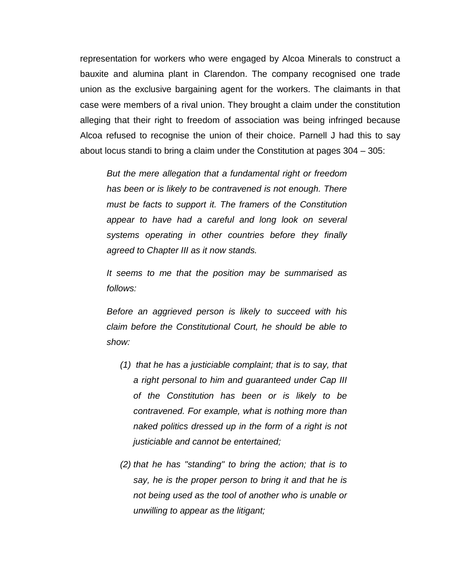representation for workers who were engaged by Alcoa Minerals to construct a bauxite and alumina plant in Clarendon. The company recognised one trade union as the exclusive bargaining agent for the workers. The claimants in that case were members of a rival union. They brought a claim under the constitution alleging that their right to freedom of association was being infringed because Alcoa refused to recognise the union of their choice. Parnell J had this to say about locus standi to bring a claim under the Constitution at pages 304 – 305:

*But the mere allegation that a fundamental right or freedom has been or is likely to be contravened is not enough. There must be facts to support it. The framers of the Constitution appear to have had a careful and long look on several systems operating in other countries before they finally agreed to Chapter III as it now stands.*

*It seems to me that the position may be summarised as follows:*

*Before an aggrieved person is likely to succeed with his claim before the Constitutional Court, he should be able to show:*

- *(1) that he has a justiciable complaint; that is to say, that a right personal to him and guaranteed under Cap III of the Constitution has been or is likely to be contravened. For example, what is nothing more than naked politics dressed up in the form of a right is not justiciable and cannot be entertained;*
- *(2) that he has "standing" to bring the action; that is to say, he is the proper person to bring it and that he is not being used as the tool of another who is unable or unwilling to appear as the litigant;*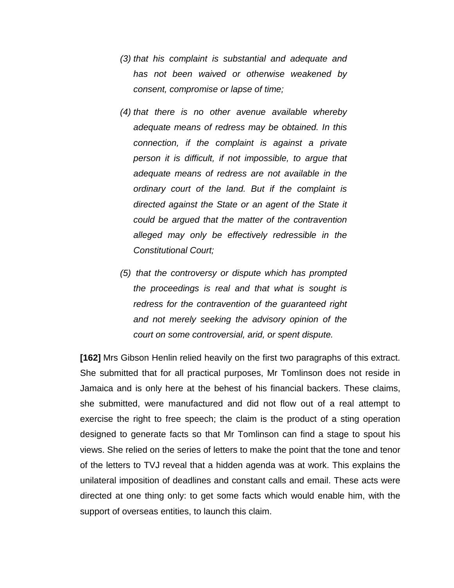- *(3) that his complaint is substantial and adequate and has not been waived or otherwise weakened by consent, compromise or lapse of time;*
- *(4) that there is no other avenue available whereby adequate means of redress may be obtained. In this connection, if the complaint is against a private person it is difficult, if not impossible, to argue that adequate means of redress are not available in the ordinary court of the land. But if the complaint is directed against the State or an agent of the State it could be argued that the matter of the contravention alleged may only be effectively redressible in the Constitutional Court;*
- *(5) that the controversy or dispute which has prompted the proceedings is real and that what is sought is redress for the contravention of the guaranteed right and not merely seeking the advisory opinion of the court on some controversial, arid, or spent dispute.*

**[162]** Mrs Gibson Henlin relied heavily on the first two paragraphs of this extract. She submitted that for all practical purposes, Mr Tomlinson does not reside in Jamaica and is only here at the behest of his financial backers. These claims, she submitted, were manufactured and did not flow out of a real attempt to exercise the right to free speech; the claim is the product of a sting operation designed to generate facts so that Mr Tomlinson can find a stage to spout his views. She relied on the series of letters to make the point that the tone and tenor of the letters to TVJ reveal that a hidden agenda was at work. This explains the unilateral imposition of deadlines and constant calls and email. These acts were directed at one thing only: to get some facts which would enable him, with the support of overseas entities, to launch this claim.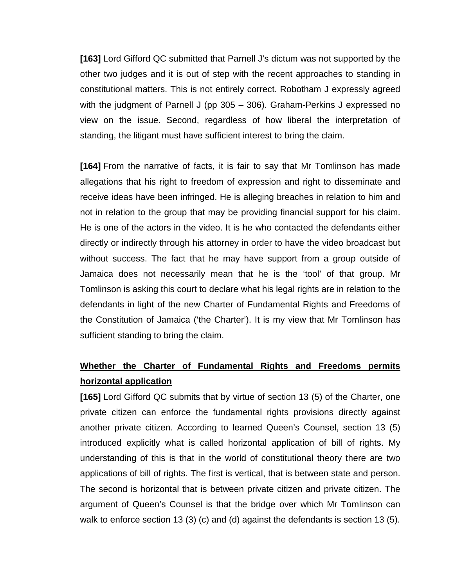**[163]** Lord Gifford QC submitted that Parnell J's dictum was not supported by the other two judges and it is out of step with the recent approaches to standing in constitutional matters. This is not entirely correct. Robotham J expressly agreed with the judgment of Parnell J (pp 305 – 306). Graham-Perkins J expressed no view on the issue. Second, regardless of how liberal the interpretation of standing, the litigant must have sufficient interest to bring the claim.

**[164]** From the narrative of facts, it is fair to say that Mr Tomlinson has made allegations that his right to freedom of expression and right to disseminate and receive ideas have been infringed. He is alleging breaches in relation to him and not in relation to the group that may be providing financial support for his claim. He is one of the actors in the video. It is he who contacted the defendants either directly or indirectly through his attorney in order to have the video broadcast but without success. The fact that he may have support from a group outside of Jamaica does not necessarily mean that he is the 'tool' of that group. Mr Tomlinson is asking this court to declare what his legal rights are in relation to the defendants in light of the new Charter of Fundamental Rights and Freedoms of the Constitution of Jamaica ('the Charter'). It is my view that Mr Tomlinson has sufficient standing to bring the claim.

# **Whether the Charter of Fundamental Rights and Freedoms permits horizontal application**

**[165]** Lord Gifford QC submits that by virtue of section 13 (5) of the Charter, one private citizen can enforce the fundamental rights provisions directly against another private citizen. According to learned Queen's Counsel, section 13 (5) introduced explicitly what is called horizontal application of bill of rights. My understanding of this is that in the world of constitutional theory there are two applications of bill of rights. The first is vertical, that is between state and person. The second is horizontal that is between private citizen and private citizen. The argument of Queen's Counsel is that the bridge over which Mr Tomlinson can walk to enforce section 13 (3) (c) and (d) against the defendants is section 13 (5).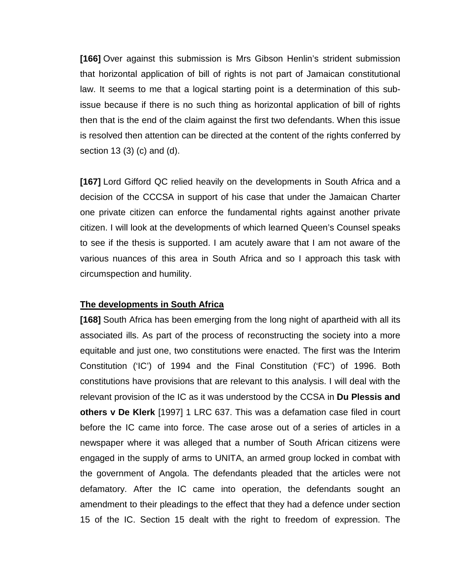**[166]** Over against this submission is Mrs Gibson Henlin's strident submission that horizontal application of bill of rights is not part of Jamaican constitutional law. It seems to me that a logical starting point is a determination of this subissue because if there is no such thing as horizontal application of bill of rights then that is the end of the claim against the first two defendants. When this issue is resolved then attention can be directed at the content of the rights conferred by section 13 (3) (c) and (d).

**[167]** Lord Gifford QC relied heavily on the developments in South Africa and a decision of the CCCSA in support of his case that under the Jamaican Charter one private citizen can enforce the fundamental rights against another private citizen. I will look at the developments of which learned Queen's Counsel speaks to see if the thesis is supported. I am acutely aware that I am not aware of the various nuances of this area in South Africa and so I approach this task with circumspection and humility.

## **The developments in South Africa**

**[168]** South Africa has been emerging from the long night of apartheid with all its associated ills. As part of the process of reconstructing the society into a more equitable and just one, two constitutions were enacted. The first was the Interim Constitution ('IC') of 1994 and the Final Constitution ('FC') of 1996. Both constitutions have provisions that are relevant to this analysis. I will deal with the relevant provision of the IC as it was understood by the CCSA in **Du Plessis and others v De Klerk** [1997] 1 LRC 637. This was a defamation case filed in court before the IC came into force. The case arose out of a series of articles in a newspaper where it was alleged that a number of South African citizens were engaged in the supply of arms to UNITA, an armed group locked in combat with the government of Angola. The defendants pleaded that the articles were not defamatory. After the IC came into operation, the defendants sought an amendment to their pleadings to the effect that they had a defence under section 15 of the IC. Section 15 dealt with the right to freedom of expression. The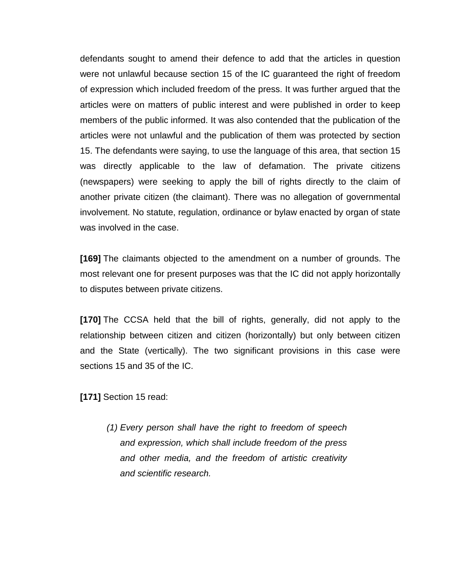defendants sought to amend their defence to add that the articles in question were not unlawful because section 15 of the IC guaranteed the right of freedom of expression which included freedom of the press. It was further argued that the articles were on matters of public interest and were published in order to keep members of the public informed. It was also contended that the publication of the articles were not unlawful and the publication of them was protected by section 15. The defendants were saying, to use the language of this area, that section 15 was directly applicable to the law of defamation. The private citizens (newspapers) were seeking to apply the bill of rights directly to the claim of another private citizen (the claimant). There was no allegation of governmental involvement. No statute, regulation, ordinance or bylaw enacted by organ of state was involved in the case.

**[169]** The claimants objected to the amendment on a number of grounds. The most relevant one for present purposes was that the IC did not apply horizontally to disputes between private citizens.

**[170]** The CCSA held that the bill of rights, generally, did not apply to the relationship between citizen and citizen (horizontally) but only between citizen and the State (vertically). The two significant provisions in this case were sections 15 and 35 of the IC.

**[171]** Section 15 read:

*(1) Every person shall have the right to freedom of speech and expression, which shall include freedom of the press and other media, and the freedom of artistic creativity and scientific research.*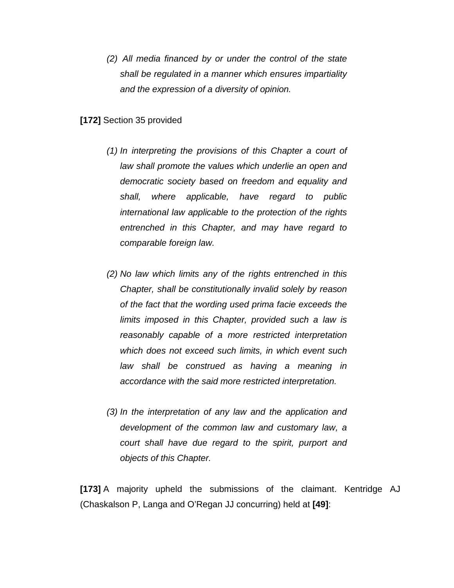*(2) All media financed by or under the control of the state shall be regulated in a manner which ensures impartiality and the expression of a diversity of opinion.*

## **[172]** Section 35 provided

- *(1) In interpreting the provisions of this Chapter a court of law shall promote the values which underlie an open and democratic society based on freedom and equality and shall, where applicable, have regard to public international law applicable to the protection of the rights entrenched in this Chapter, and may have regard to comparable foreign law.*
- *(2) No law which limits any of the rights entrenched in this Chapter, shall be constitutionally invalid solely by reason of the fact that the wording used prima facie exceeds the limits imposed in this Chapter, provided such a law is reasonably capable of a more restricted interpretation which does not exceed such limits, in which event such law shall be construed as having a meaning in accordance with the said more restricted interpretation.*
- *(3) In the interpretation of any law and the application and development of the common law and customary law, a court shall have due regard to the spirit, purport and objects of this Chapter.*

**[173]** A majority upheld the submissions of the claimant. Kentridge AJ (Chaskalson P, Langa and O'Regan JJ concurring) held at **[49]**: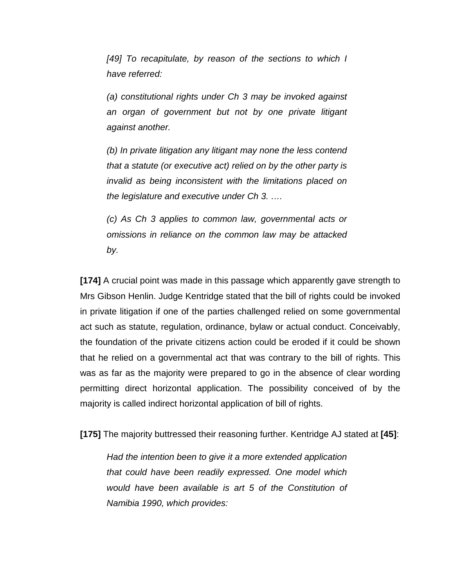*[49] To recapitulate, by reason of the sections to which I have referred:*

*(a) constitutional rights under Ch 3 may be invoked against an organ of government but not by one private litigant against another.*

*(b) In private litigation any litigant may none the less contend that a statute (or executive act) relied on by the other party is invalid as being inconsistent with the limitations placed on the legislature and executive under Ch 3. ….*

*(c) As Ch 3 applies to common law, governmental acts or omissions in reliance on the common law may be attacked by.*

**[174]** A crucial point was made in this passage which apparently gave strength to Mrs Gibson Henlin. Judge Kentridge stated that the bill of rights could be invoked in private litigation if one of the parties challenged relied on some governmental act such as statute, regulation, ordinance, bylaw or actual conduct. Conceivably, the foundation of the private citizens action could be eroded if it could be shown that he relied on a governmental act that was contrary to the bill of rights. This was as far as the majority were prepared to go in the absence of clear wording permitting direct horizontal application. The possibility conceived of by the majority is called indirect horizontal application of bill of rights.

**[175]** The majority buttressed their reasoning further. Kentridge AJ stated at **[45]**:

*Had the intention been to give it a more extended application that could have been readily expressed. One model which would have been available is art 5 of the Constitution of Namibia 1990, which provides:*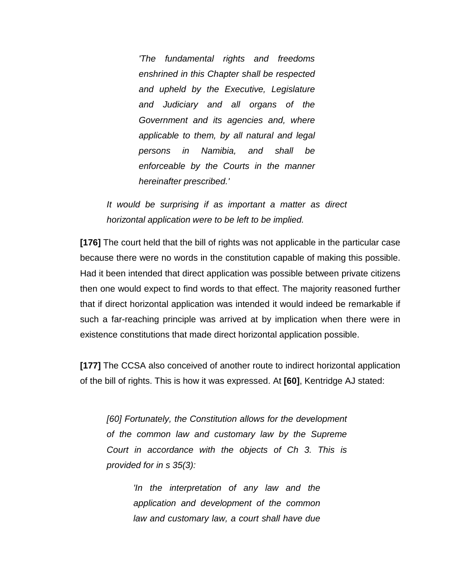*'The fundamental rights and freedoms enshrined in this Chapter shall be respected and upheld by the Executive, Legislature and Judiciary and all organs of the Government and its agencies and, where applicable to them, by all natural and legal persons in Namibia, and shall be enforceable by the Courts in the manner hereinafter prescribed.'*

*It would be surprising if as important a matter as direct horizontal application were to be left to be implied.*

**[176]** The court held that the bill of rights was not applicable in the particular case because there were no words in the constitution capable of making this possible. Had it been intended that direct application was possible between private citizens then one would expect to find words to that effect. The majority reasoned further that if direct horizontal application was intended it would indeed be remarkable if such a far-reaching principle was arrived at by implication when there were in existence constitutions that made direct horizontal application possible.

**[177]** The CCSA also conceived of another route to indirect horizontal application of the bill of rights. This is how it was expressed. At **[60]**, Kentridge AJ stated:

*[60] Fortunately, the Constitution allows for the development of the common law and customary law by the Supreme Court in accordance with the objects of Ch 3. This is provided for in s 35(3):*

> *'In the interpretation of any law and the application and development of the common law and customary law, a court shall have due*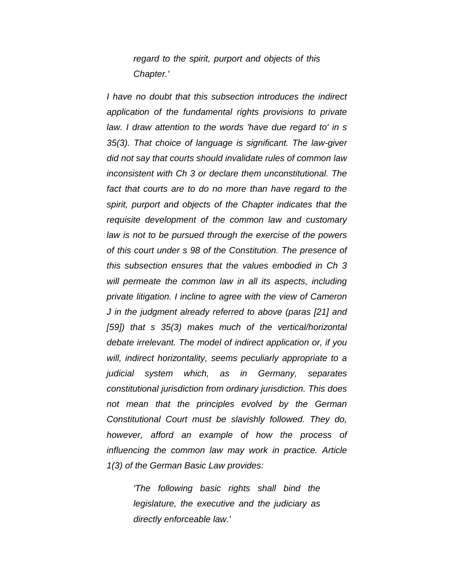*regard to the spirit, purport and objects of this Chapter.'*

*I have no doubt that this subsection introduces the indirect application of the fundamental rights provisions to private law. I draw attention to the words 'have due regard to' in s 35(3). That choice of language is significant. The law-giver did not say that courts should invalidate rules of common law inconsistent with Ch 3 or declare them unconstitutional. The fact that courts are to do no more than have regard to the spirit, purport and objects of the Chapter indicates that the requisite development of the common law and customary law is not to be pursued through the exercise of the powers of this court under s 98 of the Constitution. The presence of this subsection ensures that the values embodied in Ch 3 will permeate the common law in all its aspects, including private litigation. I incline to agree with the view of Cameron J in the judgment already referred to above (paras [21] and [59]) that s 35(3) makes much of the vertical/horizontal debate irrelevant. The model of indirect application or, if you will, indirect horizontality, seems peculiarly appropriate to a judicial system which, as in Germany, separates constitutional jurisdiction from ordinary jurisdiction. This does not mean that the principles evolved by the German Constitutional Court must be slavishly followed. They do, however, afford an example of how the process of influencing the common law may work in practice. Article 1(3) of the German Basic Law provides:*

> *'The following basic rights shall bind the legislature, the executive and the judiciary as directly enforceable law.'*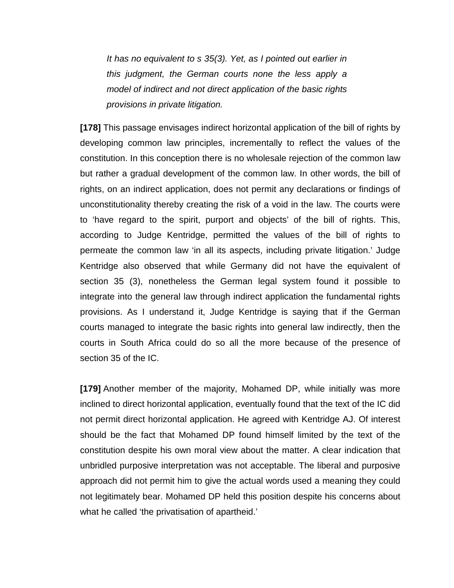*It has no equivalent to s 35(3). Yet, as I pointed out earlier in this judgment, the German courts none the less apply a model of indirect and not direct application of the basic rights provisions in private litigation.*

**[178]** This passage envisages indirect horizontal application of the bill of rights by developing common law principles, incrementally to reflect the values of the constitution. In this conception there is no wholesale rejection of the common law but rather a gradual development of the common law. In other words, the bill of rights, on an indirect application, does not permit any declarations or findings of unconstitutionality thereby creating the risk of a void in the law. The courts were to 'have regard to the spirit, purport and objects' of the bill of rights. This, according to Judge Kentridge, permitted the values of the bill of rights to permeate the common law 'in all its aspects, including private litigation.' Judge Kentridge also observed that while Germany did not have the equivalent of section 35 (3), nonetheless the German legal system found it possible to integrate into the general law through indirect application the fundamental rights provisions. As I understand it, Judge Kentridge is saying that if the German courts managed to integrate the basic rights into general law indirectly, then the courts in South Africa could do so all the more because of the presence of section 35 of the IC.

**[179]** Another member of the majority, Mohamed DP, while initially was more inclined to direct horizontal application, eventually found that the text of the IC did not permit direct horizontal application. He agreed with Kentridge AJ. Of interest should be the fact that Mohamed DP found himself limited by the text of the constitution despite his own moral view about the matter. A clear indication that unbridled purposive interpretation was not acceptable. The liberal and purposive approach did not permit him to give the actual words used a meaning they could not legitimately bear. Mohamed DP held this position despite his concerns about what he called 'the privatisation of apartheid.'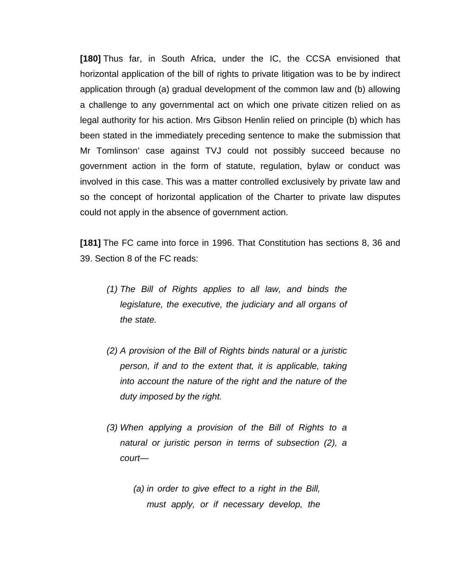**[180]** Thus far, in South Africa, under the IC, the CCSA envisioned that horizontal application of the bill of rights to private litigation was to be by indirect application through (a) gradual development of the common law and (b) allowing a challenge to any governmental act on which one private citizen relied on as legal authority for his action. Mrs Gibson Henlin relied on principle (b) which has been stated in the immediately preceding sentence to make the submission that Mr Tomlinson' case against TVJ could not possibly succeed because no government action in the form of statute, regulation, bylaw or conduct was involved in this case. This was a matter controlled exclusively by private law and so the concept of horizontal application of the Charter to private law disputes could not apply in the absence of government action.

**[181]** The FC came into force in 1996. That Constitution has sections 8, 36 and 39. Section 8 of the FC reads:

- *(1) The Bill of Rights applies to all law, and binds the legislature, the executive, the judiciary and all organs of the state.*
- *(2) A provision of the Bill of Rights binds natural or a juristic person, if and to the extent that, it is applicable, taking into account the nature of the right and the nature of the duty imposed by the right.*
- *(3) When applying a provision of the Bill of Rights to a natural or juristic person in terms of subsection (2), a court—*
	- *(a) in order to give effect to a right in the Bill, must apply, or if necessary develop, the*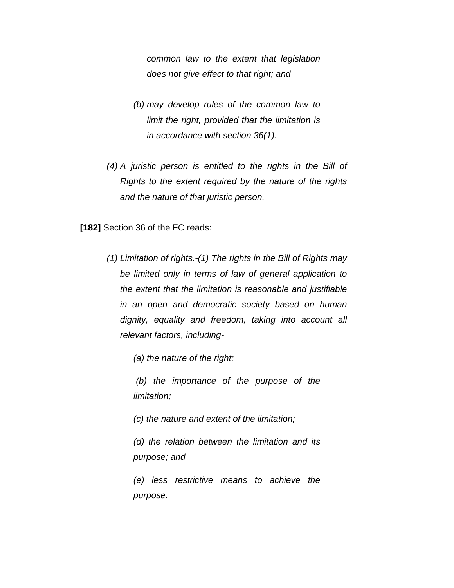*common law to the extent that legislation does not give effect to that right; and*

- *(b) may develop rules of the common law to limit the right, provided that the limitation is in accordance with section 36(1).*
- *(4) A juristic person is entitled to the rights in the Bill of Rights to the extent required by the nature of the rights and the nature of that juristic person.*

**[182]** Section 36 of the FC reads:

*(1) Limitation of rights.-(1) The rights in the Bill of Rights may be limited only in terms of law of general application to the extent that the limitation is reasonable and justifiable in an open and democratic society based on human dignity, equality and freedom, taking into account all relevant factors, including-*

*(a) the nature of the right;* 

*(b) the importance of the purpose of the limitation;* 

*(c) the nature and extent of the limitation;* 

*(d) the relation between the limitation and its purpose; and* 

*(e) less restrictive means to achieve the purpose.*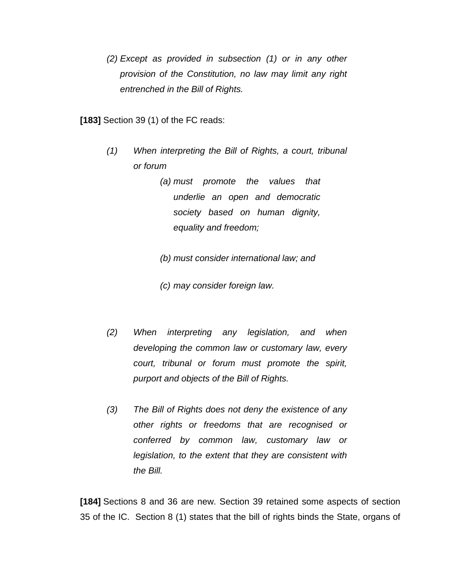*(2) Except as provided in subsection (1) or in any other provision of the Constitution, no law may limit any right entrenched in the Bill of Rights.*

**[183]** Section 39 (1) of the FC reads:

- *(1) When interpreting the Bill of Rights, a court, tribunal or forum* 
	- *(a) must promote the values that underlie an open and democratic society based on human dignity, equality and freedom;*

*(b) must consider international law; and*

*(c) may consider foreign law.*

- *(2) When interpreting any legislation, and when developing the common law or customary law, every court, tribunal or forum must promote the spirit, purport and objects of the Bill of Rights.*
- *(3) The Bill of Rights does not deny the existence of any other rights or freedoms that are recognised or conferred by common law, customary law or legislation, to the extent that they are consistent with the Bill.*

**[184]** Sections 8 and 36 are new. Section 39 retained some aspects of section 35 of the IC. Section 8 (1) states that the bill of rights binds the State, organs of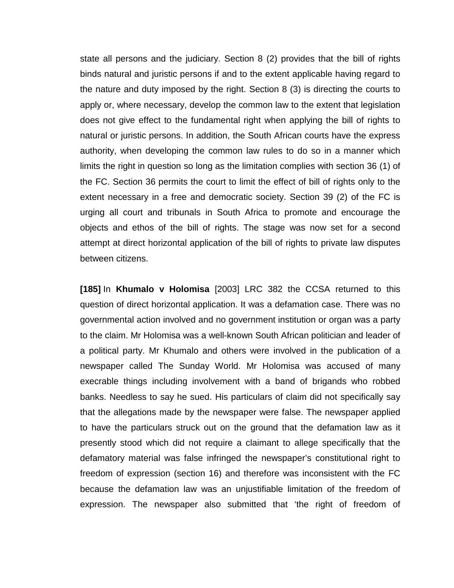state all persons and the judiciary. Section 8 (2) provides that the bill of rights binds natural and juristic persons if and to the extent applicable having regard to the nature and duty imposed by the right. Section 8 (3) is directing the courts to apply or, where necessary, develop the common law to the extent that legislation does not give effect to the fundamental right when applying the bill of rights to natural or juristic persons. In addition, the South African courts have the express authority, when developing the common law rules to do so in a manner which limits the right in question so long as the limitation complies with section 36 (1) of the FC. Section 36 permits the court to limit the effect of bill of rights only to the extent necessary in a free and democratic society. Section 39 (2) of the FC is urging all court and tribunals in South Africa to promote and encourage the objects and ethos of the bill of rights. The stage was now set for a second attempt at direct horizontal application of the bill of rights to private law disputes between citizens.

**[185]** In **Khumalo v Holomisa** [2003] LRC 382 the CCSA returned to this question of direct horizontal application. It was a defamation case. There was no governmental action involved and no government institution or organ was a party to the claim. Mr Holomisa was a well-known South African politician and leader of a political party. Mr Khumalo and others were involved in the publication of a newspaper called The Sunday World. Mr Holomisa was accused of many execrable things including involvement with a band of brigands who robbed banks. Needless to say he sued. His particulars of claim did not specifically say that the allegations made by the newspaper were false. The newspaper applied to have the particulars struck out on the ground that the defamation law as it presently stood which did not require a claimant to allege specifically that the defamatory material was false infringed the newspaper's constitutional right to freedom of expression (section 16) and therefore was inconsistent with the FC because the defamation law was an unjustifiable limitation of the freedom of expression. The newspaper also submitted that 'the right of freedom of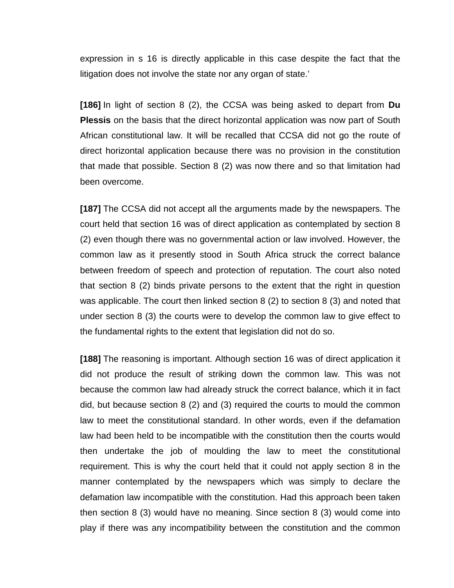expression in s 16 is directly applicable in this case despite the fact that the litigation does not involve the state nor any organ of state.'

**[186]** In light of section 8 (2), the CCSA was being asked to depart from **Du Plessis** on the basis that the direct horizontal application was now part of South African constitutional law. It will be recalled that CCSA did not go the route of direct horizontal application because there was no provision in the constitution that made that possible. Section 8 (2) was now there and so that limitation had been overcome.

**[187]** The CCSA did not accept all the arguments made by the newspapers. The court held that section 16 was of direct application as contemplated by section 8 (2) even though there was no governmental action or law involved. However, the common law as it presently stood in South Africa struck the correct balance between freedom of speech and protection of reputation. The court also noted that section 8 (2) binds private persons to the extent that the right in question was applicable. The court then linked section 8 (2) to section 8 (3) and noted that under section 8 (3) the courts were to develop the common law to give effect to the fundamental rights to the extent that legislation did not do so.

**[188]** The reasoning is important. Although section 16 was of direct application it did not produce the result of striking down the common law. This was not because the common law had already struck the correct balance, which it in fact did, but because section 8 (2) and (3) required the courts to mould the common law to meet the constitutional standard. In other words, even if the defamation law had been held to be incompatible with the constitution then the courts would then undertake the job of moulding the law to meet the constitutional requirement. This is why the court held that it could not apply section 8 in the manner contemplated by the newspapers which was simply to declare the defamation law incompatible with the constitution. Had this approach been taken then section 8 (3) would have no meaning. Since section 8 (3) would come into play if there was any incompatibility between the constitution and the common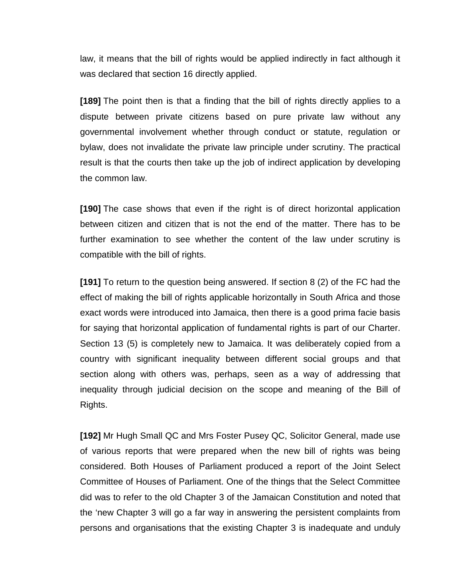law, it means that the bill of rights would be applied indirectly in fact although it was declared that section 16 directly applied.

**[189]** The point then is that a finding that the bill of rights directly applies to a dispute between private citizens based on pure private law without any governmental involvement whether through conduct or statute, regulation or bylaw, does not invalidate the private law principle under scrutiny. The practical result is that the courts then take up the job of indirect application by developing the common law.

**[190]** The case shows that even if the right is of direct horizontal application between citizen and citizen that is not the end of the matter. There has to be further examination to see whether the content of the law under scrutiny is compatible with the bill of rights.

**[191]** To return to the question being answered. If section 8 (2) of the FC had the effect of making the bill of rights applicable horizontally in South Africa and those exact words were introduced into Jamaica, then there is a good prima facie basis for saying that horizontal application of fundamental rights is part of our Charter. Section 13 (5) is completely new to Jamaica. It was deliberately copied from a country with significant inequality between different social groups and that section along with others was, perhaps, seen as a way of addressing that inequality through judicial decision on the scope and meaning of the Bill of Rights.

**[192]** Mr Hugh Small QC and Mrs Foster Pusey QC, Solicitor General, made use of various reports that were prepared when the new bill of rights was being considered. Both Houses of Parliament produced a report of the Joint Select Committee of Houses of Parliament. One of the things that the Select Committee did was to refer to the old Chapter 3 of the Jamaican Constitution and noted that the 'new Chapter 3 will go a far way in answering the persistent complaints from persons and organisations that the existing Chapter 3 is inadequate and unduly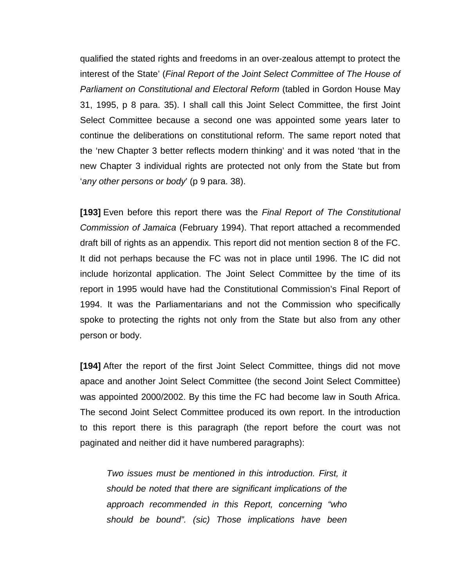qualified the stated rights and freedoms in an over-zealous attempt to protect the interest of the State' (*Final Report of the Joint Select Committee of The House of Parliament on Constitutional and Electoral Reform* (tabled in Gordon House May 31, 1995, p 8 para. 35). I shall call this Joint Select Committee, the first Joint Select Committee because a second one was appointed some years later to continue the deliberations on constitutional reform. The same report noted that the 'new Chapter 3 better reflects modern thinking' and it was noted 'that in the new Chapter 3 individual rights are protected not only from the State but from '*any other persons or body*' (p 9 para. 38).

**[193]** Even before this report there was the *Final Report of The Constitutional Commission of Jamaica* (February 1994). That report attached a recommended draft bill of rights as an appendix. This report did not mention section 8 of the FC. It did not perhaps because the FC was not in place until 1996. The IC did not include horizontal application. The Joint Select Committee by the time of its report in 1995 would have had the Constitutional Commission's Final Report of 1994. It was the Parliamentarians and not the Commission who specifically spoke to protecting the rights not only from the State but also from any other person or body.

**[194]** After the report of the first Joint Select Committee, things did not move apace and another Joint Select Committee (the second Joint Select Committee) was appointed 2000/2002. By this time the FC had become law in South Africa. The second Joint Select Committee produced its own report. In the introduction to this report there is this paragraph (the report before the court was not paginated and neither did it have numbered paragraphs):

*Two issues must be mentioned in this introduction. First, it should be noted that there are significant implications of the approach recommended in this Report, concerning "who should be bound". (sic) Those implications have been*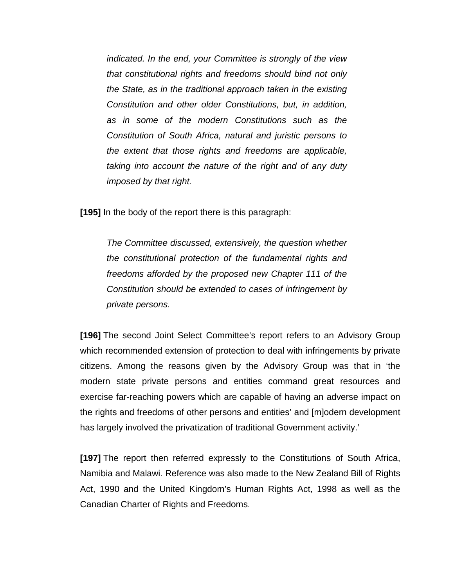*indicated. In the end, your Committee is strongly of the view that constitutional rights and freedoms should bind not only the State, as in the traditional approach taken in the existing Constitution and other older Constitutions, but, in addition, as in some of the modern Constitutions such as the Constitution of South Africa, natural and juristic persons to the extent that those rights and freedoms are applicable, taking into account the nature of the right and of any duty imposed by that right.* 

**[195]** In the body of the report there is this paragraph:

*The Committee discussed, extensively, the question whether the constitutional protection of the fundamental rights and freedoms afforded by the proposed new Chapter 111 of the Constitution should be extended to cases of infringement by private persons.* 

**[196]** The second Joint Select Committee's report refers to an Advisory Group which recommended extension of protection to deal with infringements by private citizens. Among the reasons given by the Advisory Group was that in 'the modern state private persons and entities command great resources and exercise far-reaching powers which are capable of having an adverse impact on the rights and freedoms of other persons and entities' and [m]odern development has largely involved the privatization of traditional Government activity.'

**[197]** The report then referred expressly to the Constitutions of South Africa, Namibia and Malawi. Reference was also made to the New Zealand Bill of Rights Act, 1990 and the United Kingdom's Human Rights Act, 1998 as well as the Canadian Charter of Rights and Freedoms.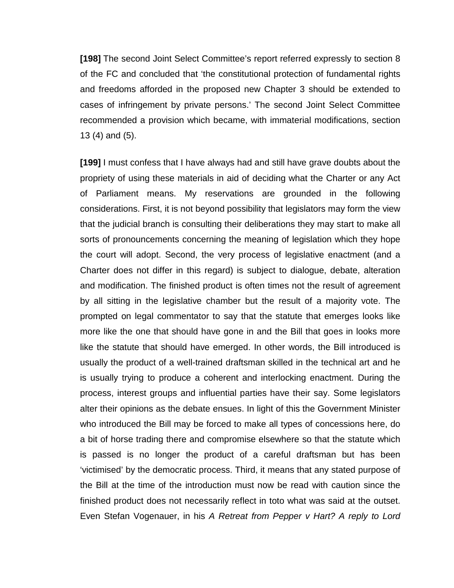**[198]** The second Joint Select Committee's report referred expressly to section 8 of the FC and concluded that 'the constitutional protection of fundamental rights and freedoms afforded in the proposed new Chapter 3 should be extended to cases of infringement by private persons.' The second Joint Select Committee recommended a provision which became, with immaterial modifications, section 13 (4) and (5).

**[199]** I must confess that I have always had and still have grave doubts about the propriety of using these materials in aid of deciding what the Charter or any Act of Parliament means. My reservations are grounded in the following considerations. First, it is not beyond possibility that legislators may form the view that the judicial branch is consulting their deliberations they may start to make all sorts of pronouncements concerning the meaning of legislation which they hope the court will adopt. Second, the very process of legislative enactment (and a Charter does not differ in this regard) is subject to dialogue, debate, alteration and modification. The finished product is often times not the result of agreement by all sitting in the legislative chamber but the result of a majority vote. The prompted on legal commentator to say that the statute that emerges looks like more like the one that should have gone in and the Bill that goes in looks more like the statute that should have emerged. In other words, the Bill introduced is usually the product of a well-trained draftsman skilled in the technical art and he is usually trying to produce a coherent and interlocking enactment. During the process, interest groups and influential parties have their say. Some legislators alter their opinions as the debate ensues. In light of this the Government Minister who introduced the Bill may be forced to make all types of concessions here, do a bit of horse trading there and compromise elsewhere so that the statute which is passed is no longer the product of a careful draftsman but has been 'victimised' by the democratic process. Third, it means that any stated purpose of the Bill at the time of the introduction must now be read with caution since the finished product does not necessarily reflect in toto what was said at the outset. Even Stefan Vogenauer, in his *A Retreat from Pepper v Hart? A reply to Lord*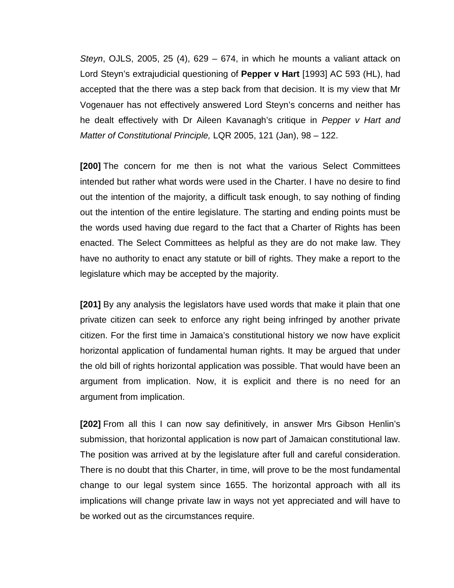*Steyn*, OJLS, 2005, 25 (4), 629 – 674, in which he mounts a valiant attack on Lord Steyn's extrajudicial questioning of **Pepper v Hart** [1993] AC 593 (HL), had accepted that the there was a step back from that decision. It is my view that Mr Vogenauer has not effectively answered Lord Steyn's concerns and neither has he dealt effectively with Dr Aileen Kavanagh's critique in *Pepper v Hart and Matter of Constitutional Principle,* LQR 2005, 121 (Jan), 98 – 122.

**[200]** The concern for me then is not what the various Select Committees intended but rather what words were used in the Charter. I have no desire to find out the intention of the majority, a difficult task enough, to say nothing of finding out the intention of the entire legislature. The starting and ending points must be the words used having due regard to the fact that a Charter of Rights has been enacted. The Select Committees as helpful as they are do not make law. They have no authority to enact any statute or bill of rights. They make a report to the legislature which may be accepted by the majority.

**[201]** By any analysis the legislators have used words that make it plain that one private citizen can seek to enforce any right being infringed by another private citizen. For the first time in Jamaica's constitutional history we now have explicit horizontal application of fundamental human rights. It may be argued that under the old bill of rights horizontal application was possible. That would have been an argument from implication. Now, it is explicit and there is no need for an argument from implication.

**[202]** From all this I can now say definitively, in answer Mrs Gibson Henlin's submission, that horizontal application is now part of Jamaican constitutional law. The position was arrived at by the legislature after full and careful consideration. There is no doubt that this Charter, in time, will prove to be the most fundamental change to our legal system since 1655. The horizontal approach with all its implications will change private law in ways not yet appreciated and will have to be worked out as the circumstances require.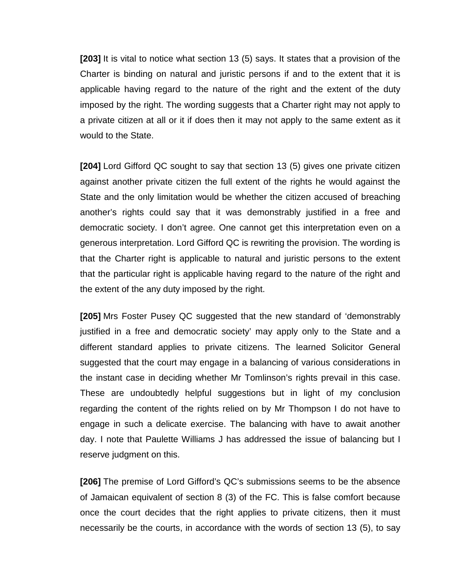**[203]** It is vital to notice what section 13 (5) says. It states that a provision of the Charter is binding on natural and juristic persons if and to the extent that it is applicable having regard to the nature of the right and the extent of the duty imposed by the right. The wording suggests that a Charter right may not apply to a private citizen at all or it if does then it may not apply to the same extent as it would to the State.

**[204]** Lord Gifford QC sought to say that section 13 (5) gives one private citizen against another private citizen the full extent of the rights he would against the State and the only limitation would be whether the citizen accused of breaching another's rights could say that it was demonstrably justified in a free and democratic society. I don't agree. One cannot get this interpretation even on a generous interpretation. Lord Gifford QC is rewriting the provision. The wording is that the Charter right is applicable to natural and juristic persons to the extent that the particular right is applicable having regard to the nature of the right and the extent of the any duty imposed by the right.

**[205]** Mrs Foster Pusey QC suggested that the new standard of 'demonstrably justified in a free and democratic society' may apply only to the State and a different standard applies to private citizens. The learned Solicitor General suggested that the court may engage in a balancing of various considerations in the instant case in deciding whether Mr Tomlinson's rights prevail in this case. These are undoubtedly helpful suggestions but in light of my conclusion regarding the content of the rights relied on by Mr Thompson I do not have to engage in such a delicate exercise. The balancing with have to await another day. I note that Paulette Williams J has addressed the issue of balancing but I reserve judgment on this.

**[206]** The premise of Lord Gifford's QC's submissions seems to be the absence of Jamaican equivalent of section 8 (3) of the FC. This is false comfort because once the court decides that the right applies to private citizens, then it must necessarily be the courts, in accordance with the words of section 13 (5), to say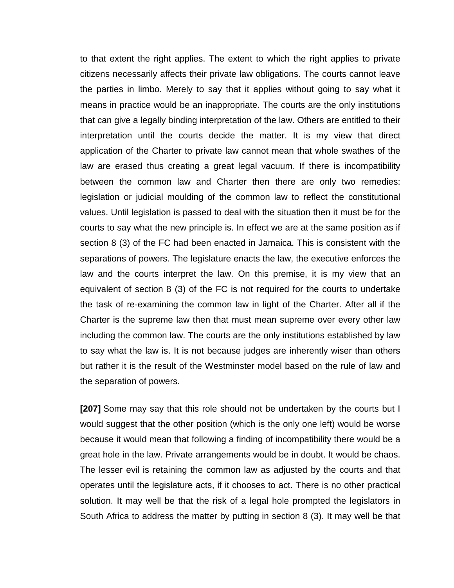to that extent the right applies. The extent to which the right applies to private citizens necessarily affects their private law obligations. The courts cannot leave the parties in limbo. Merely to say that it applies without going to say what it means in practice would be an inappropriate. The courts are the only institutions that can give a legally binding interpretation of the law. Others are entitled to their interpretation until the courts decide the matter. It is my view that direct application of the Charter to private law cannot mean that whole swathes of the law are erased thus creating a great legal vacuum. If there is incompatibility between the common law and Charter then there are only two remedies: legislation or judicial moulding of the common law to reflect the constitutional values. Until legislation is passed to deal with the situation then it must be for the courts to say what the new principle is. In effect we are at the same position as if section 8 (3) of the FC had been enacted in Jamaica. This is consistent with the separations of powers. The legislature enacts the law, the executive enforces the law and the courts interpret the law. On this premise, it is my view that an equivalent of section 8 (3) of the FC is not required for the courts to undertake the task of re-examining the common law in light of the Charter. After all if the Charter is the supreme law then that must mean supreme over every other law including the common law. The courts are the only institutions established by law to say what the law is. It is not because judges are inherently wiser than others but rather it is the result of the Westminster model based on the rule of law and the separation of powers.

**[207]** Some may say that this role should not be undertaken by the courts but I would suggest that the other position (which is the only one left) would be worse because it would mean that following a finding of incompatibility there would be a great hole in the law. Private arrangements would be in doubt. It would be chaos. The lesser evil is retaining the common law as adjusted by the courts and that operates until the legislature acts, if it chooses to act. There is no other practical solution. It may well be that the risk of a legal hole prompted the legislators in South Africa to address the matter by putting in section 8 (3). It may well be that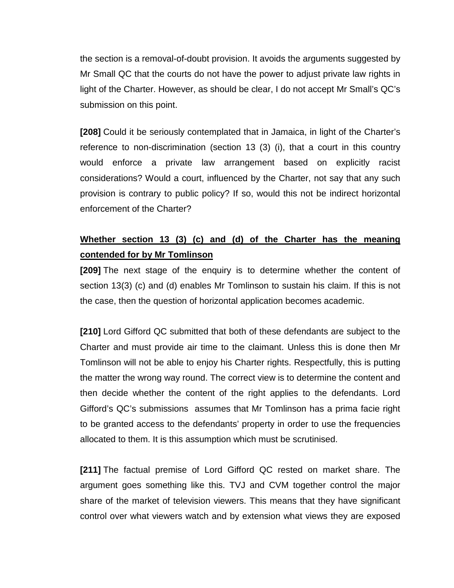the section is a removal-of-doubt provision. It avoids the arguments suggested by Mr Small QC that the courts do not have the power to adjust private law rights in light of the Charter. However, as should be clear, I do not accept Mr Small's QC's submission on this point.

**[208]** Could it be seriously contemplated that in Jamaica, in light of the Charter's reference to non-discrimination (section 13 (3) (i), that a court in this country would enforce a private law arrangement based on explicitly racist considerations? Would a court, influenced by the Charter, not say that any such provision is contrary to public policy? If so, would this not be indirect horizontal enforcement of the Charter?

# **Whether section 13 (3) (c) and (d) of the Charter has the meaning contended for by Mr Tomlinson**

**[209]** The next stage of the enquiry is to determine whether the content of section 13(3) (c) and (d) enables Mr Tomlinson to sustain his claim. If this is not the case, then the question of horizontal application becomes academic.

**[210]** Lord Gifford QC submitted that both of these defendants are subject to the Charter and must provide air time to the claimant. Unless this is done then Mr Tomlinson will not be able to enjoy his Charter rights. Respectfully, this is putting the matter the wrong way round. The correct view is to determine the content and then decide whether the content of the right applies to the defendants. Lord Gifford's QC's submissions assumes that Mr Tomlinson has a prima facie right to be granted access to the defendants' property in order to use the frequencies allocated to them. It is this assumption which must be scrutinised.

**[211]** The factual premise of Lord Gifford QC rested on market share. The argument goes something like this. TVJ and CVM together control the major share of the market of television viewers. This means that they have significant control over what viewers watch and by extension what views they are exposed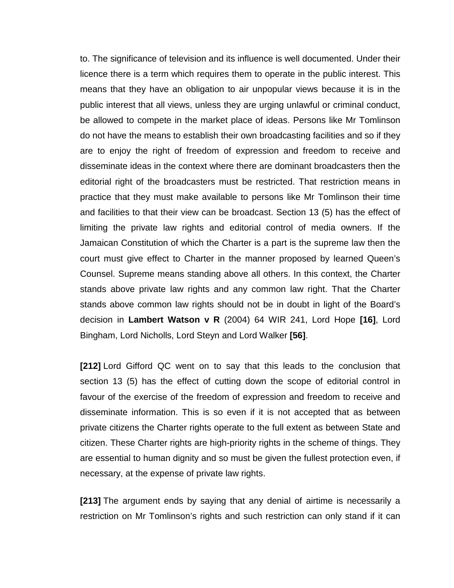to. The significance of television and its influence is well documented. Under their licence there is a term which requires them to operate in the public interest. This means that they have an obligation to air unpopular views because it is in the public interest that all views, unless they are urging unlawful or criminal conduct, be allowed to compete in the market place of ideas. Persons like Mr Tomlinson do not have the means to establish their own broadcasting facilities and so if they are to enjoy the right of freedom of expression and freedom to receive and disseminate ideas in the context where there are dominant broadcasters then the editorial right of the broadcasters must be restricted. That restriction means in practice that they must make available to persons like Mr Tomlinson their time and facilities to that their view can be broadcast. Section 13 (5) has the effect of limiting the private law rights and editorial control of media owners. If the Jamaican Constitution of which the Charter is a part is the supreme law then the court must give effect to Charter in the manner proposed by learned Queen's Counsel. Supreme means standing above all others. In this context, the Charter stands above private law rights and any common law right. That the Charter stands above common law rights should not be in doubt in light of the Board's decision in **Lambert Watson v R** (2004) 64 WIR 241, Lord Hope **[16]**, Lord Bingham, Lord Nicholls, Lord Steyn and Lord Walker **[56]**.

**[212]** Lord Gifford QC went on to say that this leads to the conclusion that section 13 (5) has the effect of cutting down the scope of editorial control in favour of the exercise of the freedom of expression and freedom to receive and disseminate information. This is so even if it is not accepted that as between private citizens the Charter rights operate to the full extent as between State and citizen. These Charter rights are high-priority rights in the scheme of things. They are essential to human dignity and so must be given the fullest protection even, if necessary, at the expense of private law rights.

**[213]** The argument ends by saying that any denial of airtime is necessarily a restriction on Mr Tomlinson's rights and such restriction can only stand if it can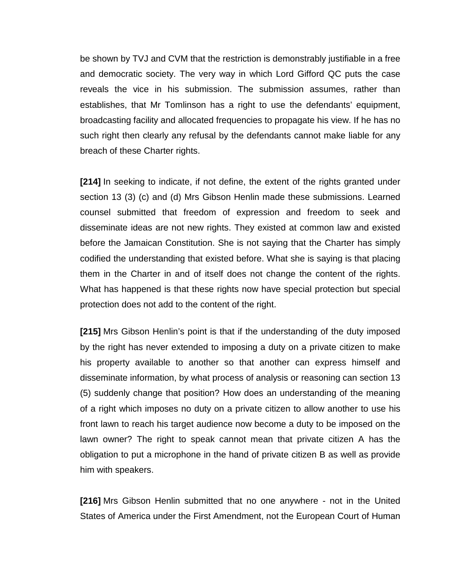be shown by TVJ and CVM that the restriction is demonstrably justifiable in a free and democratic society. The very way in which Lord Gifford QC puts the case reveals the vice in his submission. The submission assumes, rather than establishes, that Mr Tomlinson has a right to use the defendants' equipment, broadcasting facility and allocated frequencies to propagate his view. If he has no such right then clearly any refusal by the defendants cannot make liable for any breach of these Charter rights.

**[214]** In seeking to indicate, if not define, the extent of the rights granted under section 13 (3) (c) and (d) Mrs Gibson Henlin made these submissions. Learned counsel submitted that freedom of expression and freedom to seek and disseminate ideas are not new rights. They existed at common law and existed before the Jamaican Constitution. She is not saying that the Charter has simply codified the understanding that existed before. What she is saying is that placing them in the Charter in and of itself does not change the content of the rights. What has happened is that these rights now have special protection but special protection does not add to the content of the right.

**[215]** Mrs Gibson Henlin's point is that if the understanding of the duty imposed by the right has never extended to imposing a duty on a private citizen to make his property available to another so that another can express himself and disseminate information, by what process of analysis or reasoning can section 13 (5) suddenly change that position? How does an understanding of the meaning of a right which imposes no duty on a private citizen to allow another to use his front lawn to reach his target audience now become a duty to be imposed on the lawn owner? The right to speak cannot mean that private citizen A has the obligation to put a microphone in the hand of private citizen B as well as provide him with speakers.

**[216]** Mrs Gibson Henlin submitted that no one anywhere - not in the United States of America under the First Amendment, not the European Court of Human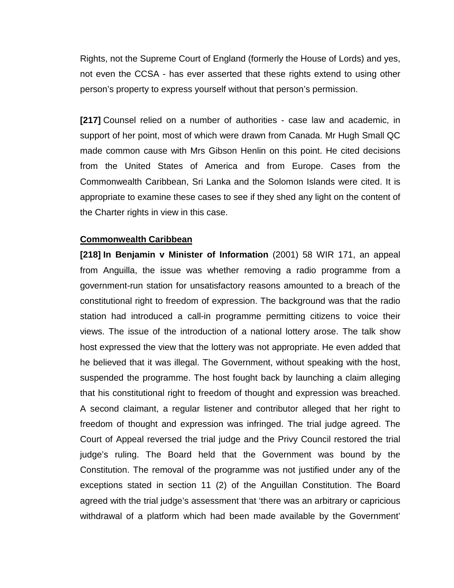Rights, not the Supreme Court of England (formerly the House of Lords) and yes, not even the CCSA - has ever asserted that these rights extend to using other person's property to express yourself without that person's permission.

**[217]** Counsel relied on a number of authorities - case law and academic, in support of her point, most of which were drawn from Canada. Mr Hugh Small QC made common cause with Mrs Gibson Henlin on this point. He cited decisions from the United States of America and from Europe. Cases from the Commonwealth Caribbean, Sri Lanka and the Solomon Islands were cited. It is appropriate to examine these cases to see if they shed any light on the content of the Charter rights in view in this case.

#### **Commonwealth Caribbean**

**[218] In Benjamin v Minister of Information** (2001) 58 WIR 171, an appeal from Anguilla, the issue was whether removing a radio programme from a government-run station for unsatisfactory reasons amounted to a breach of the constitutional right to freedom of expression. The background was that the radio station had introduced a call-in programme permitting citizens to voice their views. The issue of the introduction of a national lottery arose. The talk show host expressed the view that the lottery was not appropriate. He even added that he believed that it was illegal. The Government, without speaking with the host, suspended the programme. The host fought back by launching a claim alleging that his constitutional right to freedom of thought and expression was breached. A second claimant, a regular listener and contributor alleged that her right to freedom of thought and expression was infringed. The trial judge agreed. The Court of Appeal reversed the trial judge and the Privy Council restored the trial judge's ruling. The Board held that the Government was bound by the Constitution. The removal of the programme was not justified under any of the exceptions stated in section 11 (2) of the Anguillan Constitution. The Board agreed with the trial judge's assessment that 'there was an arbitrary or capricious withdrawal of a platform which had been made available by the Government'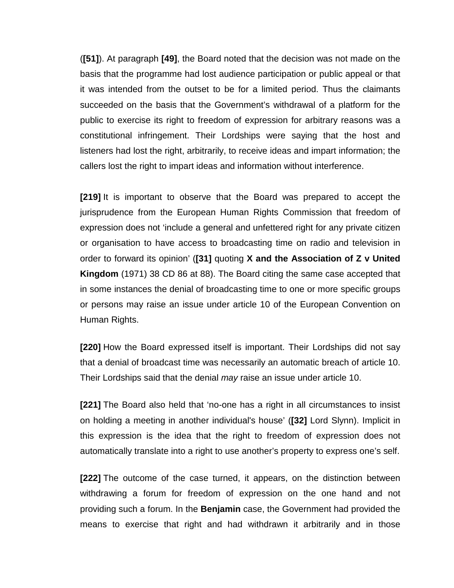(**[51]**). At paragraph **[49]**, the Board noted that the decision was not made on the basis that the programme had lost audience participation or public appeal or that it was intended from the outset to be for a limited period. Thus the claimants succeeded on the basis that the Government's withdrawal of a platform for the public to exercise its right to freedom of expression for arbitrary reasons was a constitutional infringement. Their Lordships were saying that the host and listeners had lost the right, arbitrarily, to receive ideas and impart information; the callers lost the right to impart ideas and information without interference.

**[219]** It is important to observe that the Board was prepared to accept the jurisprudence from the European Human Rights Commission that freedom of expression does not 'include a general and unfettered right for any private citizen or organisation to have access to broadcasting time on radio and television in order to forward its opinion' (**[31]** quoting **X and the Association of Z v United Kingdom** (1971) 38 CD 86 at 88). The Board citing the same case accepted that in some instances the denial of broadcasting time to one or more specific groups or persons may raise an issue under article 10 of the European Convention on Human Rights.

**[220]** How the Board expressed itself is important. Their Lordships did not say that a denial of broadcast time was necessarily an automatic breach of article 10. Their Lordships said that the denial *may* raise an issue under article 10.

**[221]** The Board also held that 'no-one has a right in all circumstances to insist on holding a meeting in another individual's house' (**[32]** Lord Slynn). Implicit in this expression is the idea that the right to freedom of expression does not automatically translate into a right to use another's property to express one's self.

**[222]** The outcome of the case turned, it appears, on the distinction between withdrawing a forum for freedom of expression on the one hand and not providing such a forum. In the **Benjamin** case, the Government had provided the means to exercise that right and had withdrawn it arbitrarily and in those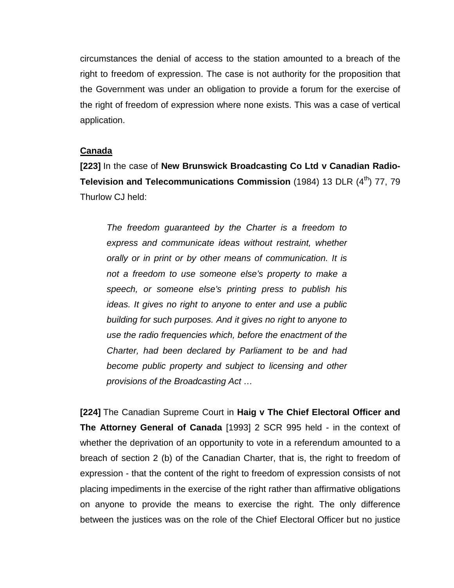circumstances the denial of access to the station amounted to a breach of the right to freedom of expression. The case is not authority for the proposition that the Government was under an obligation to provide a forum for the exercise of the right of freedom of expression where none exists. This was a case of vertical application.

#### **Canada**

**[223]** In the case of **New Brunswick Broadcasting Co Ltd v Canadian Radio-Television and Telecommunications Commission** (1984) 13 DLR (4<sup>th</sup>) 77, 79 Thurlow CJ held:

*The freedom guaranteed by the Charter is a freedom to express and communicate ideas without restraint, whether orally or in print or by other means of communication. It is not a freedom to use someone else's property to make a speech, or someone else's printing press to publish his ideas. It gives no right to anyone to enter and use a public building for such purposes. And it gives no right to anyone to use the radio frequencies which, before the enactment of the Charter, had been declared by Parliament to be and had become public property and subject to licensing and other provisions of the Broadcasting Act …*

**[224]** The Canadian Supreme Court in **Haig v The Chief Electoral Officer and The Attorney General of Canada** [1993] 2 SCR 995 held - in the context of whether the deprivation of an opportunity to vote in a referendum amounted to a breach of section 2 (b) of the Canadian Charter, that is, the right to freedom of expression - that the content of the right to freedom of expression consists of not placing impediments in the exercise of the right rather than affirmative obligations on anyone to provide the means to exercise the right. The only difference between the justices was on the role of the Chief Electoral Officer but no justice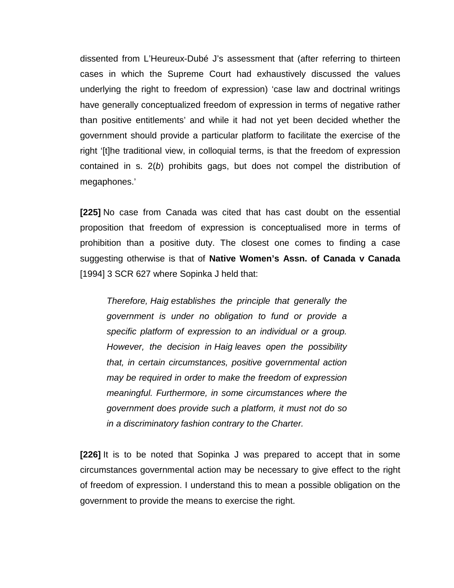dissented from L'Heureux-Dubé J's assessment that (after referring to thirteen cases in which the Supreme Court had exhaustively discussed the values underlying the right to freedom of expression) 'case law and doctrinal writings have generally conceptualized freedom of expression in terms of negative rather than positive entitlements' and while it had not yet been decided whether the government should provide a particular platform to facilitate the exercise of the right '[t]he traditional view, in colloquial terms, is that the freedom of expression contained in s. 2(*b*) prohibits gags, but does not compel the distribution of megaphones.'

**[225]** No case from Canada was cited that has cast doubt on the essential proposition that freedom of expression is conceptualised more in terms of prohibition than a positive duty. The closest one comes to finding a case suggesting otherwise is that of **Native Women's Assn. of Canada v Canada**  [1994] 3 SCR 627 where Sopinka J held that:

*Therefore, Haig establishes the principle that generally the government is under no obligation to fund or provide a specific platform of expression to an individual or a group. However, the decision in Haig leaves open the possibility that, in certain circumstances, positive governmental action may be required in order to make the freedom of expression meaningful. Furthermore, in some circumstances where the government does provide such a platform, it must not do so in a discriminatory fashion contrary to the Charter.*

**[226]** It is to be noted that Sopinka J was prepared to accept that in some circumstances governmental action may be necessary to give effect to the right of freedom of expression. I understand this to mean a possible obligation on the government to provide the means to exercise the right.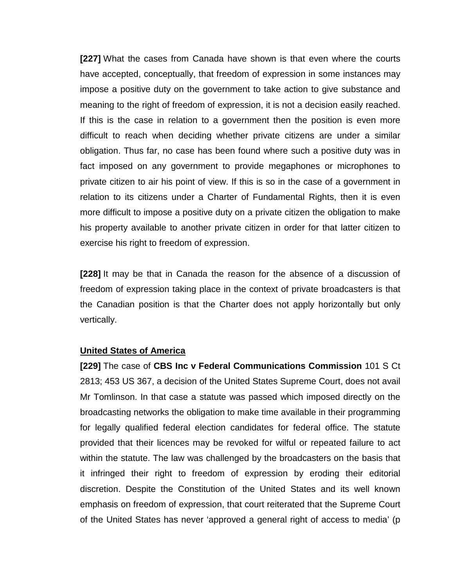**[227]** What the cases from Canada have shown is that even where the courts have accepted, conceptually, that freedom of expression in some instances may impose a positive duty on the government to take action to give substance and meaning to the right of freedom of expression, it is not a decision easily reached. If this is the case in relation to a government then the position is even more difficult to reach when deciding whether private citizens are under a similar obligation. Thus far, no case has been found where such a positive duty was in fact imposed on any government to provide megaphones or microphones to private citizen to air his point of view. If this is so in the case of a government in relation to its citizens under a Charter of Fundamental Rights, then it is even more difficult to impose a positive duty on a private citizen the obligation to make his property available to another private citizen in order for that latter citizen to exercise his right to freedom of expression.

**[228]** It may be that in Canada the reason for the absence of a discussion of freedom of expression taking place in the context of private broadcasters is that the Canadian position is that the Charter does not apply horizontally but only vertically.

#### **United States of America**

**[229]** The case of **CBS Inc v Federal Communications Commission** 101 S Ct 2813; 453 US 367, a decision of the United States Supreme Court, does not avail Mr Tomlinson. In that case a statute was passed which imposed directly on the broadcasting networks the obligation to make time available in their programming for legally qualified federal election candidates for federal office. The statute provided that their licences may be revoked for wilful or repeated failure to act within the statute. The law was challenged by the broadcasters on the basis that it infringed their right to freedom of expression by eroding their editorial discretion. Despite the Constitution of the United States and its well known emphasis on freedom of expression, that court reiterated that the Supreme Court of the United States has never 'approved a general right of access to media' (p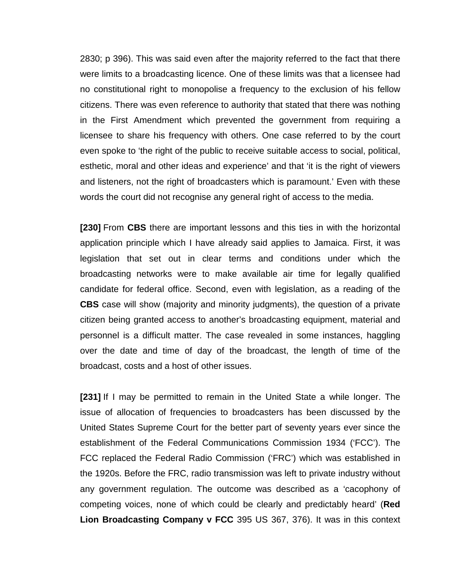2830; p 396). This was said even after the majority referred to the fact that there were limits to a broadcasting licence. One of these limits was that a licensee had no constitutional right to monopolise a frequency to the exclusion of his fellow citizens. There was even reference to authority that stated that there was nothing in the First Amendment which prevented the government from requiring a licensee to share his frequency with others. One case referred to by the court even spoke to 'the right of the public to receive suitable access to social, political, esthetic, moral and other ideas and experience' and that 'it is the right of viewers and listeners, not the right of broadcasters which is paramount.' Even with these words the court did not recognise any general right of access to the media.

**[230]** From **CBS** there are important lessons and this ties in with the horizontal application principle which I have already said applies to Jamaica. First, it was legislation that set out in clear terms and conditions under which the broadcasting networks were to make available air time for legally qualified candidate for federal office. Second, even with legislation, as a reading of the **CBS** case will show (majority and minority judgments), the question of a private citizen being granted access to another's broadcasting equipment, material and personnel is a difficult matter. The case revealed in some instances, haggling over the date and time of day of the broadcast, the length of time of the broadcast, costs and a host of other issues.

**[231]** If I may be permitted to remain in the United State a while longer. The issue of allocation of frequencies to broadcasters has been discussed by the United States Supreme Court for the better part of seventy years ever since the establishment of the Federal Communications Commission 1934 ('FCC'). The FCC replaced the Federal Radio Commission ('FRC') which was established in the 1920s. Before the FRC, radio transmission was left to private industry without any government regulation. The outcome was described as a 'cacophony of competing voices, none of which could be clearly and predictably heard' (**Red Lion Broadcasting Company v FCC** 395 US 367, 376). It was in this context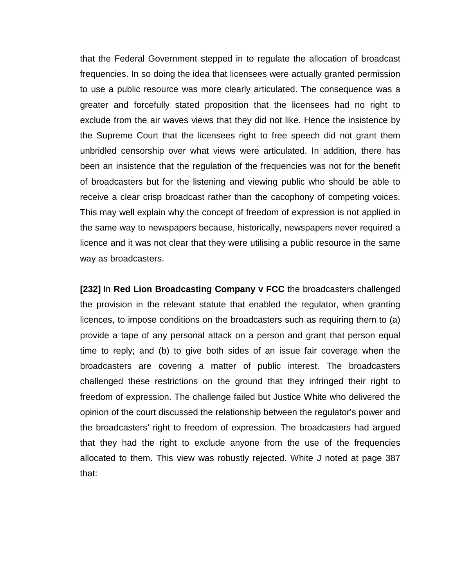that the Federal Government stepped in to regulate the allocation of broadcast frequencies. In so doing the idea that licensees were actually granted permission to use a public resource was more clearly articulated. The consequence was a greater and forcefully stated proposition that the licensees had no right to exclude from the air waves views that they did not like. Hence the insistence by the Supreme Court that the licensees right to free speech did not grant them unbridled censorship over what views were articulated. In addition, there has been an insistence that the regulation of the frequencies was not for the benefit of broadcasters but for the listening and viewing public who should be able to receive a clear crisp broadcast rather than the cacophony of competing voices. This may well explain why the concept of freedom of expression is not applied in the same way to newspapers because, historically, newspapers never required a licence and it was not clear that they were utilising a public resource in the same way as broadcasters.

**[232]** In **Red Lion Broadcasting Company v FCC** the broadcasters challenged the provision in the relevant statute that enabled the regulator, when granting licences, to impose conditions on the broadcasters such as requiring them to (a) provide a tape of any personal attack on a person and grant that person equal time to reply; and (b) to give both sides of an issue fair coverage when the broadcasters are covering a matter of public interest. The broadcasters challenged these restrictions on the ground that they infringed their right to freedom of expression. The challenge failed but Justice White who delivered the opinion of the court discussed the relationship between the regulator's power and the broadcasters' right to freedom of expression. The broadcasters had argued that they had the right to exclude anyone from the use of the frequencies allocated to them. This view was robustly rejected. White J noted at page 387 that: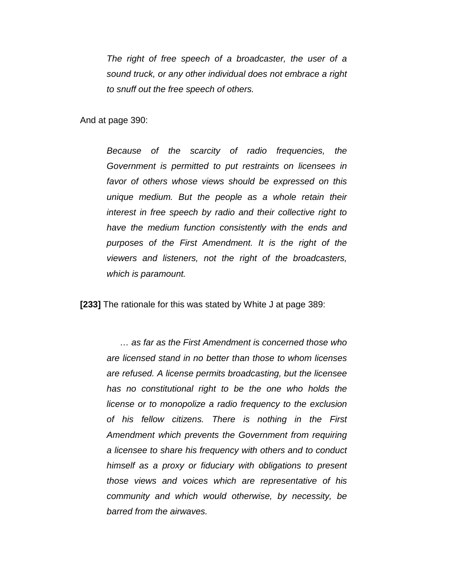*The right of free speech of a broadcaster, the user of a sound truck, or any other individual does not embrace a right to snuff out the free speech of others.* 

And at page 390:

*Because of the scarcity of radio frequencies, the Government is permitted to put restraints on licensees in favor of others whose views should be expressed on this unique medium. But the people as a whole retain their interest in free speech by radio and their collective right to have the medium function consistently with the ends and purposes of the First Amendment. It is the right of the viewers and listeners, not the right of the broadcasters, which is paramount.*

**[233]** The rationale for this was stated by White J at page 389:

*… as far as the First Amendment is concerned those who are licensed stand in no better than those to whom licenses are refused. A license permits broadcasting, but the licensee has no constitutional right to be the one who holds the license or to monopolize a radio frequency to the exclusion of his fellow citizens. There is nothing in the First Amendment which prevents the Government from requiring a licensee to share his frequency with others and to conduct himself as a proxy or fiduciary with obligations to present those views and voices which are representative of his community and which would otherwise, by necessity, be barred from the airwaves.*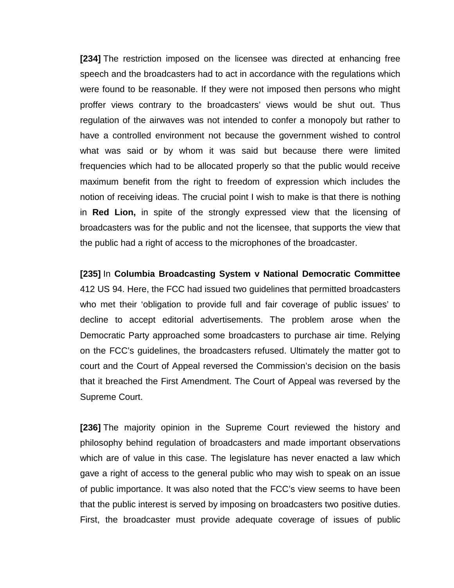**[234]** The restriction imposed on the licensee was directed at enhancing free speech and the broadcasters had to act in accordance with the regulations which were found to be reasonable. If they were not imposed then persons who might proffer views contrary to the broadcasters' views would be shut out. Thus regulation of the airwaves was not intended to confer a monopoly but rather to have a controlled environment not because the government wished to control what was said or by whom it was said but because there were limited frequencies which had to be allocated properly so that the public would receive maximum benefit from the right to freedom of expression which includes the notion of receiving ideas. The crucial point I wish to make is that there is nothing in **Red Lion,** in spite of the strongly expressed view that the licensing of broadcasters was for the public and not the licensee, that supports the view that the public had a right of access to the microphones of the broadcaster.

**[235]** In **Columbia Broadcasting System v National Democratic Committee**  412 US 94. Here, the FCC had issued two guidelines that permitted broadcasters who met their 'obligation to provide full and fair coverage of public issues' to decline to accept editorial advertisements. The problem arose when the Democratic Party approached some broadcasters to purchase air time. Relying on the FCC's guidelines, the broadcasters refused. Ultimately the matter got to court and the Court of Appeal reversed the Commission's decision on the basis that it breached the First Amendment. The Court of Appeal was reversed by the Supreme Court.

**[236]** The majority opinion in the Supreme Court reviewed the history and philosophy behind regulation of broadcasters and made important observations which are of value in this case. The legislature has never enacted a law which gave a right of access to the general public who may wish to speak on an issue of public importance. It was also noted that the FCC's view seems to have been that the public interest is served by imposing on broadcasters two positive duties. First, the broadcaster must provide adequate coverage of issues of public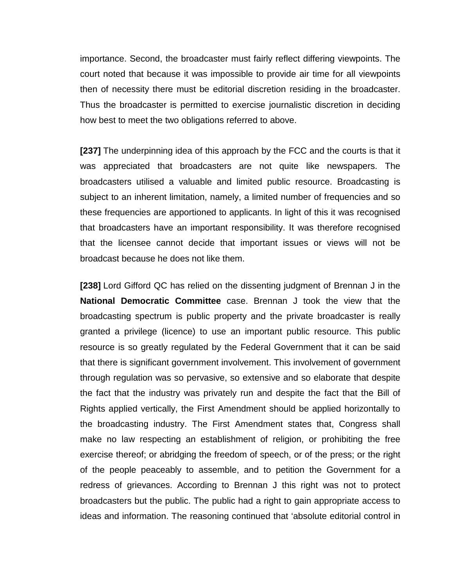importance. Second, the broadcaster must fairly reflect differing viewpoints. The court noted that because it was impossible to provide air time for all viewpoints then of necessity there must be editorial discretion residing in the broadcaster. Thus the broadcaster is permitted to exercise journalistic discretion in deciding how best to meet the two obligations referred to above.

**[237]** The underpinning idea of this approach by the FCC and the courts is that it was appreciated that broadcasters are not quite like newspapers. The broadcasters utilised a valuable and limited public resource. Broadcasting is subject to an inherent limitation, namely, a limited number of frequencies and so these frequencies are apportioned to applicants. In light of this it was recognised that broadcasters have an important responsibility. It was therefore recognised that the licensee cannot decide that important issues or views will not be broadcast because he does not like them.

**[238]** Lord Gifford QC has relied on the dissenting judgment of Brennan J in the **National Democratic Committee** case. Brennan J took the view that the broadcasting spectrum is public property and the private broadcaster is really granted a privilege (licence) to use an important public resource. This public resource is so greatly regulated by the Federal Government that it can be said that there is significant government involvement. This involvement of government through regulation was so pervasive, so extensive and so elaborate that despite the fact that the industry was privately run and despite the fact that the Bill of Rights applied vertically, the First Amendment should be applied horizontally to the broadcasting industry. The First Amendment states that, Congress shall make no law respecting an establishment of religion, or prohibiting the free exercise thereof; or abridging the freedom of speech, or of the press; or the right of the people peaceably to assemble, and to petition the Government for a redress of grievances. According to Brennan J this right was not to protect broadcasters but the public. The public had a right to gain appropriate access to ideas and information. The reasoning continued that 'absolute editorial control in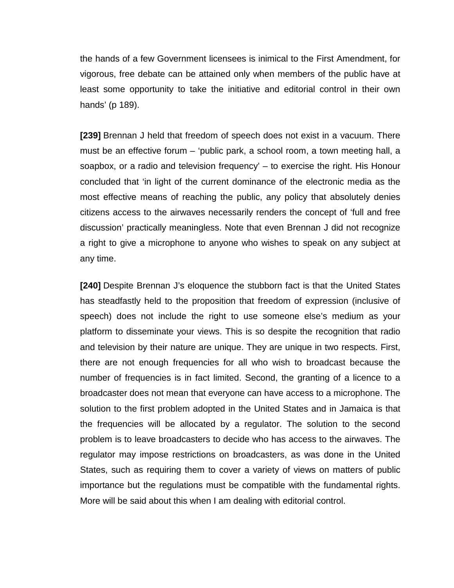the hands of a few Government licensees is inimical to the First Amendment, for vigorous, free debate can be attained only when members of the public have at least some opportunity to take the initiative and editorial control in their own hands' (p 189).

**[239]** Brennan J held that freedom of speech does not exist in a vacuum. There must be an effective forum – 'public park, a school room, a town meeting hall, a soapbox, or a radio and television frequency' – to exercise the right. His Honour concluded that 'in light of the current dominance of the electronic media as the most effective means of reaching the public, any policy that absolutely denies citizens access to the airwaves necessarily renders the concept of 'full and free discussion' practically meaningless. Note that even Brennan J did not recognize a right to give a microphone to anyone who wishes to speak on any subject at any time.

**[240]** Despite Brennan J's eloquence the stubborn fact is that the United States has steadfastly held to the proposition that freedom of expression (inclusive of speech) does not include the right to use someone else's medium as your platform to disseminate your views. This is so despite the recognition that radio and television by their nature are unique. They are unique in two respects. First, there are not enough frequencies for all who wish to broadcast because the number of frequencies is in fact limited. Second, the granting of a licence to a broadcaster does not mean that everyone can have access to a microphone. The solution to the first problem adopted in the United States and in Jamaica is that the frequencies will be allocated by a regulator. The solution to the second problem is to leave broadcasters to decide who has access to the airwaves. The regulator may impose restrictions on broadcasters, as was done in the United States, such as requiring them to cover a variety of views on matters of public importance but the regulations must be compatible with the fundamental rights. More will be said about this when I am dealing with editorial control.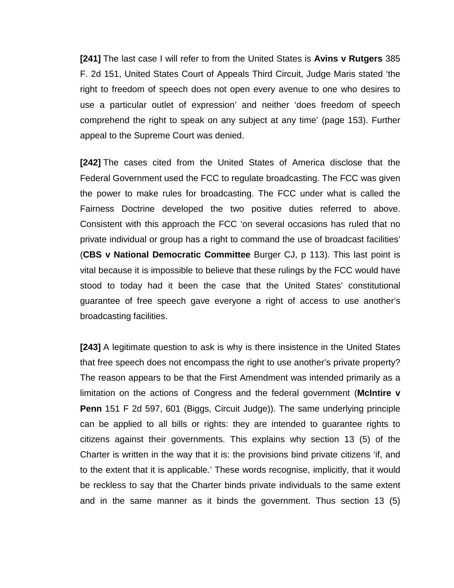**[241]** The last case I will refer to from the United States is **Avins v Rutgers** 385 F. 2d 151, United States Court of Appeals Third Circuit, Judge Maris stated 'the right to freedom of speech does not open every avenue to one who desires to use a particular outlet of expression' and neither 'does freedom of speech comprehend the right to speak on any subject at any time' (page 153). Further appeal to the Supreme Court was denied.

**[242]** The cases cited from the United States of America disclose that the Federal Government used the FCC to regulate broadcasting. The FCC was given the power to make rules for broadcasting. The FCC under what is called the Fairness Doctrine developed the two positive duties referred to above. Consistent with this approach the FCC 'on several occasions has ruled that no private individual or group has a right to command the use of broadcast facilities' (**CBS v National Democratic Committee** Burger CJ, p 113). This last point is vital because it is impossible to believe that these rulings by the FCC would have stood to today had it been the case that the United States' constitutional guarantee of free speech gave everyone a right of access to use another's broadcasting facilities.

**[243]** A legitimate question to ask is why is there insistence in the United States that free speech does not encompass the right to use another's private property? The reason appears to be that the First Amendment was intended primarily as a limitation on the actions of Congress and the federal government (**McIntire v Penn** 151 F 2d 597, 601 (Biggs, Circuit Judge)). The same underlying principle can be applied to all bills or rights: they are intended to guarantee rights to citizens against their governments. This explains why section 13 (5) of the Charter is written in the way that it is: the provisions bind private citizens 'if, and to the extent that it is applicable.' These words recognise, implicitly, that it would be reckless to say that the Charter binds private individuals to the same extent and in the same manner as it binds the government. Thus section 13 (5)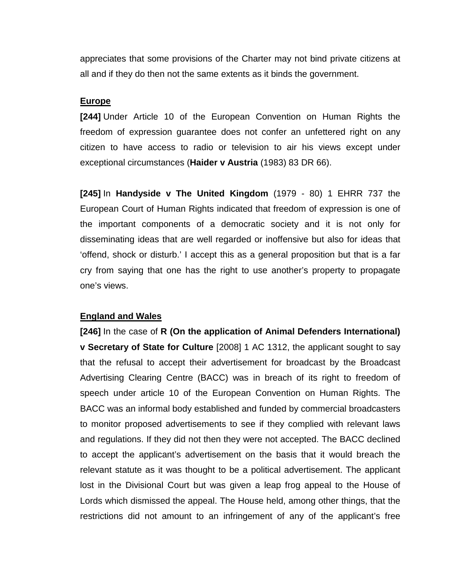appreciates that some provisions of the Charter may not bind private citizens at all and if they do then not the same extents as it binds the government.

## **Europe**

**[244]** Under Article 10 of the European Convention on Human Rights the freedom of expression guarantee does not confer an unfettered right on any citizen to have access to radio or television to air his views except under exceptional circumstances (**Haider v Austria** (1983) 83 DR 66).

**[245]** In **Handyside v The United Kingdom** (1979 - 80) 1 EHRR 737 the European Court of Human Rights indicated that freedom of expression is one of the important components of a democratic society and it is not only for disseminating ideas that are well regarded or inoffensive but also for ideas that 'offend, shock or disturb.' I accept this as a general proposition but that is a far cry from saying that one has the right to use another's property to propagate one's views.

## **England and Wales**

**[246]** In the case of **R (On the application of Animal Defenders International) v Secretary of State for Culture** [2008] 1 AC 1312, the applicant sought to say that the refusal to accept their advertisement for broadcast by the Broadcast Advertising Clearing Centre (BACC) was in breach of its right to freedom of speech under article 10 of the European Convention on Human Rights. The BACC was an informal body established and funded by commercial broadcasters to monitor proposed advertisements to see if they complied with relevant laws and regulations. If they did not then they were not accepted. The BACC declined to accept the applicant's advertisement on the basis that it would breach the relevant statute as it was thought to be a political advertisement. The applicant lost in the Divisional Court but was given a leap frog appeal to the House of Lords which dismissed the appeal. The House held, among other things, that the restrictions did not amount to an infringement of any of the applicant's free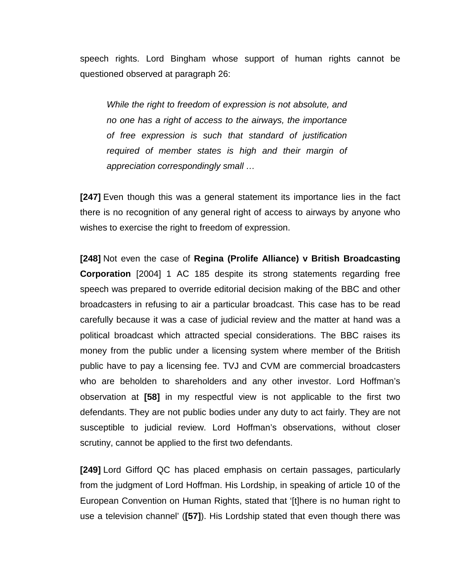speech rights. Lord Bingham whose support of human rights cannot be questioned observed at paragraph 26:

*While the right to freedom of expression is not absolute, and no one has a right of access to the airways, the importance of free expression is such that standard of justification required of member states is high and their margin of appreciation correspondingly small …*

**[247]** Even though this was a general statement its importance lies in the fact there is no recognition of any general right of access to airways by anyone who wishes to exercise the right to freedom of expression.

**[248]** Not even the case of **Regina (Prolife Alliance) v British Broadcasting Corporation** [2004] 1 AC 185 despite its strong statements regarding free speech was prepared to override editorial decision making of the BBC and other broadcasters in refusing to air a particular broadcast. This case has to be read carefully because it was a case of judicial review and the matter at hand was a political broadcast which attracted special considerations. The BBC raises its money from the public under a licensing system where member of the British public have to pay a licensing fee. TVJ and CVM are commercial broadcasters who are beholden to shareholders and any other investor. Lord Hoffman's observation at **[58]** in my respectful view is not applicable to the first two defendants. They are not public bodies under any duty to act fairly. They are not susceptible to judicial review. Lord Hoffman's observations, without closer scrutiny, cannot be applied to the first two defendants.

**[249]** Lord Gifford QC has placed emphasis on certain passages, particularly from the judgment of Lord Hoffman. His Lordship, in speaking of article 10 of the European Convention on Human Rights, stated that '[t]here is no human right to use a television channel' (**[57]**). His Lordship stated that even though there was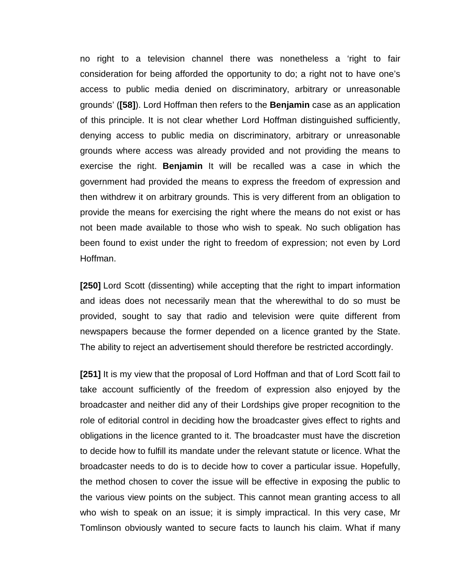no right to a television channel there was nonetheless a 'right to fair consideration for being afforded the opportunity to do; a right not to have one's access to public media denied on discriminatory, arbitrary or unreasonable grounds' (**[58]**). Lord Hoffman then refers to the **Benjamin** case as an application of this principle. It is not clear whether Lord Hoffman distinguished sufficiently, denying access to public media on discriminatory, arbitrary or unreasonable grounds where access was already provided and not providing the means to exercise the right. **Benjamin** It will be recalled was a case in which the government had provided the means to express the freedom of expression and then withdrew it on arbitrary grounds. This is very different from an obligation to provide the means for exercising the right where the means do not exist or has not been made available to those who wish to speak. No such obligation has been found to exist under the right to freedom of expression; not even by Lord Hoffman.

**[250]** Lord Scott (dissenting) while accepting that the right to impart information and ideas does not necessarily mean that the wherewithal to do so must be provided, sought to say that radio and television were quite different from newspapers because the former depended on a licence granted by the State. The ability to reject an advertisement should therefore be restricted accordingly.

**[251]** It is my view that the proposal of Lord Hoffman and that of Lord Scott fail to take account sufficiently of the freedom of expression also enjoyed by the broadcaster and neither did any of their Lordships give proper recognition to the role of editorial control in deciding how the broadcaster gives effect to rights and obligations in the licence granted to it. The broadcaster must have the discretion to decide how to fulfill its mandate under the relevant statute or licence. What the broadcaster needs to do is to decide how to cover a particular issue. Hopefully, the method chosen to cover the issue will be effective in exposing the public to the various view points on the subject. This cannot mean granting access to all who wish to speak on an issue; it is simply impractical. In this very case, Mr Tomlinson obviously wanted to secure facts to launch his claim. What if many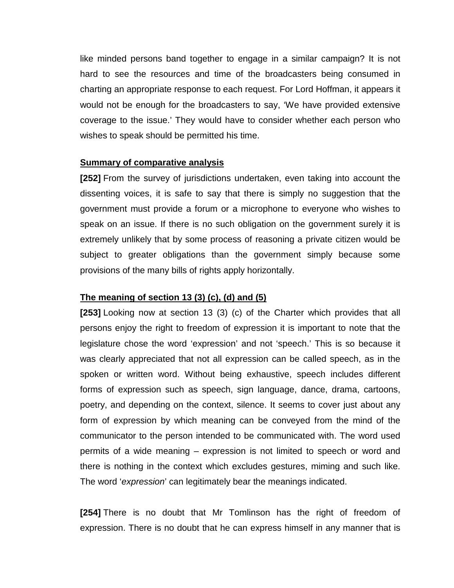like minded persons band together to engage in a similar campaign? It is not hard to see the resources and time of the broadcasters being consumed in charting an appropriate response to each request. For Lord Hoffman, it appears it would not be enough for the broadcasters to say, 'We have provided extensive coverage to the issue.' They would have to consider whether each person who wishes to speak should be permitted his time.

## **Summary of comparative analysis**

**[252]** From the survey of jurisdictions undertaken, even taking into account the dissenting voices, it is safe to say that there is simply no suggestion that the government must provide a forum or a microphone to everyone who wishes to speak on an issue. If there is no such obligation on the government surely it is extremely unlikely that by some process of reasoning a private citizen would be subject to greater obligations than the government simply because some provisions of the many bills of rights apply horizontally.

## **The meaning of section 13 (3) (c), (d) and (5)**

**[253]** Looking now at section 13 (3) (c) of the Charter which provides that all persons enjoy the right to freedom of expression it is important to note that the legislature chose the word 'expression' and not 'speech.' This is so because it was clearly appreciated that not all expression can be called speech, as in the spoken or written word. Without being exhaustive, speech includes different forms of expression such as speech, sign language, dance, drama, cartoons, poetry, and depending on the context, silence. It seems to cover just about any form of expression by which meaning can be conveyed from the mind of the communicator to the person intended to be communicated with. The word used permits of a wide meaning – expression is not limited to speech or word and there is nothing in the context which excludes gestures, miming and such like. The word '*expression*' can legitimately bear the meanings indicated.

**[254]** There is no doubt that Mr Tomlinson has the right of freedom of expression. There is no doubt that he can express himself in any manner that is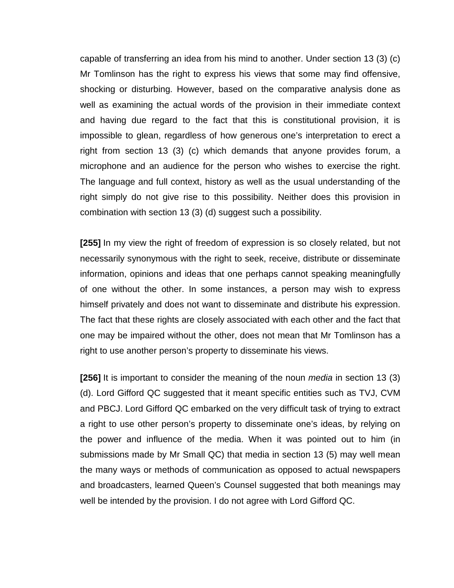capable of transferring an idea from his mind to another. Under section 13 (3) (c) Mr Tomlinson has the right to express his views that some may find offensive, shocking or disturbing. However, based on the comparative analysis done as well as examining the actual words of the provision in their immediate context and having due regard to the fact that this is constitutional provision, it is impossible to glean, regardless of how generous one's interpretation to erect a right from section 13 (3) (c) which demands that anyone provides forum, a microphone and an audience for the person who wishes to exercise the right. The language and full context, history as well as the usual understanding of the right simply do not give rise to this possibility. Neither does this provision in combination with section 13 (3) (d) suggest such a possibility.

**[255]** In my view the right of freedom of expression is so closely related, but not necessarily synonymous with the right to seek, receive, distribute or disseminate information, opinions and ideas that one perhaps cannot speaking meaningfully of one without the other. In some instances, a person may wish to express himself privately and does not want to disseminate and distribute his expression. The fact that these rights are closely associated with each other and the fact that one may be impaired without the other, does not mean that Mr Tomlinson has a right to use another person's property to disseminate his views.

**[256]** It is important to consider the meaning of the noun *media* in section 13 (3) (d). Lord Gifford QC suggested that it meant specific entities such as TVJ, CVM and PBCJ. Lord Gifford QC embarked on the very difficult task of trying to extract a right to use other person's property to disseminate one's ideas, by relying on the power and influence of the media. When it was pointed out to him (in submissions made by Mr Small QC) that media in section 13 (5) may well mean the many ways or methods of communication as opposed to actual newspapers and broadcasters, learned Queen's Counsel suggested that both meanings may well be intended by the provision. I do not agree with Lord Gifford QC.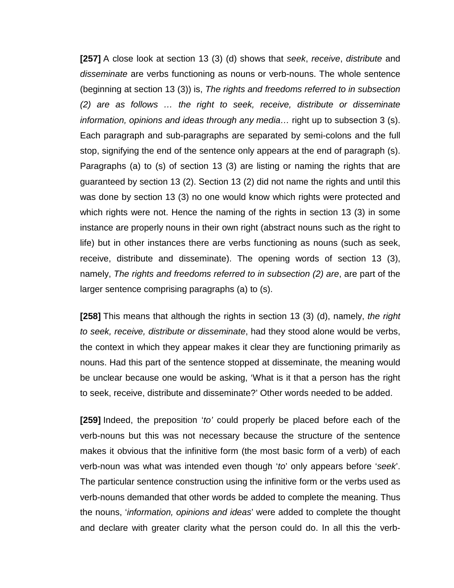**[257]** A close look at section 13 (3) (d) shows that *seek*, *receive*, *distribute* and *disseminate* are verbs functioning as nouns or verb-nouns. The whole sentence (beginning at section 13 (3)) is, *The rights and freedoms referred to in subsection (2) are as follows … the right to seek, receive, distribute or disseminate information, opinions and ideas through any media…* right up to subsection 3 (s). Each paragraph and sub-paragraphs are separated by semi-colons and the full stop, signifying the end of the sentence only appears at the end of paragraph (s). Paragraphs (a) to (s) of section 13 (3) are listing or naming the rights that are guaranteed by section 13 (2). Section 13 (2) did not name the rights and until this was done by section 13 (3) no one would know which rights were protected and which rights were not. Hence the naming of the rights in section 13 (3) in some instance are properly nouns in their own right (abstract nouns such as the right to life) but in other instances there are verbs functioning as nouns (such as seek, receive, distribute and disseminate). The opening words of section 13 (3), namely, *The rights and freedoms referred to in subsection (2) are*, are part of the larger sentence comprising paragraphs (a) to (s).

**[258]** This means that although the rights in section 13 (3) (d), namely, *the right to seek, receive, distribute or disseminate*, had they stood alone would be verbs, the context in which they appear makes it clear they are functioning primarily as nouns. Had this part of the sentence stopped at disseminate, the meaning would be unclear because one would be asking, 'What is it that a person has the right to seek, receive, distribute and disseminate?' Other words needed to be added.

**[259]** Indeed, the preposition '*to'* could properly be placed before each of the verb-nouns but this was not necessary because the structure of the sentence makes it obvious that the infinitive form (the most basic form of a verb) of each verb-noun was what was intended even though '*to*' only appears before '*seek*'. The particular sentence construction using the infinitive form or the verbs used as verb-nouns demanded that other words be added to complete the meaning. Thus the nouns, '*information, opinions and ideas*' were added to complete the thought and declare with greater clarity what the person could do. In all this the verb-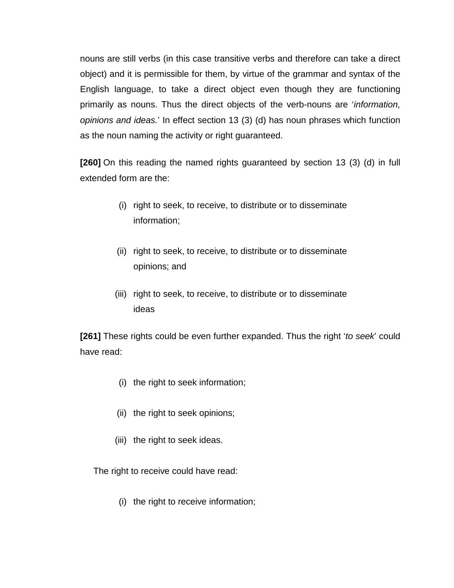nouns are still verbs (in this case transitive verbs and therefore can take a direct object) and it is permissible for them, by virtue of the grammar and syntax of the English language, to take a direct object even though they are functioning primarily as nouns. Thus the direct objects of the verb-nouns are '*information, opinions and ideas.*' In effect section 13 (3) (d) has noun phrases which function as the noun naming the activity or right guaranteed.

**[260]** On this reading the named rights guaranteed by section 13 (3) (d) in full extended form are the:

- (i) right to seek, to receive, to distribute or to disseminate information;
- (ii) right to seek, to receive, to distribute or to disseminate opinions; and
- (iii) right to seek, to receive, to distribute or to disseminate ideas

**[261]** These rights could be even further expanded. Thus the right '*to seek*' could have read:

- (i) the right to seek information;
- (ii) the right to seek opinions;
- (iii) the right to seek ideas.

The right to receive could have read:

(i) the right to receive information;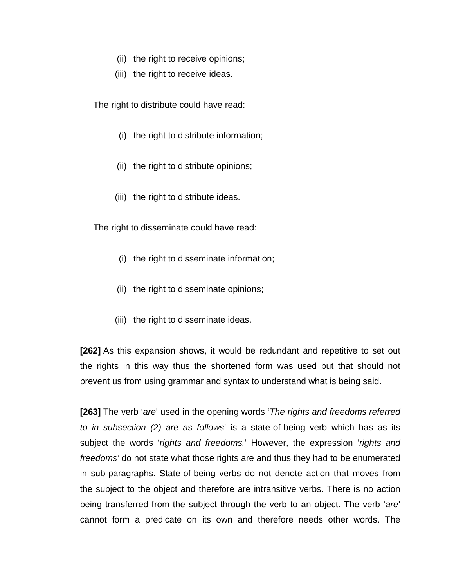- (ii) the right to receive opinions;
- (iii) the right to receive ideas.

The right to distribute could have read:

- (i) the right to distribute information;
- (ii) the right to distribute opinions;
- (iii) the right to distribute ideas.

The right to disseminate could have read:

- (i) the right to disseminate information;
- (ii) the right to disseminate opinions;
- (iii) the right to disseminate ideas.

**[262]** As this expansion shows, it would be redundant and repetitive to set out the rights in this way thus the shortened form was used but that should not prevent us from using grammar and syntax to understand what is being said.

**[263]** The verb '*are*' used in the opening words '*The rights and freedoms referred to in subsection (2) are as follows*' is a state-of-being verb which has as its subject the words '*rights and freedoms.*' However, the expression '*rights and freedoms'* do not state what those rights are and thus they had to be enumerated in sub-paragraphs. State-of-being verbs do not denote action that moves from the subject to the object and therefore are intransitive verbs. There is no action being transferred from the subject through the verb to an object. The verb '*are*' cannot form a predicate on its own and therefore needs other words. The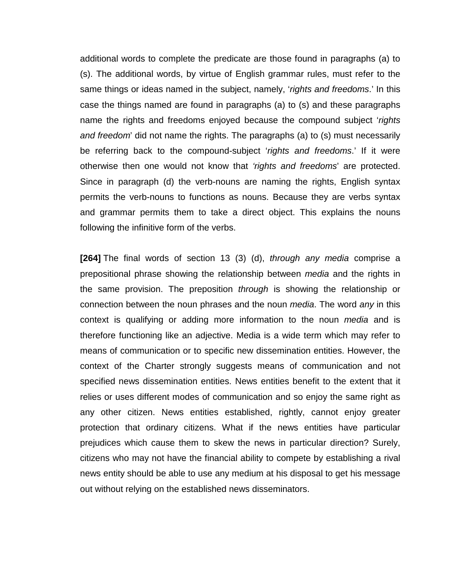additional words to complete the predicate are those found in paragraphs (a) to (s). The additional words, by virtue of English grammar rules, must refer to the same things or ideas named in the subject, namely, '*rights and freedoms*.' In this case the things named are found in paragraphs (a) to (s) and these paragraphs name the rights and freedoms enjoyed because the compound subject '*rights and freedom*' did not name the rights. The paragraphs (a) to (s) must necessarily be referring back to the compound-subject '*rights and freedoms*.' If it were otherwise then one would not know that *'rights and freedoms*' are protected. Since in paragraph (d) the verb-nouns are naming the rights, English syntax permits the verb-nouns to functions as nouns. Because they are verbs syntax and grammar permits them to take a direct object. This explains the nouns following the infinitive form of the verbs.

**[264]** The final words of section 13 (3) (d), *through any media* comprise a prepositional phrase showing the relationship between *media* and the rights in the same provision. The preposition *through* is showing the relationship or connection between the noun phrases and the noun *media*. The word *any* in this context is qualifying or adding more information to the noun *media* and is therefore functioning like an adjective. Media is a wide term which may refer to means of communication or to specific new dissemination entities. However, the context of the Charter strongly suggests means of communication and not specified news dissemination entities. News entities benefit to the extent that it relies or uses different modes of communication and so enjoy the same right as any other citizen. News entities established, rightly, cannot enjoy greater protection that ordinary citizens. What if the news entities have particular prejudices which cause them to skew the news in particular direction? Surely, citizens who may not have the financial ability to compete by establishing a rival news entity should be able to use any medium at his disposal to get his message out without relying on the established news disseminators.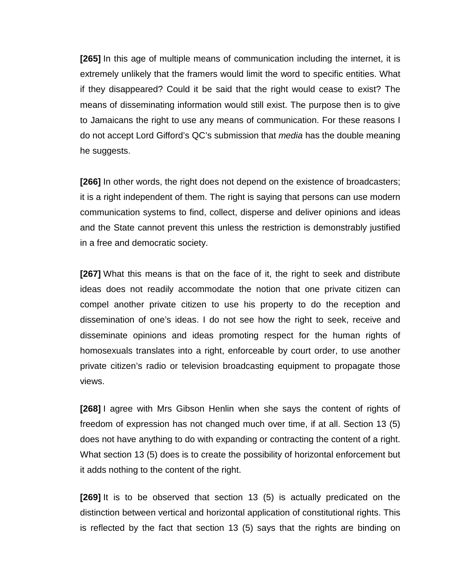**[265]** In this age of multiple means of communication including the internet, it is extremely unlikely that the framers would limit the word to specific entities. What if they disappeared? Could it be said that the right would cease to exist? The means of disseminating information would still exist. The purpose then is to give to Jamaicans the right to use any means of communication. For these reasons I do not accept Lord Gifford's QC's submission that *media* has the double meaning he suggests.

**[266]** In other words, the right does not depend on the existence of broadcasters; it is a right independent of them. The right is saying that persons can use modern communication systems to find, collect, disperse and deliver opinions and ideas and the State cannot prevent this unless the restriction is demonstrably justified in a free and democratic society.

**[267]** What this means is that on the face of it, the right to seek and distribute ideas does not readily accommodate the notion that one private citizen can compel another private citizen to use his property to do the reception and dissemination of one's ideas. I do not see how the right to seek, receive and disseminate opinions and ideas promoting respect for the human rights of homosexuals translates into a right, enforceable by court order, to use another private citizen's radio or television broadcasting equipment to propagate those views.

**[268]** I agree with Mrs Gibson Henlin when she says the content of rights of freedom of expression has not changed much over time, if at all. Section 13 (5) does not have anything to do with expanding or contracting the content of a right. What section 13 (5) does is to create the possibility of horizontal enforcement but it adds nothing to the content of the right.

**[269]** It is to be observed that section 13 (5) is actually predicated on the distinction between vertical and horizontal application of constitutional rights. This is reflected by the fact that section 13 (5) says that the rights are binding on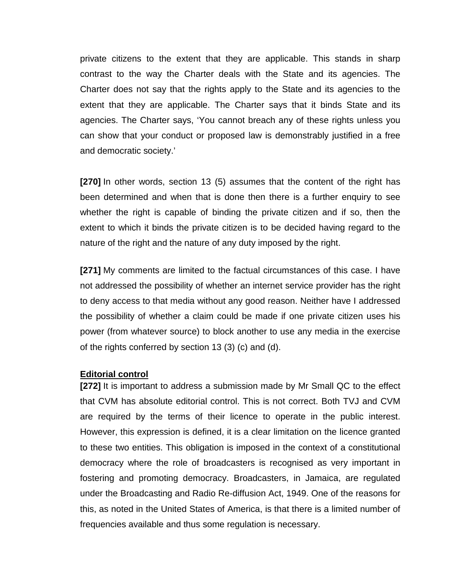private citizens to the extent that they are applicable. This stands in sharp contrast to the way the Charter deals with the State and its agencies. The Charter does not say that the rights apply to the State and its agencies to the extent that they are applicable. The Charter says that it binds State and its agencies. The Charter says, 'You cannot breach any of these rights unless you can show that your conduct or proposed law is demonstrably justified in a free and democratic society.'

**[270]** In other words, section 13 (5) assumes that the content of the right has been determined and when that is done then there is a further enquiry to see whether the right is capable of binding the private citizen and if so, then the extent to which it binds the private citizen is to be decided having regard to the nature of the right and the nature of any duty imposed by the right.

**[271]** My comments are limited to the factual circumstances of this case. I have not addressed the possibility of whether an internet service provider has the right to deny access to that media without any good reason. Neither have I addressed the possibility of whether a claim could be made if one private citizen uses his power (from whatever source) to block another to use any media in the exercise of the rights conferred by section 13 (3) (c) and (d).

#### **Editorial control**

**[272]** It is important to address a submission made by Mr Small QC to the effect that CVM has absolute editorial control. This is not correct. Both TVJ and CVM are required by the terms of their licence to operate in the public interest. However, this expression is defined, it is a clear limitation on the licence granted to these two entities. This obligation is imposed in the context of a constitutional democracy where the role of broadcasters is recognised as very important in fostering and promoting democracy. Broadcasters, in Jamaica, are regulated under the Broadcasting and Radio Re-diffusion Act, 1949. One of the reasons for this, as noted in the United States of America, is that there is a limited number of frequencies available and thus some regulation is necessary.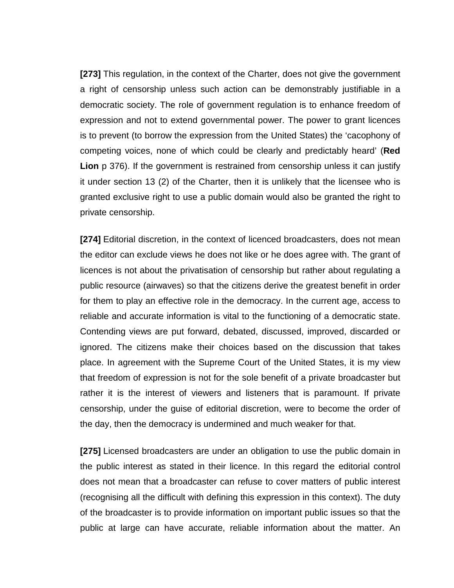**[273]** This regulation, in the context of the Charter, does not give the government a right of censorship unless such action can be demonstrably justifiable in a democratic society. The role of government regulation is to enhance freedom of expression and not to extend governmental power. The power to grant licences is to prevent (to borrow the expression from the United States) the 'cacophony of competing voices, none of which could be clearly and predictably heard' (**Red Lion** p 376). If the government is restrained from censorship unless it can justify it under section 13 (2) of the Charter, then it is unlikely that the licensee who is granted exclusive right to use a public domain would also be granted the right to private censorship.

**[274]** Editorial discretion, in the context of licenced broadcasters, does not mean the editor can exclude views he does not like or he does agree with. The grant of licences is not about the privatisation of censorship but rather about regulating a public resource (airwaves) so that the citizens derive the greatest benefit in order for them to play an effective role in the democracy. In the current age, access to reliable and accurate information is vital to the functioning of a democratic state. Contending views are put forward, debated, discussed, improved, discarded or ignored. The citizens make their choices based on the discussion that takes place. In agreement with the Supreme Court of the United States, it is my view that freedom of expression is not for the sole benefit of a private broadcaster but rather it is the interest of viewers and listeners that is paramount. If private censorship, under the guise of editorial discretion, were to become the order of the day, then the democracy is undermined and much weaker for that.

**[275]** Licensed broadcasters are under an obligation to use the public domain in the public interest as stated in their licence. In this regard the editorial control does not mean that a broadcaster can refuse to cover matters of public interest (recognising all the difficult with defining this expression in this context). The duty of the broadcaster is to provide information on important public issues so that the public at large can have accurate, reliable information about the matter. An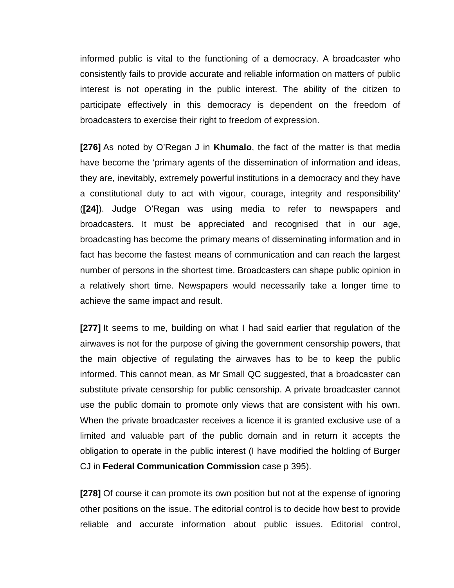informed public is vital to the functioning of a democracy. A broadcaster who consistently fails to provide accurate and reliable information on matters of public interest is not operating in the public interest. The ability of the citizen to participate effectively in this democracy is dependent on the freedom of broadcasters to exercise their right to freedom of expression.

**[276]** As noted by O'Regan J in **Khumalo**, the fact of the matter is that media have become the 'primary agents of the dissemination of information and ideas, they are, inevitably, extremely powerful institutions in a democracy and they have a constitutional duty to act with vigour, courage, integrity and responsibility' (**[24]**). Judge O'Regan was using media to refer to newspapers and broadcasters. It must be appreciated and recognised that in our age, broadcasting has become the primary means of disseminating information and in fact has become the fastest means of communication and can reach the largest number of persons in the shortest time. Broadcasters can shape public opinion in a relatively short time. Newspapers would necessarily take a longer time to achieve the same impact and result.

**[277]** It seems to me, building on what I had said earlier that regulation of the airwaves is not for the purpose of giving the government censorship powers, that the main objective of regulating the airwaves has to be to keep the public informed. This cannot mean, as Mr Small QC suggested, that a broadcaster can substitute private censorship for public censorship. A private broadcaster cannot use the public domain to promote only views that are consistent with his own. When the private broadcaster receives a licence it is granted exclusive use of a limited and valuable part of the public domain and in return it accepts the obligation to operate in the public interest (I have modified the holding of Burger CJ in **Federal Communication Commission** case p 395).

**[278]** Of course it can promote its own position but not at the expense of ignoring other positions on the issue. The editorial control is to decide how best to provide reliable and accurate information about public issues. Editorial control,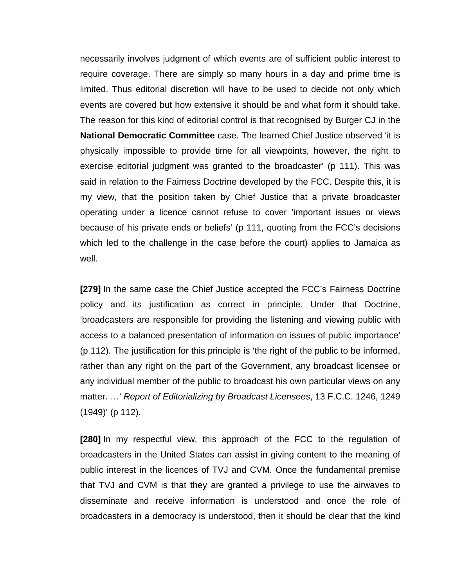necessarily involves judgment of which events are of sufficient public interest to require coverage. There are simply so many hours in a day and prime time is limited. Thus editorial discretion will have to be used to decide not only which events are covered but how extensive it should be and what form it should take. The reason for this kind of editorial control is that recognised by Burger CJ in the **National Democratic Committee** case. The learned Chief Justice observed 'it is physically impossible to provide time for all viewpoints, however, the right to exercise editorial judgment was granted to the broadcaster' (p 111). This was said in relation to the Fairness Doctrine developed by the FCC. Despite this, it is my view, that the position taken by Chief Justice that a private broadcaster operating under a licence cannot refuse to cover 'important issues or views because of his private ends or beliefs' (p 111, quoting from the FCC's decisions which led to the challenge in the case before the court) applies to Jamaica as well.

**[279]** In the same case the Chief Justice accepted the FCC's Fairness Doctrine policy and its justification as correct in principle. Under that Doctrine, 'broadcasters are responsible for providing the listening and viewing public with access to a balanced presentation of information on issues of public importance' (p 112). The justification for this principle is 'the right of the public to be informed, rather than any right on the part of the Government, any broadcast licensee or any individual member of the public to broadcast his own particular views on any matter. …' *Report of Editorializing by Broadcast Licensees*, 13 F.C.C. 1246, 1249 (1949)' (p 112).

**[280]** In my respectful view, this approach of the FCC to the regulation of broadcasters in the United States can assist in giving content to the meaning of public interest in the licences of TVJ and CVM. Once the fundamental premise that TVJ and CVM is that they are granted a privilege to use the airwaves to disseminate and receive information is understood and once the role of broadcasters in a democracy is understood, then it should be clear that the kind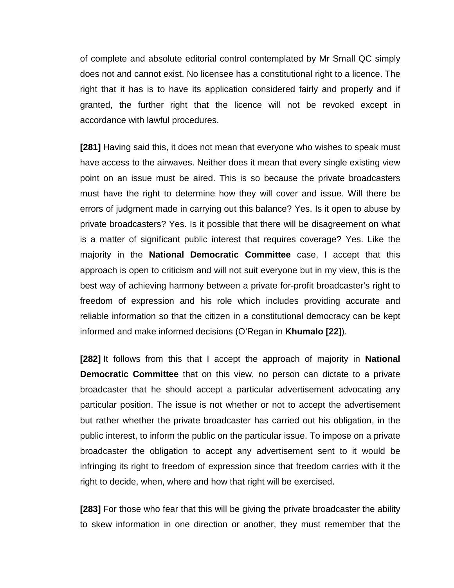of complete and absolute editorial control contemplated by Mr Small QC simply does not and cannot exist. No licensee has a constitutional right to a licence. The right that it has is to have its application considered fairly and properly and if granted, the further right that the licence will not be revoked except in accordance with lawful procedures.

**[281]** Having said this, it does not mean that everyone who wishes to speak must have access to the airwaves. Neither does it mean that every single existing view point on an issue must be aired. This is so because the private broadcasters must have the right to determine how they will cover and issue. Will there be errors of judgment made in carrying out this balance? Yes. Is it open to abuse by private broadcasters? Yes. Is it possible that there will be disagreement on what is a matter of significant public interest that requires coverage? Yes. Like the majority in the **National Democratic Committee** case, I accept that this approach is open to criticism and will not suit everyone but in my view, this is the best way of achieving harmony between a private for-profit broadcaster's right to freedom of expression and his role which includes providing accurate and reliable information so that the citizen in a constitutional democracy can be kept informed and make informed decisions (O'Regan in **Khumalo [22]**).

**[282]** It follows from this that I accept the approach of majority in **National Democratic Committee** that on this view, no person can dictate to a private broadcaster that he should accept a particular advertisement advocating any particular position. The issue is not whether or not to accept the advertisement but rather whether the private broadcaster has carried out his obligation, in the public interest, to inform the public on the particular issue. To impose on a private broadcaster the obligation to accept any advertisement sent to it would be infringing its right to freedom of expression since that freedom carries with it the right to decide, when, where and how that right will be exercised.

**[283]** For those who fear that this will be giving the private broadcaster the ability to skew information in one direction or another, they must remember that the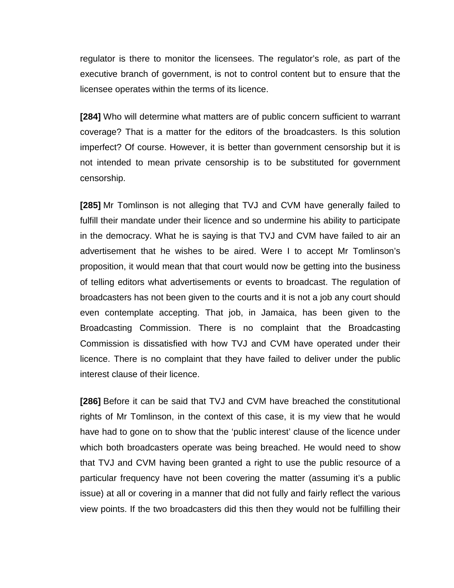regulator is there to monitor the licensees. The regulator's role, as part of the executive branch of government, is not to control content but to ensure that the licensee operates within the terms of its licence.

**[284]** Who will determine what matters are of public concern sufficient to warrant coverage? That is a matter for the editors of the broadcasters. Is this solution imperfect? Of course. However, it is better than government censorship but it is not intended to mean private censorship is to be substituted for government censorship.

**[285]** Mr Tomlinson is not alleging that TVJ and CVM have generally failed to fulfill their mandate under their licence and so undermine his ability to participate in the democracy. What he is saying is that TVJ and CVM have failed to air an advertisement that he wishes to be aired. Were I to accept Mr Tomlinson's proposition, it would mean that that court would now be getting into the business of telling editors what advertisements or events to broadcast. The regulation of broadcasters has not been given to the courts and it is not a job any court should even contemplate accepting. That job, in Jamaica, has been given to the Broadcasting Commission. There is no complaint that the Broadcasting Commission is dissatisfied with how TVJ and CVM have operated under their licence. There is no complaint that they have failed to deliver under the public interest clause of their licence.

**[286]** Before it can be said that TVJ and CVM have breached the constitutional rights of Mr Tomlinson, in the context of this case, it is my view that he would have had to gone on to show that the 'public interest' clause of the licence under which both broadcasters operate was being breached. He would need to show that TVJ and CVM having been granted a right to use the public resource of a particular frequency have not been covering the matter (assuming it's a public issue) at all or covering in a manner that did not fully and fairly reflect the various view points. If the two broadcasters did this then they would not be fulfilling their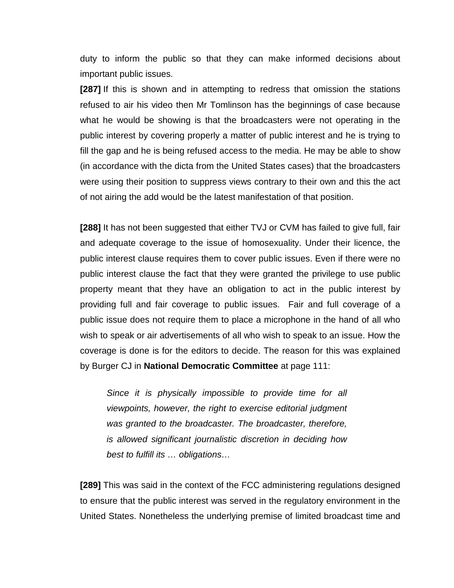duty to inform the public so that they can make informed decisions about important public issues.

**[287]** If this is shown and in attempting to redress that omission the stations refused to air his video then Mr Tomlinson has the beginnings of case because what he would be showing is that the broadcasters were not operating in the public interest by covering properly a matter of public interest and he is trying to fill the gap and he is being refused access to the media. He may be able to show (in accordance with the dicta from the United States cases) that the broadcasters were using their position to suppress views contrary to their own and this the act of not airing the add would be the latest manifestation of that position.

**[288]** It has not been suggested that either TVJ or CVM has failed to give full, fair and adequate coverage to the issue of homosexuality. Under their licence, the public interest clause requires them to cover public issues. Even if there were no public interest clause the fact that they were granted the privilege to use public property meant that they have an obligation to act in the public interest by providing full and fair coverage to public issues. Fair and full coverage of a public issue does not require them to place a microphone in the hand of all who wish to speak or air advertisements of all who wish to speak to an issue. How the coverage is done is for the editors to decide. The reason for this was explained by Burger CJ in **National Democratic Committee** at page 111:

*Since it is physically impossible to provide time for all viewpoints, however, the right to exercise editorial judgment was granted to the broadcaster. The broadcaster, therefore, is allowed significant journalistic discretion in deciding how best to fulfill its … obligations…*

**[289]** This was said in the context of the FCC administering regulations designed to ensure that the public interest was served in the regulatory environment in the United States. Nonetheless the underlying premise of limited broadcast time and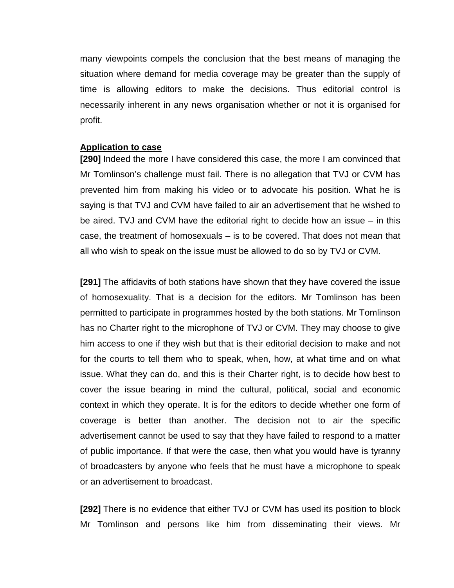many viewpoints compels the conclusion that the best means of managing the situation where demand for media coverage may be greater than the supply of time is allowing editors to make the decisions. Thus editorial control is necessarily inherent in any news organisation whether or not it is organised for profit.

## **Application to case**

**[290]** Indeed the more I have considered this case, the more I am convinced that Mr Tomlinson's challenge must fail. There is no allegation that TVJ or CVM has prevented him from making his video or to advocate his position. What he is saying is that TVJ and CVM have failed to air an advertisement that he wished to be aired. TVJ and CVM have the editorial right to decide how an issue – in this case, the treatment of homosexuals – is to be covered. That does not mean that all who wish to speak on the issue must be allowed to do so by TVJ or CVM.

**[291]** The affidavits of both stations have shown that they have covered the issue of homosexuality. That is a decision for the editors. Mr Tomlinson has been permitted to participate in programmes hosted by the both stations. Mr Tomlinson has no Charter right to the microphone of TVJ or CVM. They may choose to give him access to one if they wish but that is their editorial decision to make and not for the courts to tell them who to speak, when, how, at what time and on what issue. What they can do, and this is their Charter right, is to decide how best to cover the issue bearing in mind the cultural, political, social and economic context in which they operate. It is for the editors to decide whether one form of coverage is better than another. The decision not to air the specific advertisement cannot be used to say that they have failed to respond to a matter of public importance. If that were the case, then what you would have is tyranny of broadcasters by anyone who feels that he must have a microphone to speak or an advertisement to broadcast.

**[292]** There is no evidence that either TVJ or CVM has used its position to block Mr Tomlinson and persons like him from disseminating their views. Mr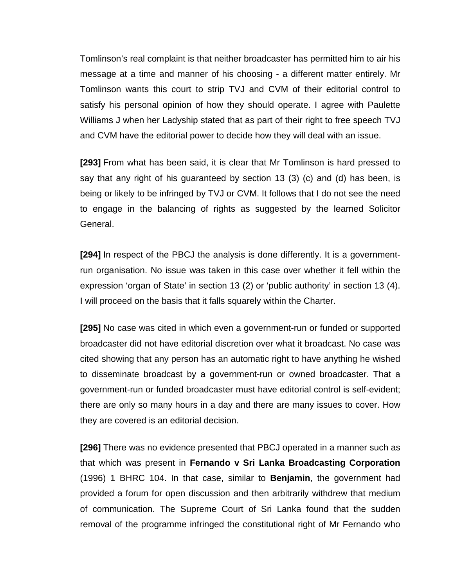Tomlinson's real complaint is that neither broadcaster has permitted him to air his message at a time and manner of his choosing - a different matter entirely. Mr Tomlinson wants this court to strip TVJ and CVM of their editorial control to satisfy his personal opinion of how they should operate. I agree with Paulette Williams J when her Ladyship stated that as part of their right to free speech TVJ and CVM have the editorial power to decide how they will deal with an issue.

**[293]** From what has been said, it is clear that Mr Tomlinson is hard pressed to say that any right of his guaranteed by section 13 (3) (c) and (d) has been, is being or likely to be infringed by TVJ or CVM. It follows that I do not see the need to engage in the balancing of rights as suggested by the learned Solicitor General.

**[294]** In respect of the PBCJ the analysis is done differently. It is a governmentrun organisation. No issue was taken in this case over whether it fell within the expression 'organ of State' in section 13 (2) or 'public authority' in section 13 (4). I will proceed on the basis that it falls squarely within the Charter.

**[295]** No case was cited in which even a government-run or funded or supported broadcaster did not have editorial discretion over what it broadcast. No case was cited showing that any person has an automatic right to have anything he wished to disseminate broadcast by a government-run or owned broadcaster. That a government-run or funded broadcaster must have editorial control is self-evident; there are only so many hours in a day and there are many issues to cover. How they are covered is an editorial decision.

**[296]** There was no evidence presented that PBCJ operated in a manner such as that which was present in **Fernando v Sri Lanka Broadcasting Corporation**  (1996) 1 BHRC 104. In that case, similar to **Benjamin**, the government had provided a forum for open discussion and then arbitrarily withdrew that medium of communication. The Supreme Court of Sri Lanka found that the sudden removal of the programme infringed the constitutional right of Mr Fernando who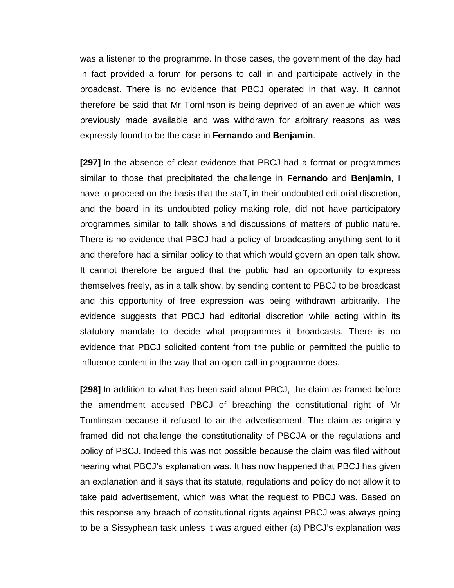was a listener to the programme. In those cases, the government of the day had in fact provided a forum for persons to call in and participate actively in the broadcast. There is no evidence that PBCJ operated in that way. It cannot therefore be said that Mr Tomlinson is being deprived of an avenue which was previously made available and was withdrawn for arbitrary reasons as was expressly found to be the case in **Fernando** and **Benjamin**.

**[297]** In the absence of clear evidence that PBCJ had a format or programmes similar to those that precipitated the challenge in **Fernando** and **Benjamin**, I have to proceed on the basis that the staff, in their undoubted editorial discretion, and the board in its undoubted policy making role, did not have participatory programmes similar to talk shows and discussions of matters of public nature. There is no evidence that PBCJ had a policy of broadcasting anything sent to it and therefore had a similar policy to that which would govern an open talk show. It cannot therefore be argued that the public had an opportunity to express themselves freely, as in a talk show, by sending content to PBCJ to be broadcast and this opportunity of free expression was being withdrawn arbitrarily. The evidence suggests that PBCJ had editorial discretion while acting within its statutory mandate to decide what programmes it broadcasts. There is no evidence that PBCJ solicited content from the public or permitted the public to influence content in the way that an open call-in programme does.

**[298]** In addition to what has been said about PBCJ, the claim as framed before the amendment accused PBCJ of breaching the constitutional right of Mr Tomlinson because it refused to air the advertisement. The claim as originally framed did not challenge the constitutionality of PBCJA or the regulations and policy of PBCJ. Indeed this was not possible because the claim was filed without hearing what PBCJ's explanation was. It has now happened that PBCJ has given an explanation and it says that its statute, regulations and policy do not allow it to take paid advertisement, which was what the request to PBCJ was. Based on this response any breach of constitutional rights against PBCJ was always going to be a Sissyphean task unless it was argued either (a) PBCJ's explanation was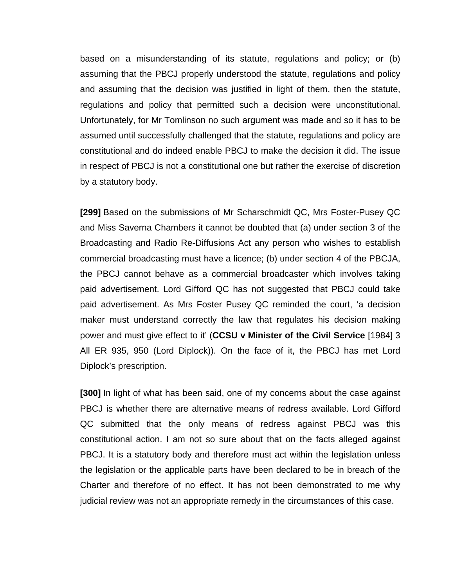based on a misunderstanding of its statute, regulations and policy; or (b) assuming that the PBCJ properly understood the statute, regulations and policy and assuming that the decision was justified in light of them, then the statute, regulations and policy that permitted such a decision were unconstitutional. Unfortunately, for Mr Tomlinson no such argument was made and so it has to be assumed until successfully challenged that the statute, regulations and policy are constitutional and do indeed enable PBCJ to make the decision it did. The issue in respect of PBCJ is not a constitutional one but rather the exercise of discretion by a statutory body.

**[299]** Based on the submissions of Mr Scharschmidt QC, Mrs Foster-Pusey QC and Miss Saverna Chambers it cannot be doubted that (a) under section 3 of the Broadcasting and Radio Re-Diffusions Act any person who wishes to establish commercial broadcasting must have a licence; (b) under section 4 of the PBCJA, the PBCJ cannot behave as a commercial broadcaster which involves taking paid advertisement. Lord Gifford QC has not suggested that PBCJ could take paid advertisement. As Mrs Foster Pusey QC reminded the court, 'a decision maker must understand correctly the law that regulates his decision making power and must give effect to it' (**CCSU v Minister of the Civil Service** [1984] 3 All ER 935, 950 (Lord Diplock)). On the face of it, the PBCJ has met Lord Diplock's prescription.

**[300]** In light of what has been said, one of my concerns about the case against PBCJ is whether there are alternative means of redress available. Lord Gifford QC submitted that the only means of redress against PBCJ was this constitutional action. I am not so sure about that on the facts alleged against PBCJ. It is a statutory body and therefore must act within the legislation unless the legislation or the applicable parts have been declared to be in breach of the Charter and therefore of no effect. It has not been demonstrated to me why judicial review was not an appropriate remedy in the circumstances of this case.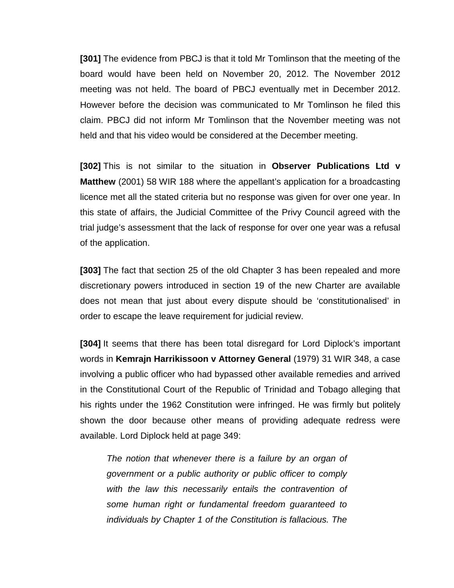**[301]** The evidence from PBCJ is that it told Mr Tomlinson that the meeting of the board would have been held on November 20, 2012. The November 2012 meeting was not held. The board of PBCJ eventually met in December 2012. However before the decision was communicated to Mr Tomlinson he filed this claim. PBCJ did not inform Mr Tomlinson that the November meeting was not held and that his video would be considered at the December meeting.

**[302]** This is not similar to the situation in **Observer Publications Ltd v Matthew** (2001) 58 WIR 188 where the appellant's application for a broadcasting licence met all the stated criteria but no response was given for over one year. In this state of affairs, the Judicial Committee of the Privy Council agreed with the trial judge's assessment that the lack of response for over one year was a refusal of the application.

**[303]** The fact that section 25 of the old Chapter 3 has been repealed and more discretionary powers introduced in section 19 of the new Charter are available does not mean that just about every dispute should be 'constitutionalised' in order to escape the leave requirement for judicial review.

**[304]** It seems that there has been total disregard for Lord Diplock's important words in **Kemrajn Harrikissoon v Attorney General** (1979) 31 WIR 348, a case involving a public officer who had bypassed other available remedies and arrived in the Constitutional Court of the Republic of Trinidad and Tobago alleging that his rights under the 1962 Constitution were infringed. He was firmly but politely shown the door because other means of providing adequate redress were available. Lord Diplock held at page 349:

*The notion that whenever there is a failure by an organ of government or a public authority or public officer to comply with the law this necessarily entails the contravention of some human right or fundamental freedom guaranteed to individuals by Chapter 1 of the Constitution is fallacious. The*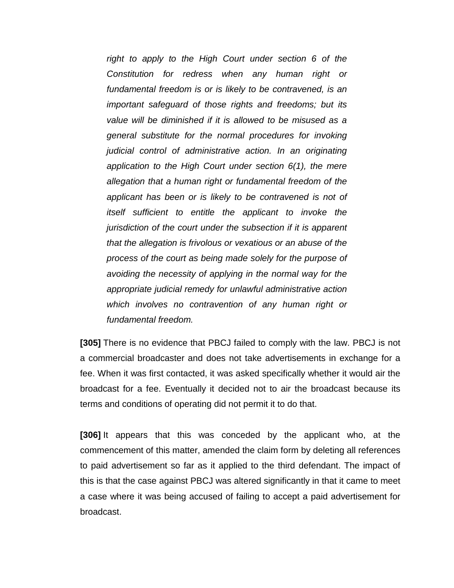*right to apply to the High Court under section 6 of the Constitution for redress when any human right or fundamental freedom is or is likely to be contravened, is an important safeguard of those rights and freedoms; but its value will be diminished if it is allowed to be misused as a general substitute for the normal procedures for invoking judicial control of administrative action. In an originating application to the High Court under section 6(1), the mere allegation that a human right or fundamental freedom of the applicant has been or is likely to be contravened is not of itself sufficient to entitle the applicant to invoke the jurisdiction of the court under the subsection if it is apparent that the allegation is frivolous or vexatious or an abuse of the process of the court as being made solely for the purpose of avoiding the necessity of applying in the normal way for the appropriate judicial remedy for unlawful administrative action which involves no contravention of any human right or fundamental freedom.*

**[305]** There is no evidence that PBCJ failed to comply with the law. PBCJ is not a commercial broadcaster and does not take advertisements in exchange for a fee. When it was first contacted, it was asked specifically whether it would air the broadcast for a fee. Eventually it decided not to air the broadcast because its terms and conditions of operating did not permit it to do that.

**[306]** It appears that this was conceded by the applicant who, at the commencement of this matter, amended the claim form by deleting all references to paid advertisement so far as it applied to the third defendant. The impact of this is that the case against PBCJ was altered significantly in that it came to meet a case where it was being accused of failing to accept a paid advertisement for broadcast.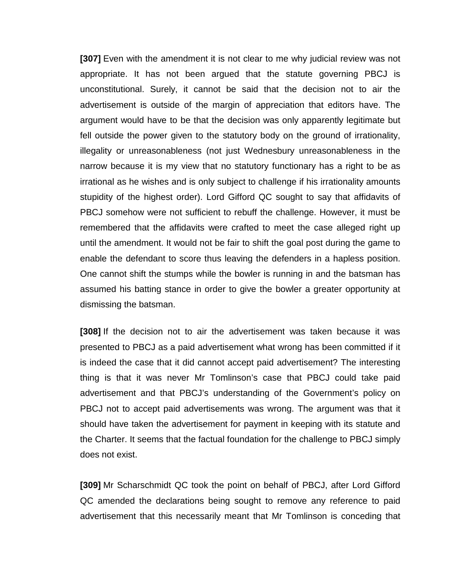**[307]** Even with the amendment it is not clear to me why judicial review was not appropriate. It has not been argued that the statute governing PBCJ is unconstitutional. Surely, it cannot be said that the decision not to air the advertisement is outside of the margin of appreciation that editors have. The argument would have to be that the decision was only apparently legitimate but fell outside the power given to the statutory body on the ground of irrationality, illegality or unreasonableness (not just Wednesbury unreasonableness in the narrow because it is my view that no statutory functionary has a right to be as irrational as he wishes and is only subject to challenge if his irrationality amounts stupidity of the highest order). Lord Gifford QC sought to say that affidavits of PBCJ somehow were not sufficient to rebuff the challenge. However, it must be remembered that the affidavits were crafted to meet the case alleged right up until the amendment. It would not be fair to shift the goal post during the game to enable the defendant to score thus leaving the defenders in a hapless position. One cannot shift the stumps while the bowler is running in and the batsman has assumed his batting stance in order to give the bowler a greater opportunity at dismissing the batsman.

**[308]** If the decision not to air the advertisement was taken because it was presented to PBCJ as a paid advertisement what wrong has been committed if it is indeed the case that it did cannot accept paid advertisement? The interesting thing is that it was never Mr Tomlinson's case that PBCJ could take paid advertisement and that PBCJ's understanding of the Government's policy on PBCJ not to accept paid advertisements was wrong. The argument was that it should have taken the advertisement for payment in keeping with its statute and the Charter. It seems that the factual foundation for the challenge to PBCJ simply does not exist.

**[309]** Mr Scharschmidt QC took the point on behalf of PBCJ, after Lord Gifford QC amended the declarations being sought to remove any reference to paid advertisement that this necessarily meant that Mr Tomlinson is conceding that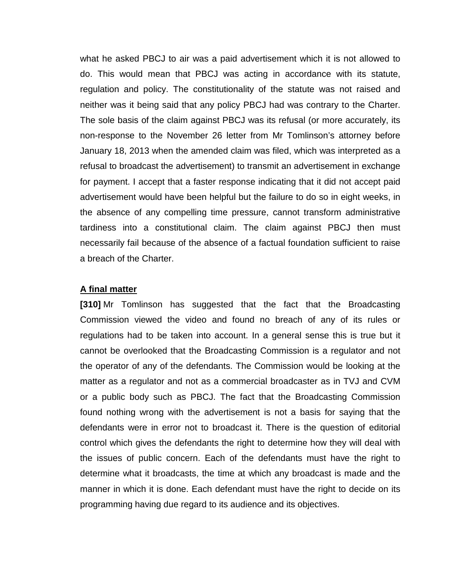what he asked PBCJ to air was a paid advertisement which it is not allowed to do. This would mean that PBCJ was acting in accordance with its statute, regulation and policy. The constitutionality of the statute was not raised and neither was it being said that any policy PBCJ had was contrary to the Charter. The sole basis of the claim against PBCJ was its refusal (or more accurately, its non-response to the November 26 letter from Mr Tomlinson's attorney before January 18, 2013 when the amended claim was filed, which was interpreted as a refusal to broadcast the advertisement) to transmit an advertisement in exchange for payment. I accept that a faster response indicating that it did not accept paid advertisement would have been helpful but the failure to do so in eight weeks, in the absence of any compelling time pressure, cannot transform administrative tardiness into a constitutional claim. The claim against PBCJ then must necessarily fail because of the absence of a factual foundation sufficient to raise a breach of the Charter.

## **A final matter**

**[310]** Mr Tomlinson has suggested that the fact that the Broadcasting Commission viewed the video and found no breach of any of its rules or regulations had to be taken into account. In a general sense this is true but it cannot be overlooked that the Broadcasting Commission is a regulator and not the operator of any of the defendants. The Commission would be looking at the matter as a regulator and not as a commercial broadcaster as in TVJ and CVM or a public body such as PBCJ. The fact that the Broadcasting Commission found nothing wrong with the advertisement is not a basis for saying that the defendants were in error not to broadcast it. There is the question of editorial control which gives the defendants the right to determine how they will deal with the issues of public concern. Each of the defendants must have the right to determine what it broadcasts, the time at which any broadcast is made and the manner in which it is done. Each defendant must have the right to decide on its programming having due regard to its audience and its objectives.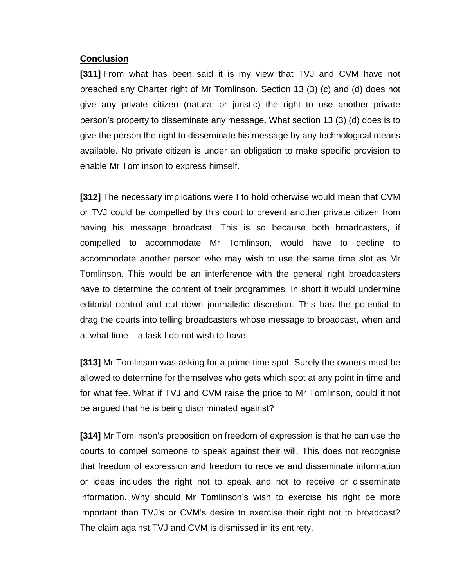## **Conclusion**

**[311]** From what has been said it is my view that TVJ and CVM have not breached any Charter right of Mr Tomlinson. Section 13 (3) (c) and (d) does not give any private citizen (natural or juristic) the right to use another private person's property to disseminate any message. What section 13 (3) (d) does is to give the person the right to disseminate his message by any technological means available. No private citizen is under an obligation to make specific provision to enable Mr Tomlinson to express himself.

**[312]** The necessary implications were I to hold otherwise would mean that CVM or TVJ could be compelled by this court to prevent another private citizen from having his message broadcast. This is so because both broadcasters, if compelled to accommodate Mr Tomlinson, would have to decline to accommodate another person who may wish to use the same time slot as Mr Tomlinson. This would be an interference with the general right broadcasters have to determine the content of their programmes. In short it would undermine editorial control and cut down journalistic discretion. This has the potential to drag the courts into telling broadcasters whose message to broadcast, when and at what time – a task I do not wish to have.

**[313]** Mr Tomlinson was asking for a prime time spot. Surely the owners must be allowed to determine for themselves who gets which spot at any point in time and for what fee. What if TVJ and CVM raise the price to Mr Tomlinson, could it not be argued that he is being discriminated against?

**[314]** Mr Tomlinson's proposition on freedom of expression is that he can use the courts to compel someone to speak against their will. This does not recognise that freedom of expression and freedom to receive and disseminate information or ideas includes the right not to speak and not to receive or disseminate information. Why should Mr Tomlinson's wish to exercise his right be more important than TVJ's or CVM's desire to exercise their right not to broadcast? The claim against TVJ and CVM is dismissed in its entirety.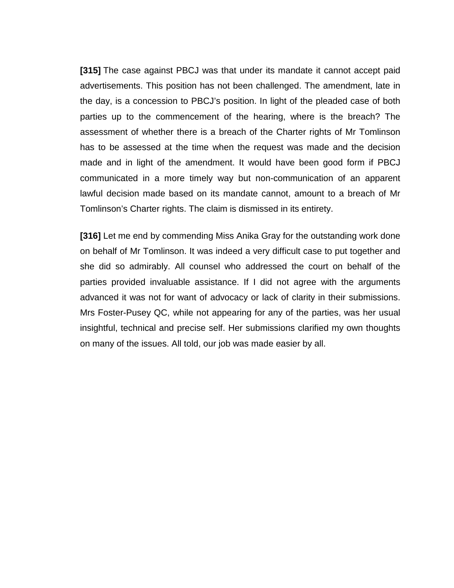**[315]** The case against PBCJ was that under its mandate it cannot accept paid advertisements. This position has not been challenged. The amendment, late in the day, is a concession to PBCJ's position. In light of the pleaded case of both parties up to the commencement of the hearing, where is the breach? The assessment of whether there is a breach of the Charter rights of Mr Tomlinson has to be assessed at the time when the request was made and the decision made and in light of the amendment. It would have been good form if PBCJ communicated in a more timely way but non-communication of an apparent lawful decision made based on its mandate cannot, amount to a breach of Mr Tomlinson's Charter rights. The claim is dismissed in its entirety.

**[316]** Let me end by commending Miss Anika Gray for the outstanding work done on behalf of Mr Tomlinson. It was indeed a very difficult case to put together and she did so admirably. All counsel who addressed the court on behalf of the parties provided invaluable assistance. If I did not agree with the arguments advanced it was not for want of advocacy or lack of clarity in their submissions. Mrs Foster-Pusey QC, while not appearing for any of the parties, was her usual insightful, technical and precise self. Her submissions clarified my own thoughts on many of the issues. All told, our job was made easier by all.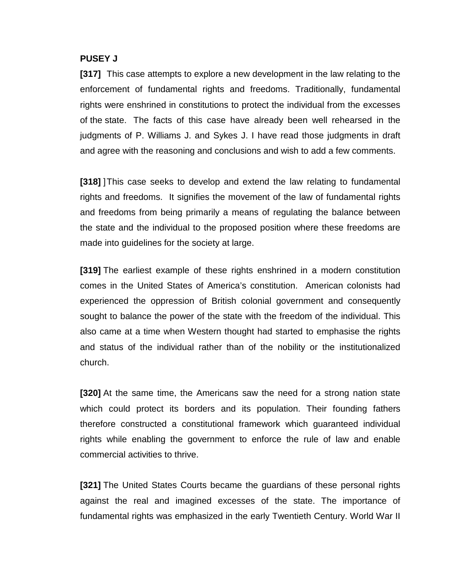## **PUSEY J**

**[317]** This case attempts to explore a new development in the law relating to the enforcement of fundamental rights and freedoms. Traditionally, fundamental rights were enshrined in constitutions to protect the individual from the excesses of the state. The facts of this case have already been well rehearsed in the judgments of P. Williams J. and Sykes J. I have read those judgments in draft and agree with the reasoning and conclusions and wish to add a few comments.

**[318]** ]This case seeks to develop and extend the law relating to fundamental rights and freedoms. It signifies the movement of the law of fundamental rights and freedoms from being primarily a means of regulating the balance between the state and the individual to the proposed position where these freedoms are made into guidelines for the society at large.

**[319]** The earliest example of these rights enshrined in a modern constitution comes in the United States of America's constitution. American colonists had experienced the oppression of British colonial government and consequently sought to balance the power of the state with the freedom of the individual. This also came at a time when Western thought had started to emphasise the rights and status of the individual rather than of the nobility or the institutionalized church.

**[320]** At the same time, the Americans saw the need for a strong nation state which could protect its borders and its population. Their founding fathers therefore constructed a constitutional framework which guaranteed individual rights while enabling the government to enforce the rule of law and enable commercial activities to thrive.

**[321]** The United States Courts became the guardians of these personal rights against the real and imagined excesses of the state. The importance of fundamental rights was emphasized in the early Twentieth Century. World War II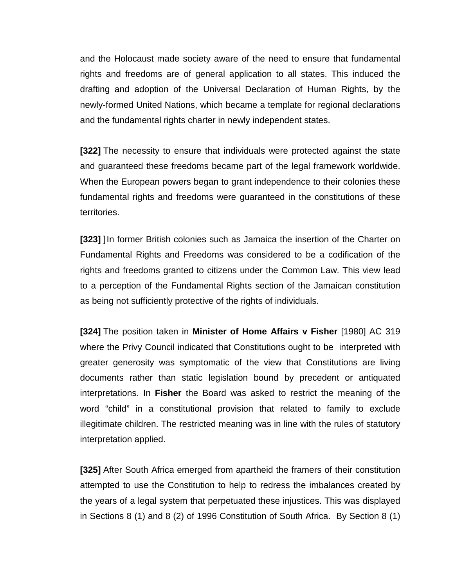and the Holocaust made society aware of the need to ensure that fundamental rights and freedoms are of general application to all states. This induced the drafting and adoption of the Universal Declaration of Human Rights, by the newly-formed United Nations, which became a template for regional declarations and the fundamental rights charter in newly independent states.

**[322]** The necessity to ensure that individuals were protected against the state and guaranteed these freedoms became part of the legal framework worldwide. When the European powers began to grant independence to their colonies these fundamental rights and freedoms were guaranteed in the constitutions of these territories.

**[323]** ]In former British colonies such as Jamaica the insertion of the Charter on Fundamental Rights and Freedoms was considered to be a codification of the rights and freedoms granted to citizens under the Common Law. This view lead to a perception of the Fundamental Rights section of the Jamaican constitution as being not sufficiently protective of the rights of individuals.

**[324]** The position taken in **Minister of Home Affairs v Fisher** [1980] AC 319 where the Privy Council indicated that Constitutions ought to be interpreted with greater generosity was symptomatic of the view that Constitutions are living documents rather than static legislation bound by precedent or antiquated interpretations. In **Fisher** the Board was asked to restrict the meaning of the word "child" in a constitutional provision that related to family to exclude illegitimate children. The restricted meaning was in line with the rules of statutory interpretation applied.

**[325]** After South Africa emerged from apartheid the framers of their constitution attempted to use the Constitution to help to redress the imbalances created by the years of a legal system that perpetuated these injustices. This was displayed in Sections 8 (1) and 8 (2) of 1996 Constitution of South Africa. By Section 8 (1)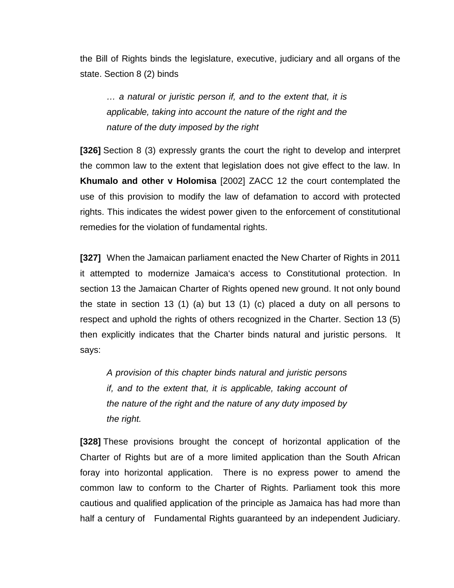the Bill of Rights binds the legislature, executive, judiciary and all organs of the state. Section 8 (2) binds

*… a natural or juristic person if, and to the extent that, it is applicable, taking into account the nature of the right and the nature of the duty imposed by the right*

**[326]** Section 8 (3) expressly grants the court the right to develop and interpret the common law to the extent that legislation does not give effect to the law. In **Khumalo and other v Holomisa** [2002] ZACC 12 the court contemplated the use of this provision to modify the law of defamation to accord with protected rights. This indicates the widest power given to the enforcement of constitutional remedies for the violation of fundamental rights.

**[327]** When the Jamaican parliament enacted the New Charter of Rights in 2011 it attempted to modernize Jamaica's access to Constitutional protection. In section 13 the Jamaican Charter of Rights opened new ground. It not only bound the state in section 13 (1) (a) but 13 (1) (c) placed a duty on all persons to respect and uphold the rights of others recognized in the Charter. Section 13 (5) then explicitly indicates that the Charter binds natural and juristic persons. It says:

*A provision of this chapter binds natural and juristic persons if, and to the extent that, it is applicable, taking account of the nature of the right and the nature of any duty imposed by the right.*

**[328]** These provisions brought the concept of horizontal application of the Charter of Rights but are of a more limited application than the South African foray into horizontal application. There is no express power to amend the common law to conform to the Charter of Rights. Parliament took this more cautious and qualified application of the principle as Jamaica has had more than half a century of Fundamental Rights guaranteed by an independent Judiciary.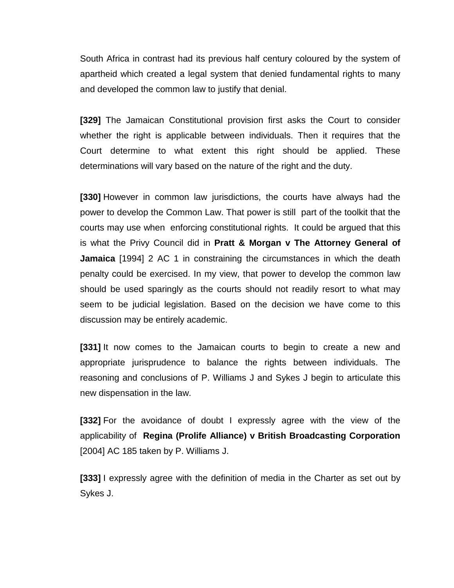South Africa in contrast had its previous half century coloured by the system of apartheid which created a legal system that denied fundamental rights to many and developed the common law to justify that denial.

**[329]** The Jamaican Constitutional provision first asks the Court to consider whether the right is applicable between individuals. Then it requires that the Court determine to what extent this right should be applied. These determinations will vary based on the nature of the right and the duty.

**[330]** However in common law jurisdictions, the courts have always had the power to develop the Common Law. That power is still part of the toolkit that the courts may use when enforcing constitutional rights. It could be argued that this is what the Privy Council did in **Pratt & Morgan v The Attorney General of Jamaica** [1994] 2 AC 1 in constraining the circumstances in which the death penalty could be exercised. In my view, that power to develop the common law should be used sparingly as the courts should not readily resort to what may seem to be judicial legislation. Based on the decision we have come to this discussion may be entirely academic.

**[331]** It now comes to the Jamaican courts to begin to create a new and appropriate jurisprudence to balance the rights between individuals. The reasoning and conclusions of P. Williams J and Sykes J begin to articulate this new dispensation in the law.

**[332]** For the avoidance of doubt I expressly agree with the view of the applicability of **Regina (Prolife Alliance) v British Broadcasting Corporation** [2004] AC 185 taken by P. Williams J.

**[333]** I expressly agree with the definition of media in the Charter as set out by Sykes J.